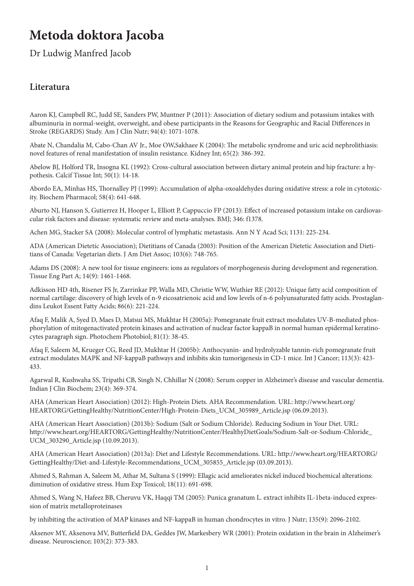## **Metoda doktora Jacoba**

Dr Ludwig Manfred Jacob

## **Literatura**

Aaron KJ, Campbell RC, Judd SE, Sanders PW, Muntner P (2011): Association of dietary sodium and potassium intakes with albuminuria in normal-weight, overweight, and obese participants in the Reasons for Geographic and Racial Differences in Stroke (REGARDS) Study. Am J Clin Nutr; 94(4): 1071-1078.

Abate N, Chandalia M, Cabo-Chan AV Jr., Moe OW,Sakhaee K (2004): The metabolic syndrome and uric acid nephrolithiasis: novel features of renal manifestation of insulin resistance. Kidney Int; 65(2): 386-392.

Abelow BJ, Holford TR, Insogna KL (1992): Cross-cultural association between dietary animal protein and hip fracture: a hypothesis. Calcif Tissue Int; 50(1): 14-18.

Abordo EA, Minhas HS, Thornalley PJ (1999): Accumulation of alpha-oxoaldehydes during oxidative stress: a role in cytotoxicity. Biochem Pharmacol; 58(4): 641-648.

Aburto NJ, Hanson S, Gutierrez H, Hooper L, Elliott P, Cappuccio FP (2013): Effect of increased potassium intake on cardiovascular risk factors and disease: systematic review and meta-analyses. BMJ; 346: f1378.

Achen MG, Stacker SA (2008): Molecular control of lymphatic metastasis. Ann N Y Acad Sci; 1131: 225-234.

ADA (American Dietetic Association); Dietitians of Canada (2003): Position of the American Dietetic Association and Dietitians of Canada: Vegetarian diets. J Am Diet Assoc; 103(6): 748-765.

Adams DS (2008): A new tool for tissue engineers: ions as regulators of morphogenesis during development and regeneration. Tissue Eng Part A; 14(9): 1461-1468.

Adkisson HD 4th, Risener FS Jr, Zarrinkar PP, Walla MD, Christie WW, Wuthier RE (2012): Unique fatty acid composition of normal cartilage: discovery of high levels of n-9 eicosatrienoic acid and low levels of n-6 polyunsaturated fatty acids. Prostaglandins Leukot Essent Fatty Acids; 86(6): 221-224.

Afaq F, Malik A, Syed D, Maes D, Matsui MS, Mukhtar H (2005a): Pomegranate fruit extract modulates UV-B-mediated phosphorylation of mitogenactivated protein kinases and activation of nuclear factor kappaB in normal human epidermal keratinocytes paragraph sign. Photochem Photobiol; 81(1): 38-45.

Afaq F, Saleem M, Krueger CG, Reed JD, Mukhtar H (2005b): Anthocyanin- and hydrolyzable tannin-rich pomegranate fruit extract modulates MAPK and NF-kappaB pathways and inhibits skin tumorigenesis in CD-1 mice. Int J Cancer; 113(3): 423- 433.

Agarwal R, Kushwaha SS, Tripathi CB, Singh N, Chhillar N (2008): Serum copper in Alzheimer's disease and vascular dementia. Indian J Clin Biochem; 23(4): 369-374.

AHA (American Heart Association) (2012): High-Protein Diets. AHA Recommendation. URL: http://www.heart.org/ HEARTORG/GettingHealthy/NutritionCenter/High-Protein-Diets\_UCM\_305989\_Article.jsp (06.09.2013).

AHA (American Heart Association) (2013b): Sodium (Salt or Sodium Chloride). Reducing Sodium in Your Diet. URL: http://www.heart.org/HEARTORG/GettingHealthy/NutritionCenter/HealthyDietGoals/Sodium-Salt-or-Sodium-Chloride\_ UCM\_303290\_Article.jsp (10.09.2013).

AHA (American Heart Association) (2013a): Diet and Lifestyle Recommendations. URL: http://www.heart.org/HEARTORG/ GettingHealthy/Diet-and-Lifestyle-Recommendations\_UCM\_305855\_Article.jsp (03.09.2013).

Ahmed S, Rahman A, Saleem M, Athar M, Sultana S (1999): Ellagic acid ameliorates nickel induced biochemical alterations: diminution of oxidative stress. Hum Exp Toxicol; 18(11): 691-698.

Ahmed S, Wang N, Hafeez BB, Cheruvu VK, Haqqi TM (2005): Punica granatum L. extract inhibits IL-1beta-induced expression of matrix metalloproteinases

by inhibiting the activation of MAP kinases and NF-kappaB in human chondrocytes in vitro. J Nutr; 135(9): 2096-2102.

Aksenov MY, Aksenova MV, Butterfield DA, Geddes JW, Markesbery WR (2001): Protein oxidation in the brain in Alzheimer's disease. Neuroscience; 103(2): 373-383.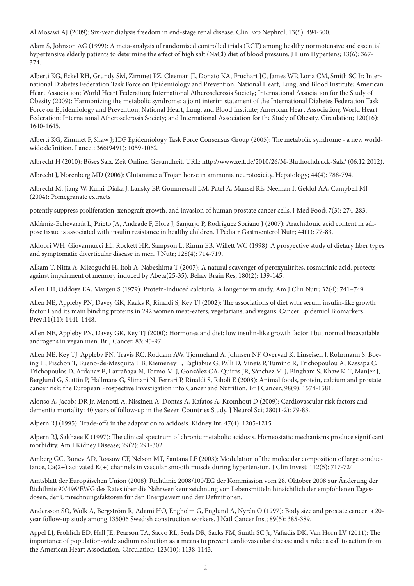Al Mosawi AJ (2009): Six-year dialysis freedom in end-stage renal disease. Clin Exp Nephrol; 13(5): 494-500.

Alam S, Johnson AG (1999): A meta-analysis of randomised controlled trials (RCT) among healthy normotensive and essential hypertensive elderly patients to determine the effect of high salt (NaCl) diet of blood pressure. J Hum Hypertens; 13(6): 367- 374.

Alberti KG, Eckel RH, Grundy SM, Zimmet PZ, Cleeman JI, Donato KA, Fruchart JC, James WP, Loria CM, Smith SC Jr; International Diabetes Federation Task Force on Epidemiology and Prevention; National Heart, Lung, and Blood Institute; American Heart Association; World Heart Federation; International Atherosclerosis Society; International Association for the Study of Obesity (2009): Harmonizing the metabolic syndrome: a joint interim statement of the International Diabetes Federation Task Force on Epidemiology and Prevention; National Heart, Lung, and Blood Institute; American Heart Association; World Heart Federation; International Atherosclerosis Society; and International Association for the Study of Obesity. Circulation; 120(16): 1640-1645.

Alberti KG, Zimmet P, Shaw J; IDF Epidemiology Task Force Consensus Group (2005): The metabolic syndrome - a new worldwide definition. Lancet; 366(9491): 1059-1062.

Albrecht H (2010): Böses Salz. Zeit Online. Gesundheit. URL: http://www.zeit.de/2010/26/M-Bluthochdruck-Salz/ (06.12.2012).

Albrecht J, Norenberg MD (2006): Glutamine: a Trojan horse in ammonia neurotoxicity. Hepatology; 44(4): 788-794.

Albrecht M, Jiang W, Kumi-Diaka J, Lansky EP, Gommersall LM, Patel A, Mansel RE, Neeman I, Geldof AA, Campbell MJ (2004): Pomegranate extracts

potently suppress proliferation, xenograft growth, and invasion of human prostate cancer cells. J Med Food; 7(3): 274-283.

Aldámiz-Echevarría L, Prieto JA, Andrade F, Elorz J, Sanjurjo P, Rodríguez Soriano J (2007): Arachidonic acid content in adipose tissue is associated with insulin resistance in healthy children. J Pediatr Gastroenterol Nutr; 44(1): 77-83.

Aldoori WH, Giovannucci EL, Rockett HR, Sampson L, Rimm EB, Willett WC (1998): A prospective study of dietary fiber types and symptomatic diverticular disease in men. J Nutr; 128(4): 714-719.

Alkam T, Nitta A, Mizoguchi H, Itoh A, Nabeshima T (2007): A natural scavenger of peroxynitrites, rosmarinic acid, protects against impairment of memory induced by Abeta(25-35). Behav Brain Res; 180(2): 139-145.

Allen LH, Oddoye EA, Margen S (1979): Protein-induced calciuria: A longer term study. Am J Clin Nutr; 32(4): 741–749.

Allen NE, Appleby PN, Davey GK, Kaaks R, Rinaldi S, Key TJ (2002): The associations of diet with serum insulin-like growth factor I and its main binding proteins in 292 women meat-eaters, vegetarians, and vegans. Cancer Epidemiol Biomarkers Prev;11(11): 1441-1448.

Allen NE, Appleby PN, Davey GK, Key TJ (2000): Hormones and diet: low insulin-like growth factor I but normal bioavailable androgens in vegan men. Br J Cancer, 83: 95-97.

Allen NE, Key TJ, Appleby PN, Travis RC, Roddam AW, Tjønneland A, Johnsen NF, Overvad K, Linseisen J, Rohrmann S, Boeing H, Pischon T, Bueno-de-Mesquita HB, Kiemeney L, Tagliabue G, Palli D, Vineis P, Tumino R, Trichopoulou A, Kassapa C, Trichopoulos D, Ardanaz E, Larrañaga N, Tormo M-J, González CA, Quirós JR, Sánchez M-J, Bingham S, Khaw K-T, Manjer J, Berglund G, Stattin P, Hallmans G, Slimani N, Ferrari P, Rinaldi S, Riboli E (2008): Animal foods, protein, calcium and prostate cancer risk: the European Prospective Investigation into Cancer and Nutrition. Br J Cancer; 98(9): 1574-1581.

Alonso A, Jacobs DR Jr, Menotti A, Nissinen A, Dontas A, Kafatos A, Kromhout D (2009): Cardiovascular risk factors and dementia mortality: 40 years of follow-up in the Seven Countries Study. J Neurol Sci; 280(1-2): 79-83.

Alpern RJ (1995): Trade-offs in the adaptation to acidosis. Kidney Int; 47(4): 1205-1215.

Alpern RJ, Sakhaee K (1997): The clinical spectrum of chronic metabolic acidosis. Homeostatic mechanisms produce significant morbidity. Am J Kidney Disease; 29(2): 291-302.

Amberg GC, Bonev AD, Rossow CF, Nelson MT, Santana LF (2003): Modulation of the molecular composition of large conductance, Ca(2+) activated K(+) channels in vascular smooth muscle during hypertension. J Clin Invest; 112(5): 717-724.

Amtsblatt der Europäischen Union (2008): Richtlinie 2008/100/EG der Kommission vom 28. Oktober 2008 zur Änderung der Richtlinie 90/496/EWG des Rates über die Nährwertkennzeichnung von Lebensmitteln hinsichtlich der empfohlenen Tagesdosen, der Umrechnungsfaktoren für den Energiewert und der Definitionen.

Andersson SO, Wolk A, Bergström R, Adami HO, Engholm G, Englund A, Nyrén O (1997): Body size and prostate cancer: a 20 year follow-up study among 135006 Swedish construction workers. J Natl Cancer Inst; 89(5): 385-389.

Appel LJ, Frohlich ED, Hall JE, Pearson TA, Sacco RL, Seals DR, Sacks FM, Smith SC Jr, Vafiadis DK, Van Horn LV (2011): The importance of population-wide sodium reduction as a means to prevent cardiovascular disease and stroke: a call to action from the American Heart Association. Circulation; 123(10): 1138-1143.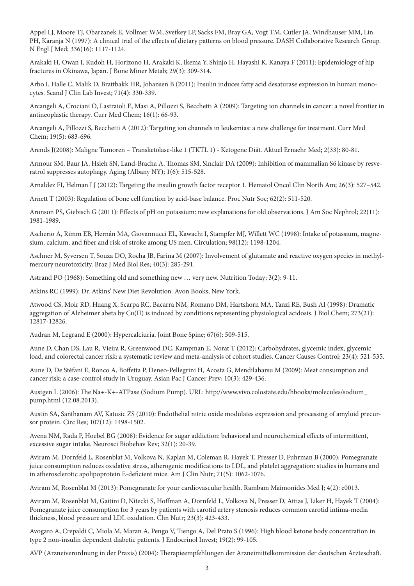Appel LJ, Moore TJ, Obarzanek E, Vollmer WM, Svetkey LP, Sacks FM, Bray GA, Vogt TM, Cutler JA, Windhauser MM, Lin PH, Karanja N (1997): A clinical trial of the effects of dietary patterns on blood pressure. DASH Collaborative Research Group. N Engl J Med; 336(16): 1117-1124.

Arakaki H, Owan I, Kudoh H, Horizono H, Arakaki K, Ikema Y, Shinjo H, Hayashi K, Kanaya F (2011): Epidemiology of hip fractures in Okinawa, Japan. J Bone Miner Metab; 29(3): 309-314.

Arbo I, Halle C, Malik D, Brattbakk HR, Johansen B (2011): Insulin induces fatty acid desaturase expression in human monocytes. Scand J Clin Lab Invest; 71(4): 330-339.

Arcangeli A, Crociani O, Lastraioli E, Masi A, Pillozzi S, Becchetti A (2009): Targeting ion channels in cancer: a novel frontier in antineoplastic therapy. Curr Med Chem; 16(1): 66-93.

Arcangeli A, Pillozzi S, Becchetti A (2012): Targeting ion channels in leukemias: a new challenge for treatment. Curr Med Chem; 19(5): 683-696.

Arends J(2008): Maligne Tumoren – Transketolase-like 1 (TKTL 1) - Ketogene Diät. Aktuel Ernaehr Med; 2(33): 80-81.

Armour SM, Baur JA, Hsieh SN, Land-Bracha A, Thomas SM, Sinclair DA (2009): Inhibition of mammalian S6 kinase by resveratrol suppresses autophagy. Aging (Albany NY); 1(6): 515-528.

Arnaldez FI, Helman LJ (2012): Targeting the insulin growth factor receptor 1. Hematol Oncol Clin North Am; 26(3): 527–542.

Arnett T (2003): Regulation of bone cell function by acid-base balance. Proc Nutr Soc; 62(2): 511-520.

Aronson PS, Giebisch G (2011): Effects of pH on potassium: new explanations for old observations. J Am Soc Nephrol; 22(11): 1981-1989.

Ascherio A, Rimm EB, Hernán MA, Giovannucci EL, Kawachi I, Stampfer MJ, Willett WC (1998): Intake of potassium, magnesium, calcium, and fiber and risk of stroke among US men. Circulation; 98(12): 1198-1204.

Aschner M, Syversen T, Souza DO, Rocha JB, Farina M (2007): Involvement of glutamate and reactive oxygen species in methylmercury neurotoxicity. Braz J Med Biol Res; 40(3): 285-291.

Astrand PO (1968): Something old and something new … very new. Nutrition Today; 3(2): 9-11.

Atkins RC (1999): Dr. Atkins' New Diet Revolution. Avon Books, New York.

Atwood CS, Moir RD, Huang X, Scarpa RC, Bacarra NM, Romano DM, Hartshorn MA, Tanzi RE, Bush AI (1998): Dramatic aggregation of Alzheimer abeta by Cu(II) is induced by conditions representing physiological acidosis. J Biol Chem; 273(21): 12817-12826.

Audran M, Legrand E (2000): Hypercalciuria. Joint Bone Spine; 67(6): 509-515.

Aune D, Chan DS, Lau R, Vieira R, Greenwood DC, Kampman E, Norat T (2012): Carbohydrates, glycemic index, glycemic load, and colorectal cancer risk: a systematic review and meta-analysis of cohort studies. Cancer Causes Control; 23(4): 521-535.

Aune D, De Stéfani E, Ronco A, Boffetta P, Deneo-Pellegrini H, Acosta G, Mendilaharsu M (2009): Meat consumption and cancer risk: a case-control study in Uruguay. Asian Pac J Cancer Prev; 10(3): 429-436.

Austgen L (2006): The Na+-K+-ATPase (Sodium Pump). URL: http://www.vivo.colostate.edu/hbooks/molecules/sodium\_ pump.html (12.08.2013).

Austin SA, Santhanam AV, Katusic ZS (2010): Endothelial nitric oxide modulates expression and processing of amyloid precursor protein. Circ Res; 107(12): 1498-1502.

Avena NM, Rada P, Hoebel BG (2008): Evidence for sugar addiction: behavioral and neurochemical effects of intermittent, excessive sugar intake. Neurosci Biobehav Rev; 32(1): 20-39.

Aviram M, Dornfeld L, Rosenblat M, Volkova N, Kaplan M, Coleman R, Hayek T, Presser D, Fuhrman B (2000): Pomegranate juice consumption reduces oxidative stress, atherogenic modifications to LDL, and platelet aggregation: studies in humans and in atherosclerotic apolipoprotein E-deficient mice. Am J Clin Nutr; 71(5): 1062-1076.

Aviram M, Rosenblat M (2013): Pomegranate for your cardiovascular health. Rambam Maimonides Med J; 4(2): e0013.

Aviram M, Rosenblat M, Gaitini D, Nitecki S, Hoffman A, Dornfeld L, Volkova N, Presser D, Attias J, Liker H, Hayek T (2004): Pomegranate juice consumption for 3 years by patients with carotid artery stenosis reduces common carotid intima-media thickness, blood pressure and LDL oxidation. Clin Nutr; 23(3): 423-433.

Avogaro A, Crepaldi C, Miola M, Maran A, Pengo V, Tiengo A, Del Prato S (1996): High blood ketone body concentration in type 2 non-insulin dependent diabetic patients. J Endocrinol Invest; 19(2): 99-105.

AVP (Arzneiverordnung in der Praxis) (2004): Therapieempfehlungen der Arzneimittelkommission der deutschen Ärzteschaft.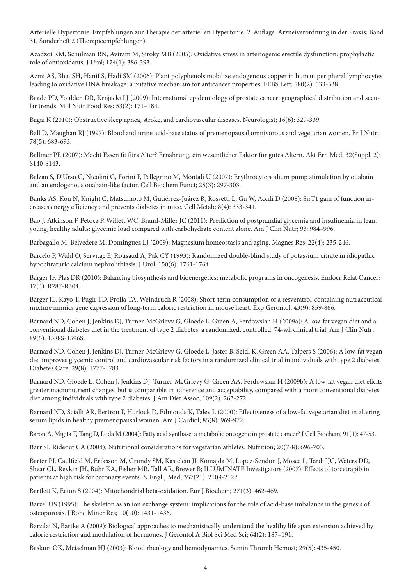Arterielle Hypertonie. Empfehlungen zur Therapie der arteriellen Hypertonie. 2. Auflage. Arzneiverordnung in der Praxis; Band 31, Sonderheft 2 (Therapieempfehlungen).

Azadzoi KM, Schulman RN, Aviram M, Siroky MB (2005): Oxidative stress in arteriogenic erectile dysfunction: prophylactic role of antioxidants. J Urol; 174(1): 386-393.

Azmi AS, Bhat SH, Hanif S, Hadi SM (2006): Plant polyphenols mobilize endogenous copper in human peripheral lymphocytes leading to oxidative DNA breakage: a putative mechanism for anticancer properties. FEBS Lett; 580(2): 533-538.

Baade PD, Youlden DR, Krnjacki LJ (2009): International epidemiology of prostate cancer: geographical distribution and secular trends. Mol Nutr Food Res; 53(2): 171–184.

Bagai K (2010): Obstructive sleep apnea, stroke, and cardiovascular diseases. Neurologist; 16(6): 329-339.

Ball D, Maughan RJ (1997): Blood and urine acid-base status of premenopausal omnivorous and vegetarian women. Br J Nutr; 78(5): 683-693.

Ballmer PE (2007): Macht Essen fit fürs Alter? Ernährung, ein wesentlicher Faktor für gutes Altern. Akt Ern Med; 32(Suppl. 2): S140-S143.

Balzan S, D'Urso G, Nicolini G, Forini F, Pellegrino M, Montali U (2007): Erythrocyte sodium pump stimulation by ouabain and an endogenous ouabain-like factor. Cell Biochem Funct; 25(3): 297-303.

Banks AS, Kon N, Knight C, Matsumoto M, Gutiérrez-Juárez R, Rossetti L, Gu W, Accili D (2008): SirT1 gain of function increases energy efficiency and prevents diabetes in mice. Cell Metab; 8(4): 333-341.

Bao J, Atkinson F, Petocz P, Willett WC, Brand-Miller JC (2011): Prediction of postprandial glycemia and insulinemia in lean, young, healthy adults: glycemic load compared with carbohydrate content alone. Am J Clin Nutr; 93: 984–996.

Barbagallo M, Belvedere M, Dominguez LJ (2009): Magnesium homeostasis and aging. Magnes Res; 22(4): 235-246.

Barcelo P, Wuhl O, Servitge E, Rousaud A, Pak CY (1993): Randomized double-blind study of potassium citrate in idiopathic hypocitraturic calcium nephrolithiasis. J Urol; 150(6): 1761-1764.

Barger JF, Plas DR (2010): Balancing biosynthesis and bioenergetics: metabolic programs in oncogenesis. Endocr Relat Cancer; 17(4): R287-R304.

Barger JL, Kayo T, Pugh TD, Prolla TA, Weindruch R (2008): Short-term consumption of a resveratrol-containing nutraceutical mixture mimics gene expression of long-term caloric restriction in mouse heart. Exp Gerontol; 43(9): 859-866.

Barnard ND, Cohen J, Jenkins DJ, Turner-McGrievy G, Gloede L, Green A, Ferdowsian H (2009a): A low-fat vegan diet and a conventional diabetes diet in the treatment of type 2 diabetes: a randomized, controlled, 74-wk clinical trial. Am J Clin Nutr; 89(5): 1588S-1596S.

Barnard ND, Cohen J, Jenkins DJ, Turner-McGrievy G, Gloede L, Jaster B, Seidl K, Green AA, Talpers S (2006): A low-fat vegan diet improves glycemic control and cardiovascular risk factors in a randomized clinical trial in individuals with type 2 diabetes. Diabetes Care; 29(8): 1777-1783.

Barnard ND, Gloede L, Cohen J, Jenkins DJ, Turner-McGrievy G, Green AA, Ferdowsian H (2009b): A low-fat vegan diet elicits greater macronutrient changes, but is comparable in adherence and acceptability, compared with a more conventional diabetes diet among individuals with type 2 diabetes. J Am Diet Assoc; 109(2): 263-272.

Barnard ND, Scialli AR, Bertron P, Hurlock D, Edmonds K, Talev L (2000): Effectiveness of a low-fat vegetarian diet in altering serum lipids in healthy premenopausal women. Am J Cardiol; 85(8): 969-972.

Baron A, Migita T, Tang D, Loda M (2004): Fatty acid synthase: a metabolic oncogene in prostate cancer? J Cell Biochem; 91(1): 47-53.

Barr SI, Rideout CA (2004): Nutritional considerations for vegetarian athletes. Nutrition; 20(7-8): 696-703.

Barter PJ, Caulfield M, Eriksson M, Grundy SM, Kastelein JJ, Komajda M, Lopez-Sendon J, Mosca L, Tardif JC, Waters DD, Shear CL, Revkin JH, Buhr KA, Fisher MR, Tall AR, Brewer B; ILLUMINATE Investigators (2007): Effects of torcetrapib in patients at high risk for coronary events. N Engl J Med; 357(21): 2109-2122.

Bartlett K, Eaton S (2004): Mitochondrial beta-oxidation. Eur J Biochem; 271(3): 462-469.

Barzel US (1995): The skeleton as an ion exchange system: implications for the role of acid-base imbalance in the genesis of osteoporosis. J Bone Miner Res; 10(10): 1431-1436.

Barzilai N, Bartke A (2009): Biological approaches to mechanistically understand the healthy life span extension achieved by calorie restriction and modulation of hormones. J Gerontol A Biol Sci Med Sci; 64(2): 187–191.

Baskurt OK, Meiselman HJ (2003): Blood rheology and hemodynamics. Semin Thromb Hemost; 29(5): 435-450.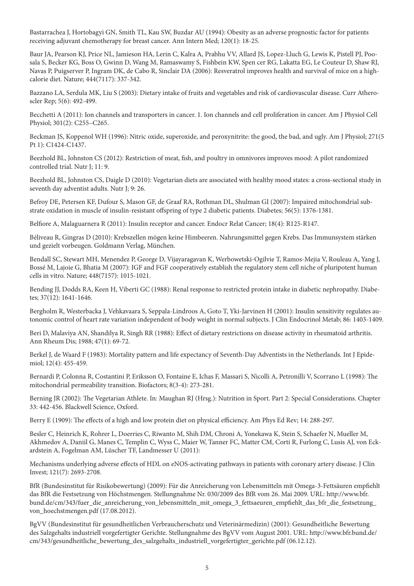Bastarrachea J, Hortobagyi GN, Smith TL, Kau SW, Buzdar AU (1994): Obesity as an adverse prognostic factor for patients receiving adjuvant chemotherapy for breast cancer. Ann Intern Med; 120(1): 18-25.

Baur JA, Pearson KJ, Price NL, Jamieson HA, Lerin C, Kalra A, Prabhu VV, Allard JS, Lopez-Lluch G, Lewis K, Pistell PJ, Poosala S, Becker KG, Boss O, Gwinn D, Wang M, Ramaswamy S, Fishbein KW, Spen cer RG, Lakatta EG, Le Couteur D, Shaw RJ, Navas P, Puigserver P, Ingram DK, de Cabo R, Sinclair DA (2006): Resveratrol improves health and survival of mice on a highcalorie diet. Nature; 444(7117): 337-342.

Bazzano LA, Serdula MK, Liu S (2003): Dietary intake of fruits and vegetables and risk of cardiovascular disease. Curr Atheroscler Rep; 5(6): 492-499.

Becchetti A (2011): Ion channels and transporters in cancer. 1. Ion channels and cell proliferation in cancer. Am J Physiol Cell Physiol; 301(2): C255–C265.

Beckman JS, Koppenol WH (1996): Nitric oxide, superoxide, and peroxynitrite: the good, the bad, and ugly. Am J Physiol; 271(5 Pt 1): C1424-C1437.

Beezhold BL, Johnston CS (2012): Restriction of meat, fish, and poultry in omnivores improves mood: A pilot randomized controlled trial. Nutr J; 11: 9.

Beezhold BL, Johnston CS, Daigle D (2010): Vegetarian diets are associated with healthy mood states: a cross-sectional study in seventh day adventist adults. Nutr J; 9: 26.

Befroy DE, Petersen KF, Dufour S, Mason GF, de Graaf RA, Rothman DL, Shulman GI (2007): Impaired mitochondrial substrate oxidation in muscle of insulin-resistant offspring of type 2 diabetic patients. Diabetes; 56(5): 1376-1381.

Belfiore A, Malaguarnera R (2011): Insulin receptor and cancer. Endocr Relat Cancer; 18(4): R125-R147.

Béliveau R, Gingras D (2010): Krebszellen mögen keine Himbeeren. Nahrungsmittel gegen Krebs. Das Immunsystem stärken und gezielt vorbeugen. Goldmann Verlag, München.

Bendall SC, Stewart MH, Menendez P, George D, Vijayaragavan K, Werbowetski-Ogilvie T, Ramos-Mejia V, Rouleau A, Yang J, Bossé M, Lajoie G, Bhatia M (2007): IGF and FGF cooperatively establish the regulatory stem cell niche of pluripotent human cells in vitro. Nature; 448(7157): 1015-1021.

Bending JJ, Dodds RA, Keen H, Viberti GC (1988): Renal response to restricted protein intake in diabetic nephropathy. Diabetes; 37(12): 1641-1646.

Bergholm R, Westerbacka J, Vehkavaara S, Seppala-Lindroos A, Goto T, Yki-Jarvinen H (2001): Insulin sensitivity regulates autonomic control of heart rate variation independent of body weight in normal subjects. J Clin Endocrinol Metab; 86: 1403-1409.

Beri D, Malaviya AN, Shandilya R, Singh RR (1988): Effect of dietary restrictions on disease activity in rheumatoid arthritis. Ann Rheum Dis; 1988; 47(1): 69-72.

Berkel J, de Waard F (1983): Mortality pattern and life expectancy of Seventh-Day Adventists in the Netherlands. Int J Epidemiol; 12(4): 455-459.

Bernardi P, Colonna R, Costantini P, Eriksson O, Fontaine E, Ichas F, Massari S, Nicolli A, Petronilli V, Scorrano L (1998): The mitochondrial permeability transition. Biofactors; 8(3-4): 273-281.

Berning JR (2002): The Vegetarian Athlete. In: Maughan RJ (Hrsg.): Nutrition in Sport. Part 2: Special Considerations. Chapter 33: 442-456. Blackwell Science, Oxford.

Berry E (1909): The effects of a high and low protein diet on physical efficiency. Am Phys Ed Rev; 14: 288-297.

Besler C, Heinrich K, Rohrer L, Doerries C, Riwanto M, Shih DM, Chroni A, Yonekawa K, Stein S, Schaefer N, Mueller M, Akhmedov A, Daniil G, Manes C, Templin C, Wyss C, Maier W, Tanner FC, Matter CM, Corti R, Furlong C, Lusis AJ, von Eckardstein A, Fogelman AM, Lüscher TF, Landmesser U (2011):

Mechanisms underlying adverse effects of HDL on eNOS-activating pathways in patients with coronary artery disease. J Clin Invest; 121(7): 2693-2708.

BfR (Bundesinstitut für Risikobewertung) (2009): Für die Anreicherung von Lebensmitteln mit Omega-3-Fettsäuren empfiehlt das BfR die Festsetzung von Höchstmengen. Stellungnahme Nr. 030/2009 des BfR vom 26. Mai 2009. URL: http://www.bfr. bund.de/cm/343/fuer\_die\_anreicherung\_von\_lebensmitteln\_mit\_omega\_3\_fettsaeuren\_empfiehlt\_das\_bfr\_die\_festsetzung von hoechstmengen.pdf (17.08.2012).

BgVV (Bundesinstitut für gesundheitlichen Verbraucherschutz und Veterinärmedizin) (2001): Gesundheitliche Bewertung des Salzgehalts industriell vorgefertigter Gerichte. Stellungnahme des BgVV vom August 2001. URL: http://www.bfr.bund.de/ cm/343/gesundheitliche\_bewertung\_des\_salzgehalts\_industriell\_vorgefertigter\_gerichte.pdf (06.12.12).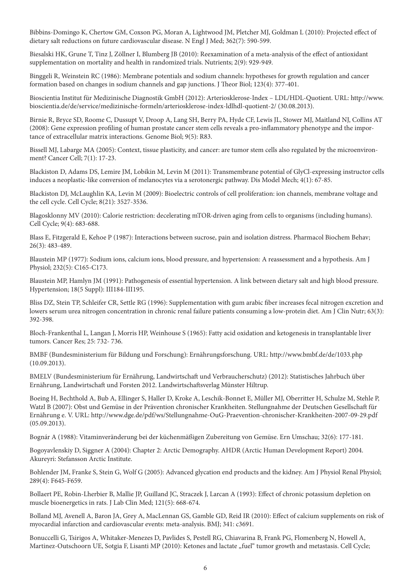Bibbins-Domingo K, Chertow GM, Coxson PG, Moran A, Lightwood JM, Pletcher MJ, Goldman L (2010): Projected effect of dietary salt reductions on future cardiovascular disease. N Engl J Med; 362(7): 590-599.

Biesalski HK, Grune T, Tinz J, Zöllner I, Blumberg JB (2010): Reexamination of a meta-analysis of the effect of antioxidant supplementation on mortality and health in randomized trials. Nutrients; 2(9): 929-949.

Binggeli R, Weinstein RC (1986): Membrane potentials and sodium channels: hypotheses for growth regulation and cancer formation based on changes in sodium channels and gap junctions. J Theor Biol; 123(4): 377-401.

Bioscientia Institut für Medizinische Diagnostik GmbH (2012): Arteriosklerose-Index – LDL/HDL-Quotient. URL: http://www. bioscientia.de/de/service/medizinische-formeln/arteriosklerose-index-ldlhdl-quotient-2/ (30.08.2013).

Birnie R, Bryce SD, Roome C, Dussupt V, Droop A, Lang SH, Berry PA, Hyde CF, Lewis JL, Stower MJ, Maitland NJ, Collins AT (2008): Gene expression profiling of human prostate cancer stem cells reveals a pro-inflammatory phenotype and the importance of extracellular matrix interactions. Genome Biol; 9(5): R83.

Bissell MJ, Labarge MA (2005): Context, tissue plasticity, and cancer: are tumor stem cells also regulated by the microenvironment? Cancer Cell; 7(1): 17-23.

Blackiston D, Adams DS, Lemire JM, Lobikin M, Levin M (2011): Transmembrane potential of GlyCl-expressing instructor cells induces a neoplastic-like conversion of melanocytes via a serotonergic pathway. Dis Model Mech; 4(1): 67-85.

Blackiston DJ, McLaughlin KA, Levin M (2009): Bioelectric controls of cell proliferation: ion channels, membrane voltage and the cell cycle. Cell Cycle; 8(21): 3527-3536.

Blagosklonny MV (2010): Calorie restriction: decelerating mTOR-driven aging from cells to organisms (including humans). Cell Cycle; 9(4): 683-688.

Blass E, Fitzgerald E, Kehoe P (1987): Interactions between sucrose, pain and isolation distress. Pharmacol Biochem Behav; 26(3): 483-489.

Blaustein MP (1977): Sodium ions, calcium ions, blood pressure, and hypertension: A reassessment and a hypothesis. Am J Physiol; 232(5): C165-C173.

Blaustein MP, Hamlyn JM (1991): Pathogenesis of essential hypertension. A link between dietary salt and high blood pressure. Hypertension; 18(5 Suppl): III184-III195.

Bliss DZ, Stein TP, Schleifer CR, Settle RG (1996): Supplementation with gum arabic fiber increases fecal nitrogen excretion and lowers serum urea nitrogen concentration in chronic renal failure patients consuming a low-protein diet. Am J Clin Nutr; 63(3): 392-398.

Bloch-Frankenthal L, Langan J, Morris HP, Weinhouse S (1965): Fatty acid oxidation and ketogenesis in transplantable liver tumors. Cancer Res; 25: 732- 736.

BMBF (Bundesministerium für Bildung und Forschung): Ernährungsforschung. URL: http://www.bmbf.de/de/1033.php (10.09.2013).

BMELV (Bundesministerium für Ernährung, Landwirtschaft und Verbraucherschutz) (2012): Statistisches Jahrbuch über Ernährung, Landwirtschaft und Forsten 2012. Landwirtschaftsverlag Münster Hiltrup.

Boeing H, Bechthold A, Bub A, Ellinger S, Haller D, Kroke A, Leschik-Bonnet E, Müller MJ, Oberritter H, Schulze M, Stehle P, Watzl B (2007): Obst und Gemüse in der Prävention chronischer Krankheiten. Stellungnahme der Deutschen Gesellschaft für Ernährung e. V. URL: http://www.dge.de/pdf/ws/Stellungnahme-OuG-Praevention-chronischer-Krankheiten-2007-09-29.pdf (05.09.2013).

Bognár A (1988): Vitaminveränderung bei der küchenmäßigen Zubereitung von Gemüse. Ern Umschau; 32(6): 177-181.

Bogoyavlenskiy D, Siggner A (2004): Chapter 2: Arctic Demography. AHDR (Arctic Human Development Report) 2004. Akureyri: Stefansson Arctic Institute.

Bohlender JM, Franke S, Stein G, Wolf G (2005): Advanced glycation end products and the kidney. Am J Physiol Renal Physiol; 289(4): F645-F659.

Bollaert PE, Robin-Lherbier B, Mallie JP, Guilland JC, Straczek J, Larcan A (1993): Effect of chronic potassium depletion on muscle bioenergetics in rats. J Lab Clin Med; 121(5): 668-674.

Bolland MJ, Avenell A, Baron JA, Grey A, MacLennan GS, Gamble GD, Reid IR (2010): Effect of calcium supplements on risk of myocardial infarction and cardiovascular events: meta-analysis. BMJ; 341: c3691.

Bonuccelli G, Tsirigos A, Whitaker-Menezes D, Pavlides S, Pestell RG, Chiavarina B, Frank PG, Flomenberg N, Howell A, Martinez-Outschoorn UE, Sotgia F, Lisanti MP (2010): Ketones and lactate "fuel" tumor growth and metastasis. Cell Cycle;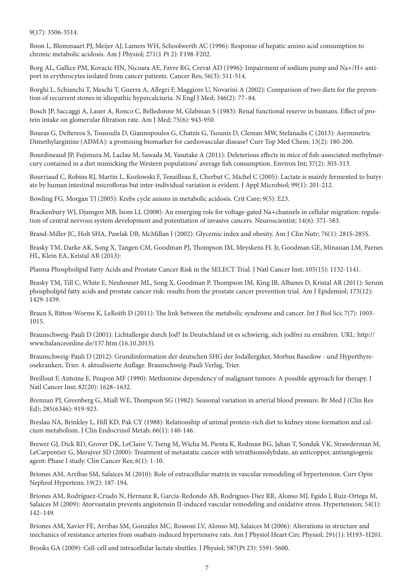9(17): 3506-3514.

Boon L, Blommaart PJ, Meijer AJ, Lamers WH, Schoolwerth AC (1996): Response of hepatic amino acid consumption to chronic metabolic acidosis. Am J Physiol; 271(1 Pt 2): F198-F202.

Borg AL, Gallice PM, Kovacic HN, Nicoara AE, Favre RG, Crevat AD (1996): Impairment of sodium pump and Na+/H+ antiport in erythrocytes isolated from cancer patients. Cancer Res; 56(3): 511-514.

Borghi L, Schianchi T, Meschi T, Guerra A, Allegri F, Maggiore U, Novarini A (2002): Comparison of two diets for the prevention of recurrent stones in idiopathic hypercalciuria. N Engl J Med; 346(2): 77–84.

Bosch JP, Saccaggi A, Lauer A, Ronco C, Belledonne M, Glabman S (1983): Renal functional reserve in humans. Effect of protein intake on glomerular filtration rate. Am J Med; 75(6): 943-950.

Bouras G, Deftereos S, Tousoulis D, Giannopoulos G, Chatzis G, Tsounis D, Cleman MW, Stefanadis C (2013): Asymmetric Dimethylarginine (ADMA): a promising biomarker for cardiovascular disease? Curr Top Med Chem; 13(2): 180-200.

Bourdineaud JP, Fujimura M, Laclau M, Sawada M, Yasutake A (2011): Deleterious effects in mice of fish-associated methylmercury contained in a diet mimicking the Western populations' average fish consumption. Environ Int; 37(2): 303-313.

Bourriaud C, Robins RJ, Martin L, Kozlowski F, Tenailleau E, Cherbut C, Michel C (2005): Lactate is mainly fermented to butyrate by human intestinal microfloras but inter-individual variation is evident. J Appl Microbiol; 99(1): 201-212.

Bowling FG, Morgan TJ (2005): Krebs cycle anions in metabolic acidosis. Crit Care; 9(5): E23.

Brackenbury WJ, Djamgoz MB, Isom LL (2008): An emerging role for voltage-gated Na+channels in cellular migration: regulation of central nervous system development and potentiation of invasive cancers. Neuroscientist; 14(6): 571-583.

Brand-Miller JC, Holt SHA, Pawlak DB, McMillan J (2002): Glycemic index and obesity. Am J Clin Nutr; 76(1): 281S-285S.

Brasky TM, Darke AK, Song X, Tangen CM, Goodman PJ, Thompson IM, Meyskens FL Jr, Goodman GE, Minasian LM, Parnes HL, Klein EA, Kristal AR (2013):

Plasma Phospholipid Fatty Acids and Prostate Cancer Risk in the SELECT Trial. J Natl Cancer Inst; 105(15): 1132-1141.

Brasky TM, Till C, White E, Neuhouser ML, Song X, Goodman P, Thompson IM, King IB, Albanes D, Kristal AR (2011): Serum phospholipid fatty acids and prostate cancer risk: results from the prostate cancer prevention trial. Am J Epidemiol; 173(12): 1429-1439.

Braun S, Bitton-Worms K, LeRoith D (2011): The link between the metabolic syndrome and cancer. Int J Biol Sci; 7(7): 1003- 1015.

Braunschweig-Pauli D (2001): Lichtallergie durch Jod? In Deutschland ist es schwierig, sich jodfrei zu ernähren. URL: http:// www.balanceonline.de/137.htm (16.10.2013).

Braunschweig-Pauli D (2012): Grundinformation der deutschen SHG der Jodallergiker, Morbus Basedow - und Hyperthyreosekranken, Trier. 4. aktualisierte Auflage. Braunschweig-Pauli Verlag, Trier.

Breillout F, Antoine E, Poupon MF (1990): Methionine dependency of malignant tumors: A possible approach for therapy. J Natl Cancer Inst; 82(20): 1628–1632.

Brennan PJ, Greenberg G, Miall WE, Thompson SG (1982): Seasonal variation in arterial blood pressure. Br Med J (Clin Res Ed); 285(6346): 919-923.

Breslau NA, Brinkley L, Hill KD, Pak CY (1988): Relationship of animal protein-rich diet to kidney stone formation and calcium metabolism. J Clin Endocrinol Metab; 66(1): 140-146.

Brewer GJ, Dick RD, Grover DK, LeClaire V, Tseng M, Wicha M, Pienta K, Redman BG, Jahan T, Sondak VK, Strawderman M, LeCarpentier G, Merajver SD (2000): Treatment of metastatic cancer with tetrathiomolybdate, an anticopper, antiangiogenic agent: Phase I study. Clin Cancer Res; 6(1): 1-10.

Briones AM, Arribas SM, Salaices M (2010): Role of extracellular matrix in vascular remodeling of hypertension. Curr Opin Nephrol Hypertens; 19(2): 187-194.

Briones AM, Rodríguez-Criado N, Hernanz R, García-Redondo AB, Rodrigues-Díez RR, Alonso MJ, Egido J, Ruiz-Ortega M, Salaices M (2009): Atorvastatin prevents angiotensin II-induced vascular remodeling and oxidative stress. Hypertension; 54(1): 142–149.

Briones AM, Xavier FE, Arribas SM, González MC, Rossoni LV, Alonso MJ, Salaices M (2006): Alterations in structure and mechanics of resistance arteries from ouabain-induced hypertensive rats. Am J Physiol Heart Circ Physiol; 291(1): H193–H201.

Brooks GA (2009): Cell-cell and intracellular lactate shuttles. J Physiol; 587(Pt 23): 5591-5600.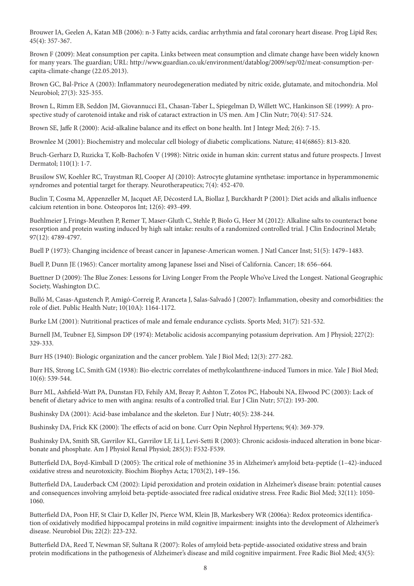Brouwer IA, Geelen A, Katan MB (2006): n-3 Fatty acids, cardiac arrhythmia and fatal coronary heart disease. Prog Lipid Res; 45(4): 357-367.

Brown F (2009): Meat consumption per capita. Links between meat consumption and climate change have been widely known for many years. The guardian; URL: http://www.guardian.co.uk/environment/datablog/2009/sep/02/meat-consumption-percapita-climate-change (22.05.2013).

Brown GC, Bal-Price A (2003): Inflammatory neurodegeneration mediated by nitric oxide, glutamate, and mitochondria. Mol Neurobiol; 27(3): 325-355.

Brown L, Rimm EB, Seddon JM, Giovannucci EL, Chasan-Taber L, Spiegelman D, Willett WC, Hankinson SE (1999): A prospective study of carotenoid intake and risk of cataract extraction in US men. Am J Clin Nutr; 70(4): 517-524.

Brown SE, Jaffe R (2000): Acid-alkaline balance and its effect on bone health. Int J Integr Med; 2(6): 7-15.

Brownlee M (2001): Biochemistry and molecular cell biology of diabetic complications. Nature; 414(6865): 813-820.

Bruch-Gerharz D, Ruzicka T, Kolb-Bachofen V (1998): Nitric oxide in human skin: current status and future prospects. J Invest Dermatol; 110(1): 1-7.

Brusilow SW, Koehler RC, Traystman RJ, Cooper AJ (2010): Astrocyte glutamine synthetase: importance in hyperammonemic syndromes and potential target for therapy. Neurotherapeutics; 7(4): 452-470.

Buclin T, Cosma M, Appenzeller M, Jacquet AF, Décosterd LA, Biollaz J, Burckhardt P (2001): Diet acids and alkalis influence calcium retention in bone. Osteoporos Int; 12(6): 493-499.

Buehlmeier J, Frings-Meuthen P, Remer T, Maser-Gluth C, Stehle P, Biolo G, Heer M (2012): Alkaline salts to counteract bone resorption and protein wasting induced by high salt intake: results of a randomized controlled trial. J Clin Endocrinol Metab; 97(12): 4789-4797.

Buell P (1973): Changing incidence of breast cancer in Japanese-American women. J Natl Cancer Inst; 51(5): 1479–1483.

Buell P, Dunn JE (1965): Cancer mortality among Japanese Issei and Nisei of California. Cancer; 18: 656–664.

Buettner D (2009): The Blue Zones: Lessons for Living Longer From the People Who've Lived the Longest. National Geographic Society, Washington D.C.

Bulló M, Casas-Agustench P, Amigó-Correig P, Aranceta J, Salas-Salvadó J (2007): Inflammation, obesity and comorbidities: the role of diet. Public Health Nutr; 10(10A): 1164-1172.

Burke LM (2001): Nutritional practices of male and female endurance cyclists. Sports Med; 31(7): 521-532.

Burnell JM, Teubner EJ, Simpson DP (1974): Metabolic acidosis accompanying potassium deprivation. Am J Physiol; 227(2): 329-333.

Burr HS (1940): Biologic organization and the cancer problem. Yale J Biol Med; 12(3): 277-282.

Burr HS, Strong LC, Smith GM (1938): Bio-electric correlates of methylcolanthrene-induced Tumors in mice. Yale J Biol Med; 10(6): 539-544.

Burr ML, Ashfield-Watt PA, Dunstan FD, Fehily AM, Breay P, Ashton T, Zotos PC, Haboubi NA, Elwood PC (2003): Lack of benefit of dietary advice to men with angina: results of a controlled trial. Eur J Clin Nutr; 57(2): 193-200.

Bushinsky DA (2001): Acid-base imbalance and the skeleton. Eur J Nutr; 40(5): 238-244.

Bushinsky DA, Frick KK (2000): The effects of acid on bone. Curr Opin Nephrol Hypertens; 9(4): 369-379.

Bushinsky DA, Smith SB, Gavrilov KL, Gavrilov LF, Li J, Levi-Setti R (2003): Chronic acidosis-induced alteration in bone bicarbonate and phosphate. Am J Physiol Renal Physiol; 285(3): F532-F539.

Butterfield DA, Boyd-Kimball D (2005): The critical role of methionine 35 in Alzheimer's amyloid beta-peptide (1–42)-induced oxidative stress and neurotoxicity. Biochim Biophys Acta; 1703(2), 149–156.

Butterfield DA, Lauderback CM (2002): Lipid peroxidation and protein oxidation in Alzheimer's disease brain: potential causes and consequences involving amyloid beta-peptide-associated free radical oxidative stress. Free Radic Biol Med; 32(11): 1050- 1060.

Butterfield DA, Poon HF, St Clair D, Keller JN, Pierce WM, Klein JB, Markesbery WR (2006a): Redox proteomics identification of oxidatively modified hippocampal proteins in mild cognitive impairment: insights into the development of Alzheimer's disease. Neurobiol Dis; 22(2): 223-232.

Butterfield DA, Reed T, Newman SF, Sultana R (2007): Roles of amyloid beta-peptide-associated oxidative stress and brain protein modifications in the pathogenesis of Alzheimer's disease and mild cognitive impairment. Free Radic Biol Med; 43(5):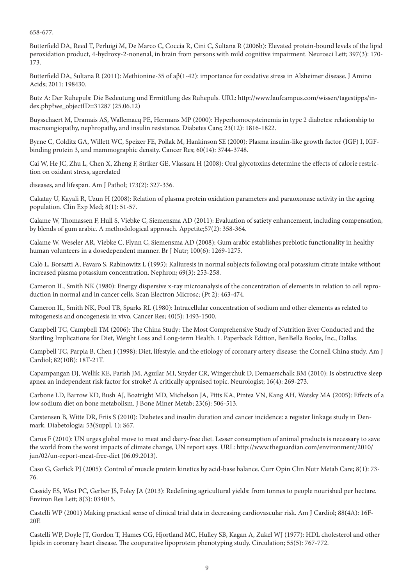658-677.

Butterfield DA, Reed T, Perluigi M, De Marco C, Coccia R, Cini C, Sultana R (2006b): Elevated protein-bound levels of the lipid peroxidation product, 4-hydroxy-2-nonenal, in brain from persons with mild cognitive impairment. Neurosci Lett; 397(3): 170- 173.

Butterfield DA, Sultana R (2011): Methionine-35 of aβ(1-42): importance for oxidative stress in Alzheimer disease. J Amino Acids; 2011: 198430.

Butz A: Der Ruhepuls: Die Bedeutung und Ermittlung des Ruhepuls. URL: http://www.laufcampus.com/wissen/tagestipps/index.php?we\_objectID=31287 (25.06.12)

Buysschaert M, Dramais AS, Wallemacq PE, Hermans MP (2000): Hyperhomocysteinemia in type 2 diabetes: relationship to macroangiopathy, nephropathy, and insulin resistance. Diabetes Care; 23(12): 1816-1822.

Byrne C, Colditz GA, Willett WC, Speizer FE, Pollak M, Hankinson SE (2000): Plasma insulin-like growth factor (IGF) I, IGFbinding protein 3, and mammographic density. Cancer Res; 60(14): 3744-3748.

Cai W, He JC, Zhu L, Chen X, Zheng F, Striker GE, Vlassara H (2008): Oral glycotoxins determine the effects of calorie restriction on oxidant stress, agerelated

diseases, and lifespan. Am J Pathol; 173(2): 327-336.

Cakatay U, Kayali R, Uzun H (2008): Relation of plasma protein oxidation parameters and paraoxonase activity in the ageing population. Clin Exp Med; 8(1): 51-57.

Calame W, Thomassen F, Hull S, Viebke C, Siemensma AD (2011): Evaluation of satiety enhancement, including compensation, by blends of gum arabic. A methodological approach. Appetite;57(2): 358-364.

Calame W, Weseler AR, Viebke C, Flynn C, Siemensma AD (2008): Gum arabic establishes prebiotic functionality in healthy human volunteers in a dosedependent manner. Br J Nutr; 100(6): 1269-1275.

Calò L, Borsatti A, Favaro S, Rabinowitz L (1995): Kaliuresis in normal subjects following oral potassium citrate intake without increased plasma potassium concentration. Nephron; 69(3): 253-258.

Cameron IL, Smith NK (1980): Energy dispersive x-ray microanalysis of the concentration of elements in relation to cell reproduction in normal and in cancer cells. Scan Electron Microsc; (Pt 2): 463-474.

Cameron IL, Smith NK, Pool TB, Sparks RL (1980): Intracellular concentration of sodium and other elements as related to mitogenesis and oncogenesis in vivo. Cancer Res; 40(5): 1493-1500.

Campbell TC, Campbell TM (2006): The China Study: The Most Comprehensive Study of Nutrition Ever Conducted and the Startling Implications for Diet, Weight Loss and Long-term Health. 1. Paperback Edition, BenBella Books, Inc., Dallas.

Campbell TC, Parpia B, Chen J (1998): Diet, lifestyle, and the etiology of coronary artery disease: the Cornell China study. Am J Cardiol; 82(10B): 18T-21T.

Capampangan DJ, Wellik KE, Parish JM, Aguilar MI, Snyder CR, Wingerchuk D, Demaerschalk BM (2010): Is obstructive sleep apnea an independent risk factor for stroke? A critically appraised topic. Neurologist; 16(4): 269-273.

Carbone LD, Barrow KD, Bush AJ, Boatright MD, Michelson JA, Pitts KA, Pintea VN, Kang AH, Watsky MA (2005): Effects of a low sodium diet on bone metabolism. J Bone Miner Metab; 23(6): 506-513.

Carstensen B, Witte DR, Friis S (2010): Diabetes and insulin duration and cancer incidence: a register linkage study in Denmark. Diabetologia; 53(Suppl. 1): S67.

Carus F (2010): UN urges global move to meat and dairy-free diet. Lesser consumption of animal products is necessary to save the world from the worst impacts of climate change, UN report says. URL: http://www.theguardian.com/environment/2010/ jun/02/un-report-meat-free-diet (06.09.2013).

Caso G, Garlick PJ (2005): Control of muscle protein kinetics by acid-base balance. Curr Opin Clin Nutr Metab Care; 8(1): 73- 76.

Cassidy ES, West PC, Gerber JS, Foley JA (2013): Redefining agricultural yields: from tonnes to people nourished per hectare. Environ Res Lett; 8(3): 034015.

Castelli WP (2001) Making practical sense of clinical trial data in decreasing cardiovascular risk. Am J Cardiol; 88(4A): 16F-20F.

Castelli WP, Doyle JT, Gordon T, Hames CG, Hjortland MC, Hulley SB, Kagan A, Zukel WJ (1977): HDL cholesterol and other lipids in coronary heart disease. The cooperative lipoprotein phenotyping study. Circulation; 55(5): 767-772.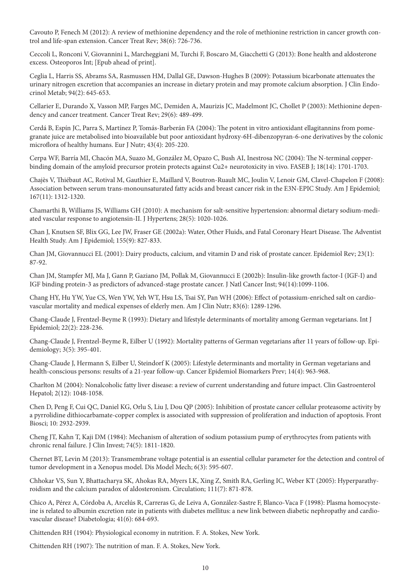Cavouto P, Fenech M (2012): A review of methionine dependency and the role of methionine restriction in cancer growth control and life-span extension. Cancer Treat Rev; 38(6): 726-736.

Ceccoli L, Ronconi V, Giovannini L, Marcheggiani M, Turchi F, Boscaro M, Giacchetti G (2013): Bone health and aldosterone excess. Osteoporos Int; [Epub ahead of print].

Ceglia L, Harris SS, Abrams SA, Rasmussen HM, Dallal GE, Dawson-Hughes B (2009): Potassium bicarbonate attenuates the urinary nitrogen excretion that accompanies an increase in dietary protein and may promote calcium absorption. J Clin Endocrinol Metab; 94(2): 645-653.

Cellarier E, Durando X, Vasson MP, Farges MC, Demiden A, Maurizis JC, Madelmont JC, Chollet P (2003): Methionine dependency and cancer treatment. Cancer Treat Rev; 29(6): 489-499.

Cerdá B, Espín JC, Parra S, Martínez P, Tomás-Barberán FA (2004): The potent in vitro antioxidant ellagitannins from pomegranate juice are metabolised into bioavailable but poor antioxidant hydroxy-6H-dibenzopyran-6-one derivatives by the colonic microflora of healthy humans. Eur J Nutr; 43(4): 205-220.

Cerpa WF, Barría MI, Chacón MA, Suazo M, González M, Opazo C, Bush AI, Inestrosa NC (2004): The N-terminal copperbinding domain of the amyloid precursor protein protects against Cu2+ neurotoxicity in vivo. FASEB J; 18(14): 1701-1703.

Chajès V, Thiébaut AC, Rotival M, Gauthier E, Maillard V, Boutron-Ruault MC, Joulin V, Lenoir GM, Clavel-Chapelon F (2008): Association between serum trans-monounsaturated fatty acids and breast cancer risk in the E3N-EPIC Study. Am J Epidemiol; 167(11): 1312-1320.

Chamarthi B, Williams JS, Williams GH (2010): A mechanism for salt-sensitive hypertension: abnormal dietary sodium-mediated vascular response to angiotensin-II. J Hypertens; 28(5): 1020-1026.

Chan J, Knutsen SF, Blix GG, Lee JW, Fraser GE (2002a): Water, Other Fluids, and Fatal Coronary Heart Disease. The Adventist Health Study. Am J Epidemiol; 155(9): 827-833.

Chan JM, Giovannucci EL (2001): Dairy products, calcium, and vitamin D and risk of prostate cancer. Epidemiol Rev; 23(1): 87-92.

Chan JM, Stampfer MJ, Ma J, Gann P, Gaziano JM, Pollak M, Giovannucci E (2002b): Insulin-like growth factor-I (IGF-I) and IGF binding protein-3 as predictors of advanced-stage prostate cancer. J Natl Cancer Inst; 94(14):1099-1106.

Chang HY, Hu YW, Yue CS, Wen YW, Yeh WT, Hsu LS, Tsai SY, Pan WH (2006): Effect of potassium-enriched salt on cardiovascular mortality and medical expenses of elderly men. Am J Clin Nutr; 83(6): 1289-1296.

Chang-Claude J, Frentzel-Beyme R (1993): Dietary and lifestyle determinants of mortality among German vegetarians. Int J Epidemiol; 22(2): 228-236.

Chang-Claude J, Frentzel-Beyme R, Eilber U (1992): Mortality patterns of German vegetarians after 11 years of follow-up. Epidemiology; 3(5): 395-401.

Chang-Claude J, Hermann S, Eilber U, Steindorf K (2005): Lifestyle determinants and mortality in German vegetarians and health-conscious persons: results of a 21-year follow-up. Cancer Epidemiol Biomarkers Prev; 14(4): 963-968.

Charlton M (2004): Nonalcoholic fatty liver disease: a review of current understanding and future impact. Clin Gastroenterol Hepatol; 2(12): 1048-1058.

Chen D, Peng F, Cui QC, Daniel KG, Orlu S, Liu J, Dou QP (2005): Inhibition of prostate cancer cellular proteasome activity by a pyrrolidine dithiocarbamate-copper complex is associated with suppression of proliferation and induction of apoptosis. Front Biosci; 10: 2932-2939.

Cheng JT, Kahn T, Kaji DM (1984): Mechanism of alteration of sodium potassium pump of erythrocytes from patients with chronic renal failure. J Clin Invest; 74(5): 1811-1820.

Chernet BT, Levin M (2013): Transmembrane voltage potential is an essential cellular parameter for the detection and control of tumor development in a Xenopus model. Dis Model Mech; 6(3): 595-607.

Chhokar VS, Sun Y, Bhattacharya SK, Ahokas RA, Myers LK, Xing Z, Smith RA, Gerling IC, Weber KT (2005): Hyperparathyroidism and the calcium paradox of aldosteronism. Circulation; 111(7): 871-878.

Chico A, Pérez A, Córdoba A, Arcelús R, Carreras G, de Leiva A, González-Sastre F, Blanco-Vaca F (1998): Plasma homocysteine is related to albumin excretion rate in patients with diabetes mellitus: a new link between diabetic nephropathy and cardiovascular disease? Diabetologia; 41(6): 684-693.

Chittenden RH (1904): Physiological economy in nutrition. F. A. Stokes, New York.

Chittenden RH (1907): The nutrition of man. F. A. Stokes, New York.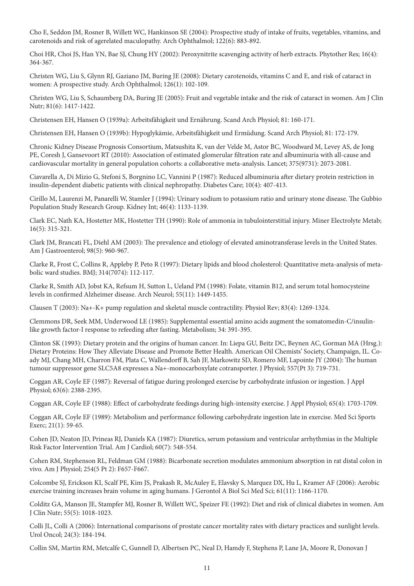Cho E, Seddon JM, Rosner B, Willett WC, Hankinson SE (2004): Prospective study of intake of fruits, vegetables, vitamins, and carotenoids and risk of agerelated maculopathy. Arch Ophthalmol; 122(6): 883-892.

Choi HR, Choi JS, Han YN, Bae SJ, Chung HY (2002): Peroxynitrite scavenging activity of herb extracts. Phytother Res; 16(4): 364-367.

Christen WG, Liu S, Glynn RJ, Gaziano JM, Buring JE (2008): Dietary carotenoids, vitamins C and E, and risk of cataract in women: A prospective study. Arch Ophthalmol; 126(1): 102-109.

Christen WG, Liu S, Schaumberg DA, Buring JE (2005): Fruit and vegetable intake and the risk of cataract in women. Am J Clin Nutr; 81(6): 1417-1422.

Christensen EH, Hansen O (1939a): Arbeitsfähigkeit und Ernährung. Scand Arch Physiol; 81: 160-171.

Christensen EH, Hansen O (1939b): Hypoglykämie, Arbeitsfähigkeit und Ermüdung. Scand Arch Physiol; 81: 172-179.

Chronic Kidney Disease Prognosis Consortium, Matsushita K, van der Velde M, Astor BC, Woodward M, Levey AS, de Jong PE, Coresh J, Gansevoort RT (2010): Association of estimated glomerular filtration rate and albuminuria with all-cause and cardiovascular mortality in general population cohorts: a collaborative meta-analysis. Lancet; 375(9731): 2073-2081.

Ciavarella A, Di Mizio G, Stefoni S, Borgnino LC, Vannini P (1987): Reduced albuminuria after dietary protein restriction in insulin-dependent diabetic patients with clinical nephropathy. Diabetes Care; 10(4): 407-413.

Cirillo M, Laurenzi M, Panarelli W, Stamler J (1994): Urinary sodium to potassium ratio and urinary stone disease. The Gubbio Population Study Research Group. Kidney Int; 46(4): 1133-1139.

Clark EC, Nath KA, Hostetter MK, Hostetter TH (1990): Role of ammonia in tubulointerstitial injury. Miner Electrolyte Metab; 16(5): 315-321.

Clark JM, Brancati FL, Diehl AM (2003): The prevalence and etiology of elevated aminotransferase levels in the United States. Am J Gastroenterol; 98(5): 960-967.

Clarke R, Frost C, Collins R, Appleby P, Peto R (1997): Dietary lipids and blood cholesterol: Quantitative meta-analysis of metabolic ward studies. BMJ; 314(7074): 112-117.

Clarke R, Smith AD, Jobst KA, Refsum H, Sutton L, Ueland PM (1998): Folate, vitamin B12, and serum total homocysteine levels in confirmed Alzheimer disease. Arch Neurol; 55(11): 1449-1455.

Clausen T (2003): Na+-K+ pump regulation and skeletal muscle contractility. Physiol Rev; 83(4): 1269-1324.

Clemmons DR, Seek MM, Underwood LE (1985): Supplemental essential amino acids augment the somatomedin-C/insulinlike growth factor-I response to refeeding after fasting. Metabolism; 34: 391-395.

Clinton SK (1993): Dietary protein and the origins of human cancer. In: Liepa GU, Beitz DC, Beynen AC, Gorman MA (Hrsg.): Dietary Proteins: How They Alleviate Disease and Promote Better Health. American Oil Chemists' Society, Champaign, IL. Coady MJ, Chang MH, Charron FM, Plata C, Wallendorff B, Sah JF, Markowitz SD, Romero MF, Lapointe JY (2004): The human tumour suppressor gene SLC5A8 expresses a Na+-monocarboxylate cotransporter. J Physiol; 557(Pt 3): 719-731.

Coggan AR, Coyle EF (1987): Reversal of fatigue during prolonged exercise by carbohydrate infusion or ingestion. J Appl Physiol; 63(6): 2388-2395.

Coggan AR, Coyle EF (1988): Effect of carbohydrate feedings during high-intensity exercise. J Appl Physiol; 65(4): 1703-1709.

Coggan AR, Coyle EF (1989): Metabolism and performance following carbohydrate ingestion late in exercise. Med Sci Sports Exerc; 21(1): 59-65.

Cohen JD, Neaton JD, Prineas RJ, Daniels KA (1987): Diuretics, serum potassium and ventricular arrhythmias in the Multiple Risk Factor Intervention Trial. Am J Cardiol; 60(7): 548-554.

Cohen RM, Stephenson RL, Feldman GM (1988): Bicarbonate secretion modulates ammonium absorption in rat distal colon in vivo. Am J Physiol; 254(5 Pt 2): F657-F667.

Colcombe SJ, Erickson KI, Scalf PE, Kim JS, Prakash R, McAuley E, Elavsky S, Marquez DX, Hu L, Kramer AF (2006): Aerobic exercise training increases brain volume in aging humans. J Gerontol A Biol Sci Med Sci; 61(11): 1166-1170.

Colditz GA, Manson JE, Stampfer MJ, Rosner B, Willett WC, Speizer FE (1992): Diet and risk of clinical diabetes in women. Am J Clin Nutr; 55(5): 1018-1023.

Colli JL, Colli A (2006): International comparisons of prostate cancer mortality rates with dietary practices and sunlight levels. Urol Oncol; 24(3): 184-194.

Collin SM, Martin RM, Metcalfe C, Gunnell D, Albertsen PC, Neal D, Hamdy F, Stephens P, Lane JA, Moore R, Donovan J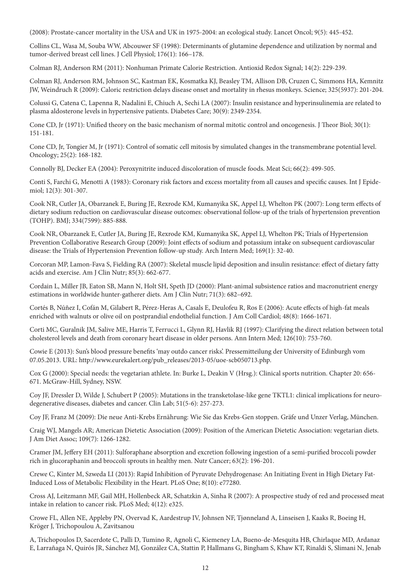(2008): Prostate-cancer mortality in the USA and UK in 1975-2004: an ecological study. Lancet Oncol; 9(5): 445-452.

Collins CL, Wasa M, Souba WW, Abcouwer SF (1998): Determinants of glutamine dependence and utilization by normal and tumor-derived breast cell lines. J Cell Physiol; 176(1): 166–178.

Colman RJ, Anderson RM (2011): Nonhuman Primate Calorie Restriction. Antioxid Redox Signal; 14(2): 229-239.

Colman RJ, Anderson RM, Johnson SC, Kastman EK, Kosmatka KJ, Beasley TM, Allison DB, Cruzen C, Simmons HA, Kemnitz JW, Weindruch R (2009): Caloric restriction delays disease onset and mortality in rhesus monkeys. Science; 325(5937): 201-204.

Colussi G, Catena C, Lapenna R, Nadalini E, Chiuch A, Sechi LA (2007): Insulin resistance and hyperinsulinemia are related to plasma aldosterone levels in hypertensive patients. Diabetes Care; 30(9): 2349-2354.

Cone CD, Jr (1971): Unified theory on the basic mechanism of normal mitotic control and oncogenesis. J Theor Biol; 30(1): 151-181.

Cone CD, Jr, Tongier M, Jr (1971): Control of somatic cell mitosis by simulated changes in the transmembrane potential level. Oncology; 25(2): 168-182.

Connolly BJ, Decker EA (2004): Peroxynitrite induced discoloration of muscle foods. Meat Sci; 66(2): 499-505.

Conti S, Farchi G, Menotti A (1983): Coronary risk factors and excess mortality from all causes and specific causes. Int J Epidemiol; 12(3): 301-307.

Cook NR, Cutler JA, Obarzanek E, Buring JE, Rexrode KM, Kumanyika SK, Appel LJ, Whelton PK (2007): Long term effects of dietary sodium reduction on cardiovascular disease outcomes: observational follow-up of the trials of hypertension prevention (TOHP). BMJ; 334(7599): 885-888.

Cook NR, Obarzanek E, Cutler JA, Buring JE, Rexrode KM, Kumanyika SK, Appel LJ, Whelton PK; Trials of Hypertension Prevention Collaborative Research Group (2009): Joint effects of sodium and potassium intake on subsequent cardiovascular disease: the Trials of Hypertension Prevention follow-up study. Arch Intern Med; 169(1): 32-40.

Corcoran MP, Lamon-Fava S, Fielding RA (2007): Skeletal muscle lipid deposition and insulin resistance: effect of dietary fatty acids and exercise. Am J Clin Nutr; 85(3): 662-677.

Cordain L, Miller JB, Eaton SB, Mann N, Holt SH, Speth JD (2000): Plant-animal subsistence ratios and macronutrient energy estimations in worldwide hunter-gatherer diets. Am J Clin Nutr; 71(3): 682–692.

Cortés B, Núñez I, Cofán M, Gilabert R, Pérez-Heras A, Casals E, Deulofeu R, Ros E (2006): Acute effects of high-fat meals enriched with walnuts or olive oil on postprandial endothelial function. J Am Coll Cardiol; 48(8): 1666-1671.

Corti MC, Guralnik JM, Salive ME, Harris T, Ferrucci L, Glynn RJ, Havlik RJ (1997): Clarifying the direct relation between total cholesterol levels and death from coronary heart disease in older persons. Ann Intern Med; 126(10): 753-760.

Cowie E (2013): Sun's blood pressure benefits 'may outdo cancer risks'. Pressemitteilung der University of Edinburgh vom 07.05.2013. URL: http://www.eurekalert.org/pub\_releases/2013-05/uoe-scb050713.php.

Cox G (2000): Special needs: the vegetarian athlete. In: Burke L, Deakin V (Hrsg.): Clinical sports nutrition. Chapter 20: 656- 671. McGraw-Hill, Sydney, NSW.

Coy JF, Dressler D, Wilde J, Schubert P (2005): Mutations in the transketolase-like gene TKTL1: clinical implications for neurodegenerative diseases, diabetes and cancer. Clin Lab; 51(5-6): 257-273.

Coy JF, Franz M (2009): Die neue Anti-Krebs Ernährung: Wie Sie das Krebs-Gen stoppen. Gräfe und Unzer Verlag, München.

Craig WJ, Mangels AR; American Dietetic Association (2009): Position of the American Dietetic Association: vegetarian diets. J Am Diet Assoc; 109(7): 1266-1282.

Cramer JM, Jeffery EH (2011): Sulforaphane absorption and excretion following ingestion of a semi-purified broccoli powder rich in glucoraphanin and broccoli sprouts in healthy men. Nutr Cancer; 63(2): 196-201.

Crewe C, Kinter M, Szweda LI (2013): Rapid Inhibition of Pyruvate Dehydrogenase: An Initiating Event in High Dietary Fat-Induced Loss of Metabolic Flexibility in the Heart. PLoS One; 8(10): e77280.

Cross AJ, Leitzmann MF, Gail MH, Hollenbeck AR, Schatzkin A, Sinha R (2007): A prospective study of red and processed meat intake in relation to cancer risk. PLoS Med; 4(12): e325.

Crowe FL, Allen NE, Appleby PN, Overvad K, Aardestrup IV, Johnsen NF, Tjønneland A, Linseisen J, Kaaks R, Boeing H, Kröger J, Trichopoulou A, Zavitsanou

A, Trichopoulos D, Sacerdote C, Palli D, Tumino R, Agnoli C, Kiemeney LA, Bueno-de-Mesquita HB, Chirlaque MD, Ardanaz E, Larrañaga N, Quirós JR, Sánchez MJ, González CA, Stattin P, Hallmans G, Bingham S, Khaw KT, Rinaldi S, Slimani N, Jenab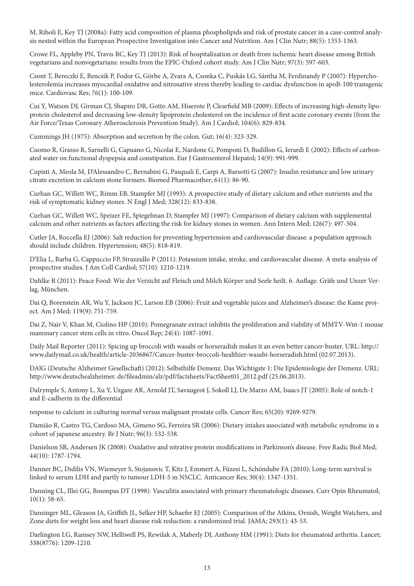M, Riboli E, Key TJ (2008a): Fatty acid composition of plasma phospholipids and risk of prostate cancer in a case-control analysis nested within the European Prospective Investigation into Cancer and Nutrition. Am J Clin Nutr; 88(5): 1353-1363.

Crowe FL, Appleby PN, Travis RC, Key TJ (2013): Risk of hospitalization or death from ischemic heart disease among British vegetarians and nonvegetarians: results from the EPIC-Oxford cohort study. Am J Clin Nutr; 97(3): 597-603.

Csont T, Bereczki E, Bencsik P, Fodor G, Görbe A, Zvara A, Csonka C, Puskás LG, Sántha M, Ferdinandy P (2007): Hypercholesterolemia increases myocardial oxidative and nitrosative stress thereby leading to cardiac dysfunction in apoB-100 transgenic mice. Cardiovasc Res; 76(1): 100-109.

Cui Y, Watson DJ, Girman CJ, Shapiro DR, Gotto AM, Hiserote P, Clearfield MB (2009): Effects of increasing high-density lipoprotein cholesterol and decreasing low-density lipoprotein cholesterol on the incidence of first acute coronary events (from the Air Force/Texas Coronary Atherosclerosis Prevention Study). Am J Cardiol; 104(6): 829-834.

Cummings JH (1975): Absorption and secretion by the colon. Gut; 16(4): 323-329.

Cuomo R, Grasso R, Sarnelli G, Capuano G, Nicolai E, Nardone G, Pomponi D, Budillon G, Ierardi E (2002): Effects of carbonated water on functional dyspepsia and constipation. Eur J Gastroenterol Hepatol; 14(9): 991-999.

Cupisti A, Meola M, D'Alessandro C, Bernabini G, Pasquali E, Carpi A, Barsotti G (2007): Insulin resistance and low urinary citrate excretion in calcium stone formers. Biomed Pharmacother; 61(1): 86-90.

Curhan GC, Willett WC, Rimm EB, Stampfer MJ (1993): A prospective study of dietary calcium and other nutrients and the risk of symptomatic kidney stones. N Engl J Med; 328(12): 833-838.

Curhan GC, Willett WC, Speizer FE, Spiegelman D, Stampfer MJ (1997): Comparison of dietary calcium with supplemental calcium and other nutrients as factors affecting the risk for kidney stones in women. Ann Intern Med; 126(7): 497-504.

Cutler JA, Roccella EJ (2006): Salt reduction for preventing hypertension and cardiovascular disease: a population approach should include children. Hypertension; 48(5): 818-819.

D'Elia L, Barba G, Cappuccio FP, Strazzullo P (2011): Potassium intake, stroke, and cardiovascular disease. A meta-analysis of prospective studies. J Am Coll Cardiol; 57(10): 1210-1219.

Dahlke R (2011): Peace Food: Wie der Verzicht auf Fleisch und Milch Körper und Seele heilt. 6. Auflage. Gräfe und Unzer Verlag, München.

Dai Q, Borenstein AR, Wu Y, Jackson JC, Larson EB (2006): Fruit and vegetable juices and Alzheimer's disease: the Kame project. Am J Med; 119(9): 751-759.

Dai Z, Nair V, Khan M, Ciolino HP (2010): Pomegranate extract inhibits the proliferation and viability of MMTV-Wnt-1 mouse mammary cancer stem cells in vitro. Oncol Rep; 24(4): 1087-1091.

Daily Mail Reporter (2011): Spicing up broccoli with wasabi or horseradish makes it an even better cancer-buster. URL: http:// www.dailymail.co.uk/health/article-2036867/Cancer-buster-broccoli-healthier-wasabi-horseradish.html (02.07.2013).

DAlG (Deutsche Alzheimer Gesellschaft) (2012): Selbsthilfe Demenz. Das Wichtigste 1: Die Epidemiologie der Demenz. URL: http://www.deutschealzheimer. de/fileadmin/alz/pdf/factsheets/FactSheet01\_2012.pdf (25.06.2013).

Dalrymple S, Antony L, Xu Y, Uzgare AR, Arnold JT, Savaugeot J, Sokoll LJ, De Marzo AM, Isaacs JT (2005): Role of notch-1 and E-cadherin in the differential

response to calcium in culturing normal versus malignant prostate cells. Cancer Res; 65(20): 9269-9279.

Damião R, Castro TG, Cardoso MA, Gimeno SG, Ferreira SR (2006): Dietary intakes associated with metabolic syndrome in a cohort of japanese ancestry. Br J Nutr; 96(3): 532-538.

Danielson SR, Andersen JK (2008): Oxidative and nitrative protein modifications in Parkinson's disease. Free Radic Biol Med; 44(10): 1787-1794.

Danner BC, Didilis VN, Wiemeyer S, Stojanovic T, Kitz J, Emmert A, Füzesi L, Schöndube FA (2010): Long-term survival is linked to serum LDH and partly to tumour LDH-5 in NSCLC. Anticancer Res; 30(4): 1347-1351.

Danning CL, Illei GG, Boumpas DT (1998): Vasculitis associated with primary rheumatologic diseases. Curr Opin Rheumatol; 10(1): 58-65.

Dansinger ML, Gleason JA, Griffith JL, Selker HP, Schaefer EJ (2005): Comparison of the Atkins, Ornish, Weight Watchers, and Zone diets for weight loss and heart disease risk reduction: a randomized trial. JAMA; 293(1): 43-53.

Darlington LG, Ramsey NW, Helliwell PS, Rewilak A, Maberly DJ, Anthony HM (1991): Diets for rheumatoid arthritis. Lancet; 338(8776): 1209-1210.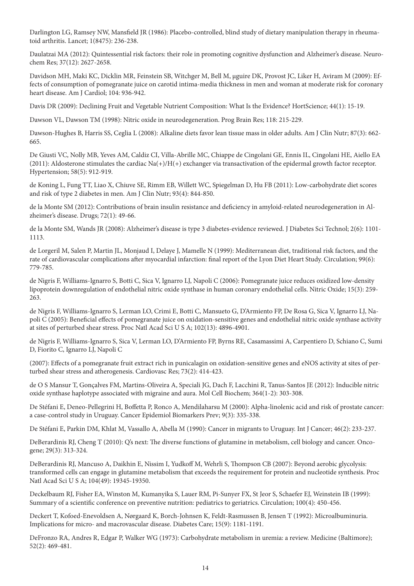Darlington LG, Ramsey NW, Mansfield JR (1986): Placebo-controlled, blind study of dietary manipulation therapy in rheumatoid arthritis. Lancet; 1(8475): 236-238.

Daulatzai MA (2012): Quintessential risk factors: their role in promoting cognitive dysfunction and Alzheimer's disease. Neurochem Res; 37(12): 2627-2658.

Davidson MH, Maki KC, Dicklin MR, Feinstein SB, Witchger M, Bell M, μguire DK, Provost JC, Liker H, Aviram M (2009): Effects of consumption of pomegranate juice on carotid intima-media thickness in men and woman at moderate risk for coronary heart disease. Am J Cardiol; 104: 936-942.

Davis DR (2009): Declining Fruit and Vegetable Nutrient Composition: What Is the Evidence? HortScience; 44(1): 15-19.

Dawson VL, Dawson TM (1998): Nitric oxide in neurodegeneration. Prog Brain Res; 118: 215-229.

Dawson-Hughes B, Harris SS, Ceglia L (2008): Alkaline diets favor lean tissue mass in older adults. Am J Clin Nutr; 87(3): 662- 665.

De Giusti VC, Nolly MB, Yeves AM, Caldiz CI, Villa-Abrille MC, Chiappe de Cingolani GE, Ennis IL, Cingolani HE, Aiello EA (2011): Aldosterone stimulates the cardiac Na(+)/H(+) exchanger via transactivation of the epidermal growth factor receptor. Hypertension; 58(5): 912-919.

de Koning L, Fung TT, Liao X, Chiuve SE, Rimm EB, Willett WC, Spiegelman D, Hu FB (2011): Low-carbohydrate diet scores and risk of type 2 diabetes in men. Am J Clin Nutr; 93(4): 844-850.

de la Monte SM (2012): Contributions of brain insulin resistance and deficiency in amyloid-related neurodegeneration in Alzheimer's disease. Drugs; 72(1): 49-66.

de la Monte SM, Wands JR (2008): Alzheimer's disease is type 3 diabetes-evidence reviewed. J Diabetes Sci Technol; 2(6): 1101- 1113.

de Lorgeril M, Salen P, Martin JL, Monjaud I, Delaye J, Mamelle N (1999): Mediterranean diet, traditional risk factors, and the rate of cardiovascular complications after myocardial infarction: final report of the Lyon Diet Heart Study. Circulation; 99(6): 779-785.

de Nigris F, Williams-Ignarro S, Botti C, Sica V, Ignarro LJ, Napoli C (2006): Pomegranate juice reduces oxidized low-density lipoprotein downregulation of endothelial nitric oxide synthase in human coronary endothelial cells. Nitric Oxide; 15(3): 259- 263.

de Nigris F, Williams-Ignarro S, Lerman LO, Crimi E, Botti C, Mansueto G, D'Armiento FP, De Rosa G, Sica V, Ignarro LJ, Napoli C (2005): Beneficial effects of pomegranate juice on oxidation-sensitive genes and endothelial nitric oxide synthase activity at sites of perturbed shear stress. Proc Natl Acad Sci U S A; 102(13): 4896-4901.

de Nigris F, Williams-Ignarro S, Sica V, Lerman LO, D'Armiento FP, Byrns RE, Casamassimi A, Carpentiero D, Schiano C, Sumi D, Fiorito C, Ignarro LJ, Napoli C

(2007): Effects of a pomegranate fruit extract rich in punicalagin on oxidation-sensitive genes and eNOS activity at sites of perturbed shear stress and atherogenesis. Cardiovasc Res; 73(2): 414-423.

de O S Mansur T, Gonçalves FM, Martins-Oliveira A, Speciali JG, Dach F, Lacchini R, Tanus-Santos JE (2012): Inducible nitric oxide synthase haplotype associated with migraine and aura. Mol Cell Biochem; 364(1-2): 303-308.

De Stéfani E, Deneo-Pellegrini H, Boffetta P, Ronco A, Mendilaharsu M (2000): Alpha-linolenic acid and risk of prostate cancer: a case-control study in Uruguay. Cancer Epidemiol Biomarkers Prev; 9(3): 335-338.

De Stéfani E, Parkin DM, Khlat M, Vassallo A, Abella M (1990): Cancer in migrants to Uruguay. Int J Cancer; 46(2): 233-237.

DeBerardinis RJ, Cheng T (2010): Q's next: The diverse functions of glutamine in metabolism, cell biology and cancer. Oncogene; 29(3): 313-324.

DeBerardinis RJ, Mancuso A, Daikhin E, Nissim I, Yudkoff M, Wehrli S, Thompson CB (2007): Beyond aerobic glycolysis: transformed cells can engage in glutamine metabolism that exceeds the requirement for protein and nucleotide synthesis. Proc Natl Acad Sci U S A; 104(49): 19345-19350.

Deckelbaum RJ, Fisher EA, Winston M, Kumanyika S, Lauer RM, Pi-Sunyer FX, St Jeor S, Schaefer EJ, Weinstein IB (1999): Summary of a scientific conference on preventive nutrition: pediatrics to geriatrics. Circulation; 100(4): 450-456.

Deckert T, Kofoed-Enevoldsen A, Nørgaard K, Borch-Johnsen K, Feldt-Rasmussen B, Jensen T (1992): Microalbuminuria. Implications for micro- and macrovascular disease. Diabetes Care; 15(9): 1181-1191.

DeFronzo RA, Andres R, Edgar P, Walker WG (1973): Carbohydrate metabolism in uremia: a review. Medicine (Baltimore); 52(2): 469-481.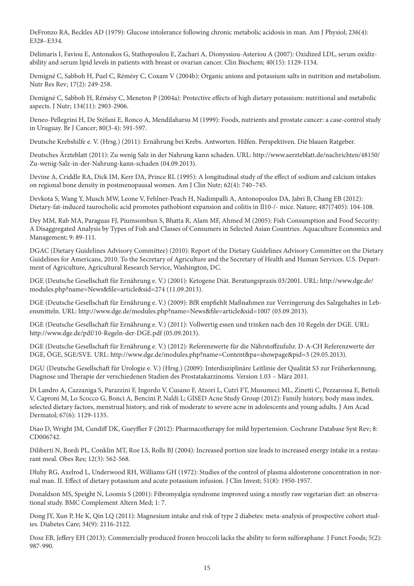DeFronzo RA, Beckles AD (1979): Glucose intolerance following chronic metabolic acidosis in man. Am J Physiol; 236(4): E328–E334.

Delimaris I, Faviou E, Antonakos G, Stathopoulou E, Zachari A, Dionyssiou-Asteriou A (2007): Oxidized LDL, serum oxidizability and serum lipid levels in patients with breast or ovarian cancer. Clin Biochem; 40(15): 1129-1134.

Demigné C, Sabboh H, Puel C, Rémésy C, Coxam V (2004b): Organic anions and potassium salts in nutrition and metabolism. Nutr Res Rev; 17(2): 249-258.

Demigné C, Sabboh H, Rémésy C, Meneton P (2004a): Protective effects of high dietary potassium: nutritional and metabolic aspects. J Nutr; 134(11): 2903-2906.

Deneo-Pellegrini H, De Stéfani E, Ronco A, Mendilaharsu M (1999): Foods, nutrients and prostate cancer: a case-control study in Uruguay. Br J Cancer; 80(3-4): 591-597.

Deutsche Krebshilfe e. V. (Hrsg.) (2011): Ernährung bei Krebs. Antworten. Hilfen. Perspektiven. Die blauen Ratgeber.

Deutsches Ärzteblatt (2011): Zu wenig Salz in der Nahrung kann schaden. URL: http://www.aerzteblatt.de/nachrichten/48150/ Zu-wenig-Salz-in-der-Nahrung-kann-schaden (04.09.2013).

Devine A, Criddle RA, Dick IM, Kerr DA, Prince RL (1995): A longitudinal study of the effect of sodium and calcium intakes on regional bone density in postmenopausal women. Am J Clin Nutr; 62(4): 740–745.

Devkota S, Wang Y, Musch MW, Leone V, Fehlner-Peach H, Nadimpalli A, Antonopoulos DA, Jabri B, Chang EB (2012): Dietary-fat-induced taurocholic acid promotes pathobiont expansion and colitis in Il10-/- mice. Nature; 487(7405): 104-108.

Dey MM, Rab MA, Paraguas FJ, Piumsombun S, Bhatta R, Alam MF, Ahmed M (2005): Fish Consumption and Food Security: A Disaggregated Analysis by Types of Fish and Classes of Consumers in Selected Asian Countries. Aquaculture Economics and Management; 9: 89-111.

DGAC (Dietary Guidelines Advisory Committee) (2010): Report of the Dietary Guidelines Advisory Committee on the Dietary Guidelines for Americans, 2010. To the Secretary of Agriculture and the Secretary of Health and Human Services. U.S. Department of Agriculture, Agricultural Research Service, Washington, DC.

DGE (Deutsche Gesellschaft für Ernährung e. V.) (2001): Ketogene Diät. Beratungspraxis 03/2001. URL: http://www.dge.de/ modules.php?name=News&file=article&sid=274 (11.09.2013).

DGE (Deutsche Gesellschaft für Ernährung e. V.) (2009): BfR empfiehlt Maßnahmen zur Verringerung des Salzgehaltes in Lebensmitteln. URL: http://www.dge.de/modules.php?name=News&file=article&sid=1007 (03.09.2013).

DGE (Deutsche Gesellschaft für Ernährung e. V.) (2011): Vollwertig essen und trinken nach den 10 Regeln der DGE. URL: http://www.dge.de/pdf/10-Regeln-der-DGE.pdf (05.09.2013).

DGE (Deutsche Gesellschaft für Ernährung e. V.) (2012): Referenzwerte für die Nährstoffzufuhr. D-A-CH Referenzwerte der DGE, ÖGE, SGE/SVE. URL: http://www.dge.de/modules.php?name=Content&pa=showpage&pid=3 (29.05.2013).

DGU (Deutsche Gesellschaft für Urologie e. V.) (Hrsg.) (2009): Interdisziplinäre Leitlinie der Qualität S3 zur Früherkennung, Diagnose und Therapie der verschiedenen Stadien des Prostatakarzinoms. Version 1.03 – März 2011.

Di Landro A, Cazzaniga S, Parazzini F, Ingordo V, Cusano F, Atzori L, Cutrì FT, Musumeci ML, Zinetti C, Pezzarossa E, Bettoli V, Caproni M, Lo Scocco G, Bonci A, Bencini P, Naldi L; GISED Acne Study Group (2012): Family history, body mass index, selected dietary factors, menstrual history, and risk of moderate to severe acne in adolescents and young adults. J Am Acad Dermatol; 67(6): 1129-1135.

Diao D, Wright JM, Cundiff DK, Gueyffier F (2012): Pharmacotherapy for mild hypertension. Cochrane Database Syst Rev; 8: CD006742.

Diliberti N, Bordi PL, Conklin MT, Roe LS, Rolls BJ (2004): Increased portion size leads to increased energy intake in a restaurant meal. Obes Res; 12(3): 562-568.

Dluhy RG, Axelrod L, Underwood RH, Williams GH (1972): Studies of the control of plasma aldosterone concentration in normal man. II. Effect of dietary potassium and acute potassium infusion. J Clin Invest; 51(8): 1950-1957.

Donaldson MS, Speight N, Loomis S (2001): Fibromyalgia syndrome improved using a mostly raw vegetarian diet: an observational study. BMC Complement Altern Med; 1: 7.

Dong JY, Xun P, He K, Qin LQ (2011): Magnesium intake and risk of type 2 diabetes: meta-analysis of prospective cohort studies. Diabetes Care; 34(9): 2116-2122.

Dosz EB, Jeffery EH (2013): Commercially produced frozen broccoli lacks the ability to form sulforaphane. J Funct Foods; 5(2): 987-990.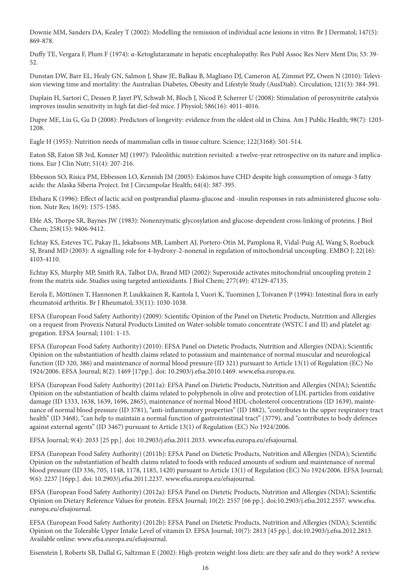Downie MM, Sanders DA, Kealey T (2002): Modelling the remission of individual acne lesions in vitro. Br J Dermatol; 147(5): 869-878.

Duffy TE, Vergara F, Plum F (1974): α-Ketoglutaramate in hepatic encephalopathy. Res Publ Assoc Res Nerv Ment Dis; 53: 39- 52.

Dunstan DW, Barr EL, Healy GN, Salmon J, Shaw JE, Balkau B, Magliano DJ, Cameron AJ, Zimmet PZ, Owen N (2010): Television viewing time and mortality: the Australian Diabetes, Obesity and Lifestyle Study (AusDiab). Circulation; 121(3): 384-391.

Duplain H, Sartori C, Dessen P, Jayet PY, Schwab M, Bloch J, Nicod P, Scherrer U (2008): Stimulation of peroxynitrite catalysis improves insulin sensitivity in high fat diet-fed mice. J Physiol; 586(16): 4011-4016.

Dupre ME, Liu G, Gu D (2008): Predictors of longevity: evidence from the oldest old in China. Am J Public Health; 98(7): 1203- 1208.

Eagle H (1955): Nutrition needs of mammalian cells in tissue culture. Science; 122(3168): 501-514.

Eaton SB, Eaton SB 3rd, Konner MJ (1997): Paleolithic nutrition revisited: a twelve-year retrospective on its nature and implications. Eur J Clin Nutr; 51(4): 207-216.

Ebbesson SO, Risica PM, Ebbesson LO, Kennish JM (2005): Eskimos have CHD despite high consumption of omega-3 fatty acids: the Alaska Siberia Project. Int J Circumpolar Health; 64(4): 387-395.

Ebihara K (1996): Effect of lactic acid on postprandial plasma-glucose and -insulin responses in rats administered glucose solution. Nutr Res; 16(9): 1575-1585.

Eble AS, Thorpe SR, Baynes JW (1983): Nonenzymatic glycosylation and glucose-dependent cross-linking of proteins. J Biol Chem; 258(15): 9406-9412.

Echtay KS, Esteves TC, Pakay JL, Jekabsons MB, Lambert AJ, Portero-Otín M, Pamplona R, Vidal-Puig AJ, Wang S, Roebuck SJ, Brand MD (2003): A signalling role for 4-hydroxy-2-nonenal in regulation of mitochondrial uncoupling. EMBO J; 22(16): 4103-4110.

Echtay KS, Murphy MP, Smith RA, Talbot DA, Brand MD (2002): Superoxide activates mitochondrial uncoupling protein 2 from the matrix side. Studies using targeted antioxidants. J Biol Chem; 277(49): 47129-47135.

Eerola E, Möttönen T, Hannonen P, Luukkainen R, Kantola I, Vuori K, Tuominen J, Toivanen P (1994): Intestinal flora in early rheumatoid arthritis. Br J Rheumatol; 33(11): 1030-1038.

EFSA (European Food Safety Authority) (2009): Scientific Opinion of the Panel on Dietetic Products, Nutrition and Allergies on a request from Provexis Natural Products Limited on Water-soluble tomato concentrate (WSTC I and II) and platelet aggregation. EFSA Journal; 1101: 1-15.

EFSA (European Food Safety Authority) (2010): EFSA Panel on Dietetic Products, Nutrition and Allergies (NDA); Scientific Opinion on the substantiation of health claims related to potassium and maintenance of normal muscular and neurological function (ID 320, 386) and maintenance of normal blood pressure (ID 321) pursuant to Article 13(1) of Regulation (EC) No 1924/2006. EFSA Journal; 8(2): 1469 [17pp.]. doi: 10.2903/j.efsa.2010.1469. www.efsa.europa.eu.

EFSA (European Food Safety Authority) (2011a): EFSA Panel on Dietetic Products, Nutrition and Allergies (NDA); Scientific Opinion on the substantiation of health claims related to polyphenols in olive and protection of LDL particles from oxidative damage (ID 1333, 1638, 1639, 1696, 2865), maintenance of normal blood HDL-cholesterol concentrations (ID 1639), maintenance of normal blood pressure (ID 3781), "anti-inflammatory properties" (ID 1882), "contributes to the upper respiratory tract health" (ID 3468), "can help to maintain a normal function of gastrointestinal tract" (3779), and "contributes to body defences against external agents" (ID 3467) pursuant to Article 13(1) of Regulation (EC) No 1924/2006.

EFSA Journal; 9(4): 2033 [25 pp.]. doi: 10.2903/j.efsa.2011.2033. www.efsa.europa.eu/efsajournal.

EFSA (European Food Safety Authority) (2011b): EFSA Panel on Dietetic Products, Nutrition and Allergies (NDA); Scientific Opinion on the substantiation of health claims related to foods with reduced amounts of sodium and maintenance of normal blood pressure (ID 336, 705, 1148, 1178, 1185, 1420) pursuant to Article 13(1) of Regulation (EC) No 1924/2006. EFSA Journal; 9(6): 2237 [16pp.]. doi: 10.2903/j.efsa.2011.2237. www.efsa.europa.eu/efsajournal.

EFSA (European Food Safety Authority) (2012a): EFSA Panel on Dietetic Products, Nutrition and Allergies (NDA); Scientific Opinion on Dietary Reference Values for protein. EFSA Journal; 10(2): 2557 [66 pp.]. doi:10.2903/j.efsa.2012.2557. www.efsa. europa.eu/efsajournal.

EFSA (European Food Safety Authority) (2012b): EFSA Panel on Dietetic Products, Nutrition and Allergies (NDA); Scientific Opinion on the Tolerable Upper Intake Level of vitamin D. EFSA Journal; 10(7): 2813 [45 pp.]. doi:10.2903/j.efsa.2012.2813. Available online: www.efsa.europa.eu/efsajournal.

Eisenstein J, Roberts SB, Dallal G, Saltzman E (2002): High-protein weight-loss diets: are they safe and do they work? A review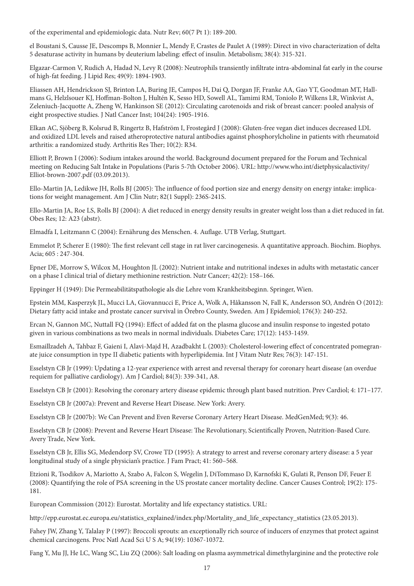of the experimental and epidemiologic data. Nutr Rev; 60(7 Pt 1): 189-200.

el Boustani S, Causse JE, Descomps B, Monnier L, Mendy F, Crastes de Paulet A (1989): Direct in vivo characterization of delta 5 desaturase activity in humans by deuterium labeling: effect of insulin. Metabolism; 38(4): 315-321.

Elgazar-Carmon V, Rudich A, Hadad N, Levy R (2008): Neutrophils transiently infiltrate intra-abdominal fat early in the course of high-fat feeding. J Lipid Res; 49(9): 1894-1903.

Eliassen AH, Hendrickson SJ, Brinton LA, Buring JE, Campos H, Dai Q, Dorgan JF, Franke AA, Gao YT, Goodman MT, Hallmans G, Helzlsouer KJ, Hoffman-Bolton J, Hultén K, Sesso HD, Sowell AL, Tamimi RM, Toniolo P, Wilkens LR, Winkvist A, Zeleniuch-Jacquotte A, Zheng W, Hankinson SE (2012): Circulating carotenoids and risk of breast cancer: pooled analysis of eight prospective studies. J Natl Cancer Inst; 104(24): 1905-1916.

Elkan AC, Sjöberg B, Kolsrud B, Ringertz B, Hafström I, Frostegård J (2008): Gluten-free vegan diet induces decreased LDL and oxidized LDL levels and raised atheroprotective natural antibodies against phosphorylcholine in patients with rheumatoid arthritis: a randomized study. Arthritis Res Ther; 10(2): R34.

Elliott P, Brown I (2006): Sodium intakes around the world. Background document prepared for the Forum and Technical meeting on Reducing Salt Intake in Populations (Paris 5-7th October 2006). URL: http://www.who.int/dietphysicalactivity/ Elliot-brown-2007.pdf (03.09.2013).

Ello-Martin JA, Ledikwe JH, Rolls BJ (2005): The influence of food portion size and energy density on energy intake: implications for weight management. Am J Clin Nutr; 82(1 Suppl): 236S-241S.

Ello-Martin JA, Roe LS, Rolls BJ (2004): A diet reduced in energy density results in greater weight loss than a diet reduced in fat. Obes Res; 12: A23 (abstr).

Elmadfa I, Leitzmann C (2004): Ernährung des Menschen. 4. Auflage. UTB Verlag, Stuttgart.

Emmelot P, Scherer E (1980): The first relevant cell stage in rat liver carcinogenesis. A quantitative approach. Biochim. Biophys. Acia; 605 : 247-304.

Epner DE, Morrow S, Wilcox M, Houghton JL (2002): Nutrient intake and nutritional indexes in adults with metastatic cancer on a phase I clinical trial of dietary methionine restriction. Nutr Cancer; 42(2): 158–166.

Eppinger H (1949): Die Permeabilitätspathologie als die Lehre vom Krankheitsbeginn. Springer, Wien.

Epstein MM, Kasperzyk JL, Mucci LA, Giovannucci E, Price A, Wolk A, Håkansson N, Fall K, Andersson SO, Andrén O (2012): Dietary fatty acid intake and prostate cancer survival in Örebro County, Sweden. Am J Epidemiol; 176(3): 240-252.

Ercan N, Gannon MC, Nuttall FQ (1994): Effect of added fat on the plasma glucose and insulin response to ingested potato given in various combinations as two meals in normal individuals. Diabetes Care; 17(12): 1453-1459.

Esmaillzadeh A, Tahbaz F, Gaieni I, Alavi-Majd H, Azadbakht L (2003): Cholesterol-lowering effect of concentrated pomegranate juice consumption in type II diabetic patients with hyperlipidemia. Int J Vitam Nutr Res; 76(3): 147-151.

Esselstyn CB Jr (1999): Updating a 12-year experience with arrest and reversal therapy for coronary heart disease (an overdue requiem for palliative cardiology). Am J Cardiol; 84(3): 339-341, A8.

Esselstyn CB Jr (2001): Resolving the coronary artery disease epidemic through plant based nutrition. Prev Cardiol; 4: 171–177.

Esselstyn CB Jr (2007a): Prevent and Reverse Heart Disease. New York: Avery.

Esselstyn CB Jr (2007b): We Can Prevent and Even Reverse Coronary Artery Heart Disease. MedGenMed; 9(3): 46.

Esselstyn CB Jr (2008): Prevent and Reverse Heart Disease: The Revolutionary, Scientifically Proven, Nutrition-Based Cure. Avery Trade, New York.

Esselstyn CB Jr, Ellis SG, Medendorp SV, Crowe TD (1995): A strategy to arrest and reverse coronary artery disease: a 5 year longitudinal study of a single physician's practice. J Fam Pract; 41: 560–568.

Etzioni R, Tsodikov A, Mariotto A, Szabo A, Falcon S, Wegelin J, DiTommaso D, Karnofski K, Gulati R, Penson DF, Feuer E (2008): Quantifying the role of PSA screening in the US prostate cancer mortality decline. Cancer Causes Control; 19(2): 175- 181.

European Commission (2012): Eurostat. Mortality and life expectancy statistics. URL:

http://epp.eurostat.ec.europa.eu/statistics\_explained/index.php/Mortality\_and\_life\_expectancy\_statistics (23.05.2013).

Fahey JW, Zhang Y, Talalay P (1997): Broccoli sprouts: an exceptionally rich source of inducers of enzymes that protect against chemical carcinogens. Proc Natl Acad Sci U S A; 94(19): 10367-10372.

Fang Y, Mu JJ, He LC, Wang SC, Liu ZQ (2006): Salt loading on plasma asymmetrical dimethylarginine and the protective role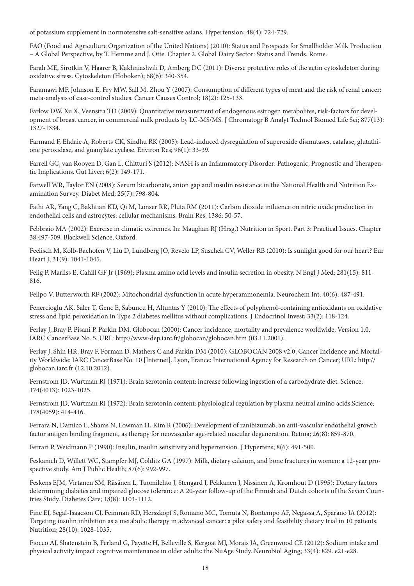of potassium supplement in normotensive salt-sensitive asians. Hypertension; 48(4): 724-729.

FAO (Food and Agriculture Organization of the United Nations) (2010): Status and Prospects for Smallholder Milk Production – A Global Perspective, by T. Hemme and J. Otte. Chapter 2. Global Dairy Sector: Status and Trends. Rome.

Farah ME, Sirotkin V, Haarer B, Kakhniashvili D, Amberg DC (2011): Diverse protective roles of the actin cytoskeleton during oxidative stress. Cytoskeleton (Hoboken); 68(6): 340-354.

Faramawi MF, Johnson E, Fry MW, Sall M, Zhou Y (2007): Consumption of different types of meat and the risk of renal cancer: meta-analysis of case-control studies. Cancer Causes Control; 18(2): 125-133.

Farlow DW, Xu X, Veenstra TD (2009): Quantitative measurement of endogenous estrogen metabolites, risk-factors for development of breast cancer, in commercial milk products by LC-MS/MS. J Chromatogr B Analyt Technol Biomed Life Sci; 877(13): 1327-1334.

Farmand F, Ehdaie A, Roberts CK, Sindhu RK (2005): Lead-induced dysregulation of superoxide dismutases, catalase, glutathione peroxidase, and guanylate cyclase. Environ Res; 98(1): 33-39.

Farrell GC, van Rooyen D, Gan L, Chitturi S (2012): NASH is an Inflammatory Disorder: Pathogenic, Prognostic and Therapeutic Implications. Gut Liver; 6(2): 149-171.

Farwell WR, Taylor EN (2008): Serum bicarbonate, anion gap and insulin resistance in the National Health and Nutrition Examination Survey. Diabet Med; 25(7): 798-804.

Fathi AR, Yang C, Bakhtian KD, Qi M, Lonser RR, Pluta RM (2011): Carbon dioxide influence on nitric oxide production in endothelial cells and astrocytes: cellular mechanisms. Brain Res; 1386: 50-57.

Febbraio MA (2002): Exercise in climatic extremes. In: Maughan RJ (Hrsg.) Nutrition in Sport. Part 3: Practical Issues. Chapter 38:497-509. Blackwell Science, Oxford.

Feelisch M, Kolb-Bachofen V, Liu D, Lundberg JO, Revelo LP, Suschek CV, Weller RB (2010): Is sunlight good for our heart? Eur Heart J; 31(9): 1041-1045.

Felig P, Marliss E, Cahill GF Jr (1969): Plasma amino acid levels and insulin secretion in obesity. N Engl J Med; 281(15): 811- 816.

Felipo V, Butterworth RF (2002): Mitochondrial dysfunction in acute hyperammonemia. Neurochem Int; 40(6): 487-491.

Fenercioglu AK, Saler T, Genc E, Sabuncu H, Altuntas Y (2010): The effects of polyphenol-containing antioxidants on oxidative stress and lipid peroxidation in Type 2 diabetes mellitus without complications. J Endocrinol Invest; 33(2): 118-124.

Ferlay J, Bray P, Pisani P, Parkin DM. Globocan (2000): Cancer incidence, mortality and prevalence worldwide, Version 1.0. IARC CancerBase No. 5. URL: http://www-dep.iarc.fr/globocan/globocan.htm (03.11.2001).

Ferlay J, Shin HR, Bray F, Forman D, Mathers C and Parkin DM (2010): GLOBOCAN 2008 v2.0, Cancer Incidence and Mortality Worldwide: IARC CancerBase No. 10 [Internet]. Lyon, France: International Agency for Research on Cancer; URL: http:// globocan.iarc.fr (12.10.2012).

Fernstrom JD, Wurtman RJ (1971): Brain serotonin content: increase following ingestion of a carbohydrate diet. Science; 174(4013): 1023-1025.

Fernstrom JD, Wurtman RJ (1972): Brain serotonin content: physiological regulation by plasma neutral amino acids.Science; 178(4059): 414-416.

Ferrara N, Damico L, Shams N, Lowman H, Kim R (2006): Development of ranibizumab, an anti-vascular endothelial growth factor antigen binding fragment, as therapy for neovascular age-related macular degeneration. Retina; 26(8): 859-870.

Ferrari P, Weidmann P (1990): Insulin, insulin sensitivity and hypertension. J Hypertens; 8(6): 491-500.

Feskanich D, Willett WC, Stampfer MJ, Colditz GA (1997): Milk, dietary calcium, and bone fractures in women: a 12-year prospective study. Am J Public Health; 87(6): 992-997.

Feskens EJM, Virtanen SM, Räsänen L, Tuomilehto J, Stengard J, Pekkanen J, Nissinen A, Kromhout D (1995): Dietary factors determining diabetes and impaired glucose tolerance: A 20-year follow-up of the Finnish and Dutch cohorts of the Seven Countries Study. Diabetes Care; 18(8): 1104-1112.

Fine EJ, Segal-Isaacson CJ, Feinman RD, Herszkopf S, Romano MC, Tomuta N, Bontempo AF, Negassa A, Sparano JA (2012): Targeting insulin inhibition as a metabolic therapy in advanced cancer: a pilot safety and feasibility dietary trial in 10 patients. Nutrition; 28(10): 1028-1035.

Fiocco AJ, Shatenstein B, Ferland G, Payette H, Belleville S, Kergoat MJ, Morais JA, Greenwood CE (2012): Sodium intake and physical activity impact cognitive maintenance in older adults: the NuAge Study. Neurobiol Aging; 33(4): 829. e21-e28.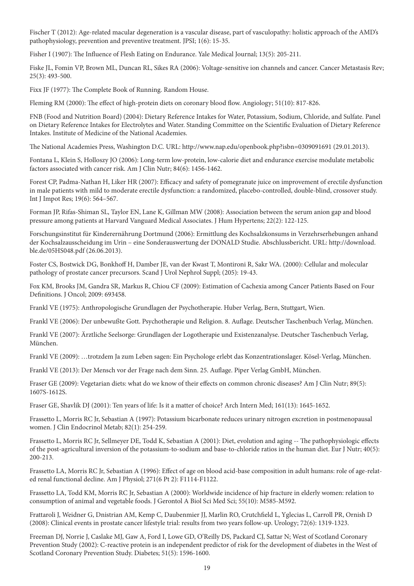Fischer T (2012): Age-related macular degeneration is a vascular disease, part of vasculopathy: holistic approach of the AMD's pathophysiology, prevention and preventive treatment. JPSI; 1(6): 15-35.

Fisher I (1907): The Influence of Flesh Eating on Endurance. Yale Medical Journal; 13(5): 205-211.

Fiske JL, Fomin VP, Brown ML, Duncan RL, Sikes RA (2006): Voltage-sensitive ion channels and cancer. Cancer Metastasis Rev; 25(3): 493-500.

Fixx JF (1977): The Complete Book of Running. Random House.

Fleming RM (2000): The effect of high-protein diets on coronary blood flow. Angiology; 51(10): 817-826.

FNB (Food and Nutrition Board) (2004): Dietary Reference Intakes for Water, Potassium, Sodium, Chloride, and Sulfate. Panel on Dietary Reference Intakes for Electrolytes and Water. Standing Committee on the Scientific Evaluation of Dietary Reference Intakes. Institute of Medicine of the National Academies.

The National Academies Press, Washington D.C. URL: http://www.nap.edu/openbook.php?isbn=0309091691 (29.01.2013).

Fontana L, Klein S, Holloszy JO (2006): Long-term low-protein, low-calorie diet and endurance exercise modulate metabolic factors associated with cancer risk. Am J Clin Nutr; 84(6): 1456-1462.

Forest CP, Padma-Nathan H, Liker HR (2007): Efficacy and safety of pomegranate juice on improvement of erectile dysfunction in male patients with mild to moderate erectile dysfunction: a randomized, placebo-controlled, double-blind, crossover study. Int J Impot Res; 19(6): 564–567.

Forman JP, Rifas-Shiman SL, Taylor EN, Lane K, Gillman MW (2008): Association between the serum anion gap and blood pressure among patients at Harvard Vanguard Medical Associates. J Hum Hypertens; 22(2): 122-125.

Forschungsinstitut für Kinderernährung Dortmund (2006): Ermittlung des Kochsalzkonsums in Verzehrserhebungen anhand der Kochsalzausscheidung im Urin – eine Sonderauswertung der DONALD Studie. Abschlussbericht. URL: http://download. ble.de/05HS048.pdf (26.06.2013).

Foster CS, Bostwick DG, Bonkhoff H, Damber JE, van der Kwast T, Montironi R, Sakr WA. (2000): Cellular and molecular pathology of prostate cancer precursors. Scand J Urol Nephrol Suppl; (205): 19-43.

Fox KM, Brooks JM, Gandra SR, Markus R, Chiou CF (2009): Estimation of Cachexia among Cancer Patients Based on Four Definitions. J Oncol; 2009: 693458.

Frankl VE (1975): Anthropologische Grundlagen der Psychotherapie. Huber Verlag, Bern, Stuttgart, Wien.

Frankl VE (2006): Der unbewußte Gott. Psychotherapie und Religion. 8. Auflage. Deutscher Taschenbuch Verlag, München.

Frankl VE (2007): Ärztliche Seelsorge: Grundlagen der Logotherapie und Existenzanalyse. Deutscher Taschenbuch Verlag, München.

Frankl VE (2009): …trotzdem Ja zum Leben sagen: Ein Psychologe erlebt das Konzentrationslager. Kösel-Verlag, München.

Frankl VE (2013): Der Mensch vor der Frage nach dem Sinn. 25. Auflage. Piper Verlag GmbH, München.

Fraser GE (2009): Vegetarian diets: what do we know of their effects on common chronic diseases? Am J Clin Nutr; 89(5): 1607S-1612S.

Fraser GE, Shavlik DJ (2001): Ten years of life: Is it a matter of choice? Arch Intern Med; 161(13): 1645-1652.

Frassetto L, Morris RC Jr, Sebastian A (1997): Potassium bicarbonate reduces urinary nitrogen excretion in postmenopausal women. J Clin Endocrinol Metab; 82(1): 254-259.

Frassetto L, Morris RC Jr, Sellmeyer DE, Todd K, Sebastian A (2001): Diet, evolution and aging -- The pathophysiologic effects of the post-agricultural inversion of the potassium-to-sodium and base-to-chloride ratios in the human diet. Eur J Nutr; 40(5): 200-213.

Frassetto LA, Morris RC Jr, Sebastian A (1996): Effect of age on blood acid-base composition in adult humans: role of age-related renal functional decline. Am J Physiol; 271(6 Pt 2): F1114-F1122.

Frassetto LA, Todd KM, Morris RC Jr, Sebastian A (2000): Worldwide incidence of hip fracture in elderly women: relation to consumption of animal and vegetable foods. J Gerontol A Biol Sci Med Sci; 55(10): M585-M592.

Frattaroli J, Weidner G, Dnistrian AM, Kemp C, Daubenmier JJ, Marlin RO, Crutchfield L, Yglecias L, Carroll PR, Ornish D (2008): Clinical events in prostate cancer lifestyle trial: results from two years follow-up. Urology; 72(6): 1319-1323.

Freeman DJ, Norrie J, Caslake MJ, Gaw A, Ford I, Lowe GD, O'Reilly DS, Packard CJ, Sattar N; West of Scotland Coronary Prevention Study (2002): C-reactive protein is an independent predictor of risk for the development of diabetes in the West of Scotland Coronary Prevention Study. Diabetes; 51(5): 1596-1600.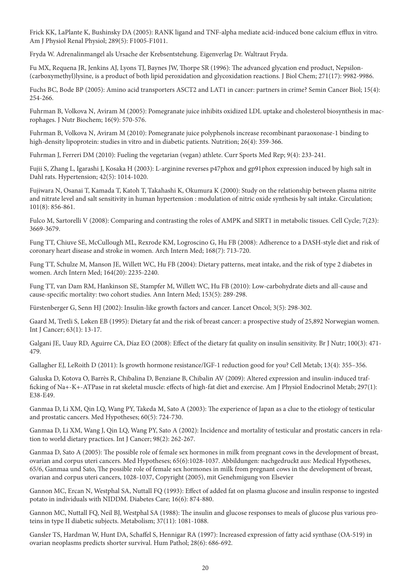Frick KK, LaPlante K, Bushinsky DA (2005): RANK ligand and TNF-alpha mediate acid-induced bone calcium efflux in vitro. Am J Physiol Renal Physiol; 289(5): F1005-F1011.

Fryda W. Adrenalinmangel als Ursache der Krebsentstehung. Eigenverlag Dr. Waltraut Fryda.

Fu MX, Requena JR, Jenkins AJ, Lyons TJ, Baynes JW, Thorpe SR (1996): The advanced glycation end product, Nepsilon- (carboxymethyl)lysine, is a product of both lipid peroxidation and glycoxidation reactions. J Biol Chem; 271(17): 9982-9986.

Fuchs BC, Bode BP (2005): Amino acid transporters ASCT2 and LAT1 in cancer: partners in crime? Semin Cancer Biol; 15(4): 254-266.

Fuhrman B, Volkova N, Aviram M (2005): Pomegranate juice inhibits oxidized LDL uptake and cholesterol biosynthesis in macrophages. J Nutr Biochem; 16(9): 570-576.

Fuhrman B, Volkova N, Aviram M (2010): Pomegranate juice polyphenols increase recombinant paraoxonase-1 binding to high-density lipoprotein: studies in vitro and in diabetic patients. Nutrition; 26(4): 359-366.

Fuhrman J, Ferreri DM (2010): Fueling the vegetarian (vegan) athlete. Curr Sports Med Rep; 9(4): 233-241.

Fujii S, Zhang L, Igarashi J, Kosaka H (2003): L-arginine reverses p47phox and gp91phox expression induced by high salt in Dahl rats. Hypertension; 42(5): 1014-1020.

Fujiwara N, Osanai T, Kamada T, Katoh T, Takahashi K, Okumura K (2000): Study on the relationship between plasma nitrite and nitrate level and salt sensitivity in human hypertension : modulation of nitric oxide synthesis by salt intake. Circulation; 101(8): 856-861.

Fulco M, Sartorelli V (2008): Comparing and contrasting the roles of AMPK and SIRT1 in metabolic tissues. Cell Cycle; 7(23): 3669-3679.

Fung TT, Chiuve SE, McCullough ML, Rexrode KM, Logroscino G, Hu FB (2008): Adherence to a DASH-style diet and risk of coronary heart disease and stroke in women. Arch Intern Med; 168(7): 713-720.

Fung TT, Schulze M, Manson JE, Willett WC, Hu FB (2004): Dietary patterns, meat intake, and the risk of type 2 diabetes in women. Arch Intern Med; 164(20): 2235-2240.

Fung TT, van Dam RM, Hankinson SE, Stampfer M, Willett WC, Hu FB (2010): Low-carbohydrate diets and all-cause and cause-specific mortality: two cohort studies. Ann Intern Med; 153(5): 289-298.

Fürstenberger G, Senn HJ (2002): Insulin-like growth factors and cancer. Lancet Oncol; 3(5): 298-302.

Gaard M, Tretli S, Løken EB (1995): Dietary fat and the risk of breast cancer: a prospective study of 25,892 Norwegian women. Int J Cancer; 63(1): 13-17.

Galgani JE, Uauy RD, Aguirre CA, Díaz EO (2008): Effect of the dietary fat quality on insulin sensitivity. Br J Nutr; 100(3): 471- 479.

Gallagher EJ, LeRoith D (2011): Is growth hormone resistance/IGF-1 reduction good for you? Cell Metab; 13(4): 355–356.

Galuska D, Kotova O, Barrès R, Chibalina D, Benziane B, Chibalin AV (2009): Altered expression and insulin-induced trafficking of Na+-K+-ATPase in rat skeletal muscle: effects of high-fat diet and exercise. Am J Physiol Endocrinol Metab; 297(1): E38-E49.

Ganmaa D, Li XM, Qin LQ, Wang PY, Takeda M, Sato A (2003): The experience of Japan as a clue to the etiology of testicular and prostatic cancers. Med Hypotheses; 60(5): 724-730.

Ganmaa D, Li XM, Wang J, Qin LQ, Wang PY, Sato A (2002): Incidence and mortality of testicular and prostatic cancers in relation to world dietary practices. Int J Cancer; 98(2): 262-267.

Ganmaa D, Sato A (2005): The possible role of female sex hormones in milk from pregnant cows in the development of breast, ovarian and corpus uteri cancers. Med Hypotheses; 65(6):1028-1037. Abbildungen: nachgedruckt aus: Medical Hypotheses, 65/6, Ganmaa und Sato, The possible role of female sex hormones in milk from pregnant cows in the development of breast, ovarian and corpus uteri cancers, 1028-1037, Copyright (2005), mit Genehmigung von Elsevier

Gannon MC, Ercan N, Westphal SA, Nuttall FQ (1993): Effect of added fat on plasma glucose and insulin response to ingested potato in individuals with NIDDM. Diabetes Care; 16(6): 874-880.

Gannon MC, Nuttall FQ, Neil BJ, Westphal SA (1988): The insulin and glucose responses to meals of glucose plus various proteins in type II diabetic subjects. Metabolism; 37(11): 1081-1088.

Gansler TS, Hardman W, Hunt DA, Schaffel S, Hennigar RA (1997): Increased expression of fatty acid synthase (OA-519) in ovarian neoplasms predicts shorter survival. Hum Pathol; 28(6): 686-692.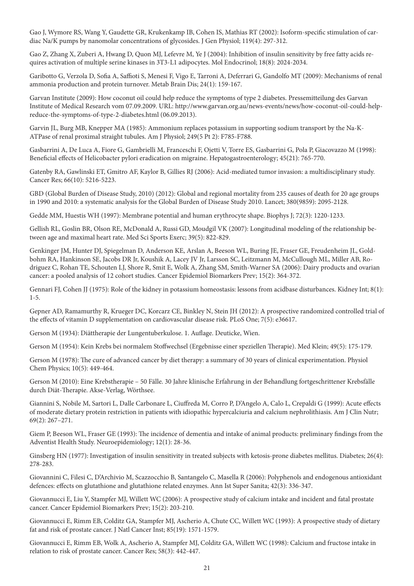Gao J, Wymore RS, Wang Y, Gaudette GR, Krukenkamp IB, Cohen IS, Mathias RT (2002): Isoform-specific stimulation of cardiac Na/K pumps by nanomolar concentrations of glycosides. J Gen Physiol; 119(4): 297-312.

Gao Z, Zhang X, Zuberi A, Hwang D, Quon MJ, Lefevre M, Ye J (2004): Inhibition of insulin sensitivity by free fatty acids requires activation of multiple serine kinases in 3T3-L1 adipocytes. Mol Endocrinol; 18(8): 2024-2034.

Garibotto G, Verzola D, Sofia A, Saffioti S, Menesi F, Vigo E, Tarroni A, Deferrari G, Gandolfo MT (2009): Mechanisms of renal ammonia production and protein turnover. Metab Brain Dis; 24(1): 159-167.

Garvan Institute (2009): How coconut oil could help reduce the symptoms of type 2 diabetes. Pressemitteilung des Garvan Institute of Medical Research vom 07.09.2009. URL: http://www.garvan.org.au/news-events/news/how-coconut-oil-could-helpreduce-the-symptoms-of-type-2-diabetes.html (06.09.2013).

Garvin JL, Burg MB, Knepper MA (1985): Ammonium replaces potassium in supporting sodium transport by the Na-K-ATPase of renal proximal straight tubules. Am J Physiol; 249(5 Pt 2): F785-F788.

Gasbarrini A, De Luca A, Fiore G, Gambrielli M, Franceschi F, Ojetti V, Torre ES, Gasbarrini G, Pola P, Giacovazzo M (1998): Beneficial effects of Helicobacter pylori eradication on migraine. Hepatogastroenterology; 45(21): 765-770.

Gatenby RA, Gawlinski ET, Gmitro AF, Kaylor B, Gillies RJ (2006): Acid-mediated tumor invasion: a multidisciplinary study. Cancer Res; 66(10): 5216-5223.

GBD (Global Burden of Disease Study, 2010) (2012): Global and regional mortality from 235 causes of death for 20 age groups in 1990 and 2010: a systematic analysis for the Global Burden of Disease Study 2010. Lancet; 380(9859): 2095-2128.

Gedde MM, Huestis WH (1997): Membrane potential and human erythrocyte shape. Biophys J; 72(3): 1220-1233.

Gellish RL, Goslin BR, Olson RE, McDonald A, Russi GD, Moudgil VK (2007): Longitudinal modeling of the relationship between age and maximal heart rate. Med Sci Sports Exerc; 39(5): 822-829.

Genkinger JM, Hunter DJ, Spiegelman D, Anderson KE, Arslan A, Beeson WL, Buring JE, Fraser GE, Freudenheim JL, Goldbohm RA, Hankinson SE, Jacobs DR Jr, Koushik A, Lacey JV Jr, Larsson SC, Leitzmann M, McCullough ML, Miller AB, Rodriguez C, Rohan TE, Schouten LJ, Shore R, Smit E, Wolk A, Zhang SM, Smith-Warner SA (2006): Dairy products and ovarian cancer: a pooled analysis of 12 cohort studies. Cancer Epidemiol Biomarkers Prev; 15(2): 364-372.

Gennari FJ, Cohen JJ (1975): Role of the kidney in potassium homeostasis: lessons from acidbase disturbances. Kidney Int; 8(1): 1-5.

Gepner AD, Ramamurthy R, Krueger DC, Korcarz CE, Binkley N, Stein JH (2012): A prospective randomized controlled trial of the effects of vitamin D supplementation on cardiovascular disease risk. PLoS One; 7(5): e36617.

Gerson M (1934): Diättherapie der Lungentuberkulose. 1. Auflage. Deuticke, Wien.

Gerson M (1954): Kein Krebs bei normalem Stoffwechsel (Ergebnisse einer speziellen Therapie). Med Klein; 49(5): 175-179.

Gerson M (1978): The cure of advanced cancer by diet therapy: a summary of 30 years of clinical experimentation. Physiol Chem Physics; 10(5): 449-464.

Gerson M (2010): Eine Krebstherapie – 50 Fälle. 30 Jahre klinische Erfahrung in der Behandlung fortgeschrittener Krebsfälle durch Diät-Therapie. Akse-Verlag, Wörthsee.

Giannini S, Nobile M, Sartori L, Dalle Carbonare L, Ciuffreda M, Corro P, D'Angelo A, Calo L, Crepaldi G (1999): Acute effects of moderate dietary protein restriction in patients with idiopathic hypercalciuria and calcium nephrolithiasis. Am J Clin Nutr; 69(2): 267–271.

Giem P, Beeson WL, Fraser GE (1993): The incidence of dementia and intake of animal products: preliminary findings from the Adventist Health Study. Neuroepidemiology; 12(1): 28-36.

Ginsberg HN (1977): Investigation of insulin sensitivity in treated subjects with ketosis-prone diabetes mellitus. Diabetes; 26(4): 278-283.

Giovannini C, Filesi C, D'Archivio M, Scazzocchio B, Santangelo C, Masella R (2006): Polyphenols and endogenous antioxidant defences: effects on glutathione and glutathione related enzymes. Ann Ist Super Sanita; 42(3): 336-347.

Giovannucci E, Liu Y, Stampfer MJ, Willett WC (2006): A prospective study of calcium intake and incident and fatal prostate cancer. Cancer Epidemiol Biomarkers Prev; 15(2): 203-210.

Giovannucci E, Rimm EB, Colditz GA, Stampfer MJ, Ascherio A, Chute CC, Willett WC (1993): A prospective study of dietary fat and risk of prostate cancer. J Natl Cancer Inst; 85(19): 1571-1579.

Giovannucci E, Rimm EB, Wolk A, Ascherio A, Stampfer MJ, Colditz GA, Willett WC (1998): Calcium and fructose intake in relation to risk of prostate cancer. Cancer Res; 58(3): 442-447.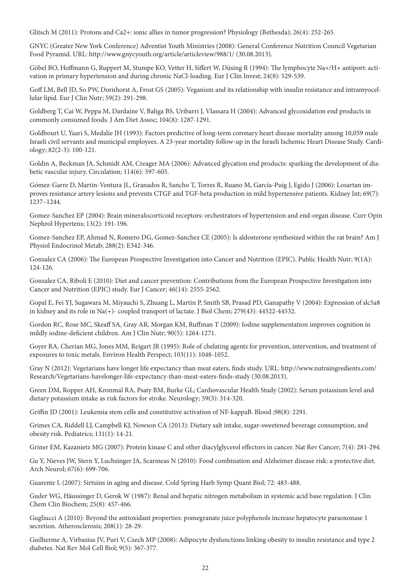Glitsch M (2011): Protons and Ca2+: ionic allies in tumor progression? Physiology (Bethesda); 26(4): 252-265.

GNYC (Greater New York Conference) Adventist Youth Ministries (2008): General Conference Nutrition Council Vegetarian Food Pyramid. URL: http://www.gnycyouth.org/article/articleview/988/1/ (30.08.2013).

Göbel BO, Hoffmann G, Ruppert M, Stumpe KO, Vetter H, Siffert W, Düsing R (1994): The lymphocyte Na+/H+ antiport: activation in primary hypertension and during chronic NaCl-loading. Eur J Clin Invest; 24(8): 529-539.

Goff LM, Bell JD, So PW, Dornhorst A, Frost GS (2005): Veganism and its relationship with insulin resistance and intramyocellular lipid. Eur J Clin Nutr; 59(2): 291-298.

Goldberg T, Cai W, Peppa M, Dardaine V, Baliga BS, Uribarri J, Vlassara H (2004): Advanced glycoxidation end products in commonly consumed foods. J Am Diet Assoc; 104(8): 1287-1291.

Goldbourt U, Yaari S, Medalie JH (1993): Factors predictive of long-term coronary heart disease mortality among 10,059 male Israeli civil servants and municipal employees. A 23-year mortality follow-up in the Israeli Ischemic Heart Disease Study. Cardiology; 82(2-3): 100-121.

Goldin A, Beckman JA, Schmidt AM, Creager MA (2006): Advanced glycation end products: sparking the development of diabetic vascular injury. Circulation; 114(6): 597-605.

Gómez-Garre D, Martín-Ventura JL, Granados R, Sancho T, Torres R, Ruano M, García-Puig J, Egido J (2006): Losartan improves resistance artery lesions and prevents CTGF and TGF-beta production in mild hypertensive patients. Kidney Int; 69(7): 1237–1244.

Gomez-Sanchez EP (2004): Brain mineralocorticoid receptors: orchestrators of hypertension and end-organ disease. Curr Opin Nephrol Hypertens; 13(2): 191-196.

Gomez-Sanchez EP, Ahmad N, Romero DG, Gomez-Sanchez CE (2005): Is aldosterone synthesized within the rat brain? Am J Physiol Endocrinol Metab; 288(2): E342-346.

Gonzalez CA (2006): The European Prospective Investigation into Cancer and Nutrition (EPIC). Public Health Nutr; 9(1A): 124-126.

Gonzalez CA, Riboli E (2010): Diet and cancer prevention: Contributions from the European Prospective Investigation into Cancer and Nutrition (EPIC) study. Eur J Cancer; 46(14): 2555-2562.

Gopal E, Fei YJ, Sugawara M, Miyauchi S, Zhuang L, Martin P, Smith SB, Prasad PD, Ganapathy V (2004): Expression of slc5a8 in kidney and its role in Na(+)- coupled transport of lactate. J Biol Chem; 279(43): 44522-44532.

Gordon RC, Rose MC, Skeaff SA, Gray AR, Morgan KM, Ruffman T (2009): Iodine supplementation improves cognition in mildly iodine-deficient children. Am J Clin Nutr; 90(5): 1264-1271.

Goyer RA, Cherian MG, Jones MM, Reigart JR (1995): Role of chelating agents for prevention, intervention, and treatment of exposures to toxic metals. Environ Health Perspect; 103(11): 1048-1052.

Gray N (2012): Vegetarians have longer life expectancy than meat eaters, finds study. URL: http://www.nutraingredients.com/ Research/Vegetarians-havelonger-life-expectancy-than-meat-eaters-finds-study (30.08.2013).

Green DM, Ropper AH, Kronmal RA, Psaty BM, Burke GL; Cardiovascular Health Study (2002): Serum potassium level and dietary potassium intake as risk factors for stroke. Neurology; 59(3): 314-320.

Griffin JD (2001): Leukemia stem cells and constitutive activation of NF-kappaB. Blood ;98(8): 2291.

Grimes CA, Riddell LJ, Campbell KJ, Nowson CA (2013): Dietary salt intake, sugar-sweetened beverage consumption, and obesity risk. Pediatrics; 131(1): 14-21.

Griner EM, Kazanietz MG (2007): Protein kinase C and other diacylglycerol effectors in cancer. Nat Rev Cancer; 7(4): 281-294.

Gu Y, Nieves JW, Stern Y, Luchsinger JA, Scarmeas N (2010): Food combination and Alzheimer disease risk: a protective diet. Arch Neurol; 67(6): 699-706.

Guarente L (2007): Sirtuins in aging and disease. Cold Spring Harb Symp Quant Biol; 72: 483-488.

Guder WG, Häussinger D, Gerok W (1987): Renal and hepatic nitrogen metabolism in systemic acid base regulation. J Clin Chem Clin Biochem; 25(8): 457-466.

Gugliucci A (2010): Beyond the antioxidant properties: pomegranate juice polyphenols increase hepatocyte paraoxonase 1 secretion. Atherosclerosis; 208(1): 28-29.

Guilherme A, Virbasius JV, Puri V, Czech MP (2008): Adipocyte dysfunctions linking obesity to insulin resistance and type 2 diabetes. Nat Rev Mol Cell Biol; 9(5): 367-377.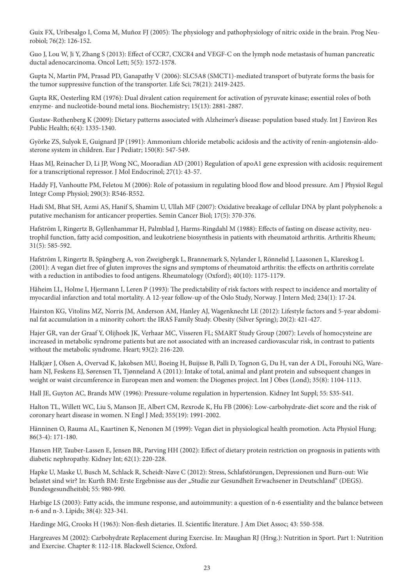Guix FX, Uribesalgo I, Coma M, Muñoz FJ (2005): The physiology and pathophysiology of nitric oxide in the brain. Prog Neurobiol; 76(2): 126-152.

Guo J, Lou W, Ji Y, Zhang S (2013): Effect of CCR7, CXCR4 and VEGF-C on the lymph node metastasis of human pancreatic ductal adenocarcinoma. Oncol Lett; 5(5): 1572-1578.

Gupta N, Martin PM, Prasad PD, Ganapathy V (2006): SLC5A8 (SMCT1)-mediated transport of butyrate forms the basis for the tumor suppressive function of the transporter. Life Sci; 78(21): 2419-2425.

Gupta RK, Oesterling RM (1976): Dual divalent cation requirement for activation of pyruvate kinase; essential roles of both enzyme- and nucleotide-bound metal ions. Biochemistry; 15(13): 2881-2887.

Gustaw-Rothenberg K (2009): Dietary patterns associated with Alzheimer's disease: population based study. Int J Environ Res Public Health; 6(4): 1335-1340.

Györke ZS, Sulyok E, Guignard JP (1991): Ammonium chloride metabolic acidosis and the activity of renin-angiotensin-aldosterone system in children. Eur J Pediatr; 150(8): 547-549.

Haas MJ, Reinacher D, Li JP, Wong NC, Mooradian AD (2001) Regulation of apoA1 gene expression with acidosis: requirement for a transcriptional repressor. J Mol Endocrinol; 27(1): 43-57.

Haddy FJ, Vanhoutte PM, Feletou M (2006): Role of potassium in regulating blood flow and blood pressure. Am J Physiol Regul Integr Comp Physiol; 290(3): R546-R552.

Hadi SM, Bhat SH, Azmi AS, Hanif S, Shamim U, Ullah MF (2007): Oxidative breakage of cellular DNA by plant polyphenols: a putative mechanism for anticancer properties. Semin Cancer Biol; 17(5): 370-376.

Hafström I, Ringertz B, Gyllenhammar H, Palmblad J, Harms-Ringdahl M (1988): Effects of fasting on disease activity, neutrophil function, fatty acid composition, and leukotriene biosynthesis in patients with rheumatoid arthritis. Arthritis Rheum; 31(5): 585-592.

Hafström I, Ringertz B, Spångberg A, von Zweigbergk L, Brannemark S, Nylander I, Rönnelid J, Laasonen L, Klareskog L (2001): A vegan diet free of gluten improves the signs and symptoms of rheumatoid arthritis: the effects on arthritis correlate with a reduction in antibodies to food antigens. Rheumatology (Oxford); 40(10): 1175-1179.

Håheim LL, Holme I, Hjermann I, Leren P (1993): The predictability of risk factors with respect to incidence and mortality of myocardial infarction and total mortality. A 12-year follow-up of the Oslo Study, Norway. J Intern Med; 234(1): 17-24.

Hairston KG, Vitolins MZ, Norris JM, Anderson AM, Hanley AJ, Wagenknecht LE (2012): Lifestyle factors and 5-year abdominal fat accumulation in a minority cohort: the IRAS Family Study. Obesity (Silver Spring); 20(2): 421-427.

Hajer GR, van der Graaf Y, Olijhoek JK, Verhaar MC, Visseren FL; SMART Study Group (2007): Levels of homocysteine are increased in metabolic syndrome patients but are not associated with an increased cardiovascular risk, in contrast to patients without the metabolic syndrome. Heart; 93(2): 216-220.

Halkjær J, Olsen A, Overvad K, Jakobsen MU, Boeing H, Buijsse B, Palli D, Tognon G, Du H, van der A DL, Forouhi NG, Wareham NJ, Feskens EJ, Sørensen TI, Tjønneland A (2011): Intake of total, animal and plant protein and subsequent changes in weight or waist circumference in European men and women: the Diogenes project. Int J Obes (Lond); 35(8): 1104-1113.

Hall JE, Guyton AC, Brands MW (1996): Pressure-volume regulation in hypertension. Kidney Int Suppl; 55: S35-S41.

Halton TL, Willett WC, Liu S, Manson JE, Albert CM, Rexrode K, Hu FB (2006): Low-carbohydrate-diet score and the risk of coronary heart disease in women. N Engl J Med; 355(19): 1991-2002.

Hänninen O, Rauma AL, Kaartinen K, Nenonen M (1999): Vegan diet in physiological health promotion. Acta Physiol Hung; 86(3-4): 171-180.

Hansen HP, Tauber-Lassen E, Jensen BR, Parving HH (2002): Effect of dietary protein restriction on prognosis in patients with diabetic nephropathy. Kidney Int; 62(1): 220-228.

Hapke U, Maske U, Busch M, Schlack R, Scheidt-Nave C (2012): Stress, Schlafstörungen, Depressionen und Burn-out: Wie belastet sind wir? In: Kurth BM: Erste Ergebnisse aus der "Studie zur Gesundheit Erwachsener in Deutschland" (DEGS). Bundesgesundheitsbl; 55: 980-990.

Harbige LS (2003): Fatty acids, the immune response, and autoimmunity: a question of n-6 essentiality and the balance between n-6 and n-3. Lipids; 38(4): 323-341.

Hardinge MG, Crooks H (1963): Non-flesh dietaries. II. Scientific literature. J Am Diet Assoc; 43: 550-558.

Hargreaves M (2002): Carbohydrate Replacement during Exercise. In: Maughan RJ (Hrsg.): Nutrition in Sport. Part 1: Nutrition and Exercise. Chapter 8: 112-118. Blackwell Science, Oxford.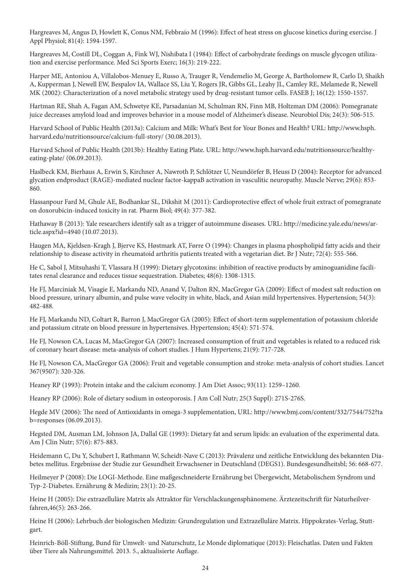Hargreaves M, Angus D, Howlett K, Conus NM, Febbraio M (1996): Effect of heat stress on glucose kinetics during exercise. J Appl Physiol; 81(4): 1594-1597.

Hargreaves M, Costill DL, Coggan A, Fink WJ, Nishibata I (1984): Effect of carbohydrate feedings on muscle glycogen utilization and exercise performance. Med Sci Sports Exerc; 16(3): 219-222.

Harper ME, Antoniou A, Villalobos-Menuey E, Russo A, Trauger R, Vendemelio M, George A, Bartholomew R, Carlo D, Shaikh A, Kupperman J, Newell EW, Bespalov IA, Wallace SS, Liu Y, Rogers JR, Gibbs GL, Leahy JL, Camley RE, Melamede R, Newell MK (2002): Characterization of a novel metabolic strategy used by drug-resistant tumor cells. FASEB J; 16(12): 1550-1557.

Hartman RE, Shah A, Fagan AM, Schwetye KE, Parsadanian M, Schulman RN, Finn MB, Holtzman DM (2006): Pomegranate juice decreases amyloid load and improves behavior in a mouse model of Alzheimer's disease. Neurobiol Dis; 24(3): 506-515.

Harvard School of Public Health (2013a): Calcium and Milk: What's Best for Your Bones and Health? URL: http://www.hsph. harvard.edu/nutritionsource/calcium-full-story/ (30.08.2013).

Harvard School of Public Health (2013b): Healthy Eating Plate. URL: http://www.hsph.harvard.edu/nutritionsource/healthyeating-plate/ (06.09.2013).

Haslbeck KM, Bierhaus A, Erwin S, Kirchner A, Nawroth P, Schlötzer U, Neundörfer B, Heuss D (2004): Receptor for advanced glycation endproduct (RAGE)-mediated nuclear factor-kappaB activation in vasculitic neuropathy. Muscle Nerve; 29(6): 853- 860.

Hassanpour Fard M, Ghule AE, Bodhankar SL, Dikshit M (2011): Cardioprotective effect of whole fruit extract of pomegranate on doxorubicin-induced toxicity in rat. Pharm Biol; 49(4): 377-382.

Hathaway B (2013): Yale researchers identify salt as a trigger of autoimmune diseases. URL: http://medicine.yale.edu/news/article.aspx?id=4940 (10.07.2013).

Haugen MA, Kjeldsen-Kragh J, Bjerve KS, Høstmark AT, Førre O (1994): Changes in plasma phospholipid fatty acids and their relationship to disease activity in rheumatoid arthritis patients treated with a vegetarian diet. Br J Nutr; 72(4): 555-566.

He C, Sabol J, Mitsuhashi T, Vlassara H (1999): Dietary glycotoxins: inhibition of reactive products by aminoguanidine facilitates renal clearance and reduces tissue sequestration. Diabetes; 48(6): 1308-1315.

He FJ, Marciniak M, Visagie E, Markandu ND, Anand V, Dalton RN, MacGregor GA (2009): Effect of modest salt reduction on blood pressure, urinary albumin, and pulse wave velocity in white, black, and Asian mild hypertensives. Hypertension; 54(3): 482-488.

He FJ, Markandu ND, Coltart R, Barron J, MacGregor GA (2005): Effect of short-term supplementation of potassium chloride and potassium citrate on blood pressure in hypertensives. Hypertension; 45(4): 571-574.

He FJ, Nowson CA, Lucas M, MacGregor GA (2007): Increased consumption of fruit and vegetables is related to a reduced risk of coronary heart disease: meta-analysis of cohort studies. J Hum Hypertens; 21(9): 717-728.

He FJ, Nowson CA, MacGregor GA (2006): Fruit and vegetable consumption and stroke: meta-analysis of cohort studies. Lancet 367(9507): 320-326.

Heaney RP (1993): Protein intake and the calcium economy. J Am Diet Assoc; 93(11): 1259–1260.

Heaney RP (2006): Role of dietary sodium in osteoporosis. J Am Coll Nutr; 25(3 Suppl): 271S-276S.

Hegde MV (2006): The need of Antioxidants in omega-3 supplementation, URL: http://www.bmj.com/content/332/7544/752?ta b=responses (06.09.2013).

Hegsted DM, Ausman LM, Johnson JA, Dallal GE (1993): Dietary fat and serum lipids: an evaluation of the experimental data. Am J Clin Nutr; 57(6): 875-883.

Heidemann C, Du Y, Schubert I, Rathmann W, Scheidt-Nave C (2013): Prävalenz und zeitliche Entwicklung des bekannten Diabetes mellitus. Ergebnisse der Studie zur Gesundheit Erwachsener in Deutschland (DEGS1). Bundesgesundheitsbl; 56: 668-677.

Heilmeyer P (2008): Die LOGI-Methode. Eine maßgeschneiderte Ernährung bei Übergewicht, Metabolischem Syndrom und Typ-2-Diabetes. Ernährung & Medizin; 23(1): 20-25.

Heine H (2005): Die extrazelluläre Matrix als Attraktor für Verschlackungensphänomene. Ärztezeitschrift für Naturheilverfahren,46(5): 263-266.

Heine H (2006): Lehrbuch der biologischen Medizin: Grundregulation und Extrazelluläre Matrix. Hippokrates-Verlag, Stuttgart.

Heinrich-Böll-Stiftung, Bund für Umwelt- und Naturschutz, Le Monde diplomatique (2013): Fleischatlas. Daten und Fakten über Tiere als Nahrungsmittel. 2013. 5., aktualisierte Auflage.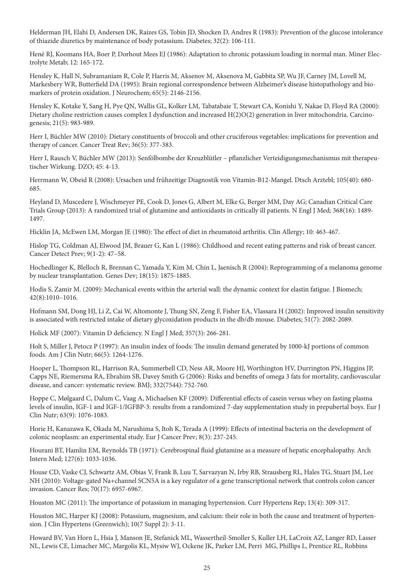Helderman JH, Elahi D, Andersen DK, Raizes GS, Tobin JD, Shocken D, Andres R (1983): Prevention of the glucose intolerance of thiazide diuretics by maintenance of body potassium. Diabetes; 32(2): 106-111.

Hené RJ, Koomans HA, Boer P, Dorhout Mees EJ (1986): Adaptation to chronic potassium loading in normal man. Miner Electrolyte Metab; 12: 165-172.

Hensley K, Hall N, Subramaniam R, Cole P, Harris M, Aksenov M, Aksenova M, Gabbita SP, Wu JF, Carney JM, Lovell M, Markesbery WR, Butterfield DA (1995): Brain regional correspondence between Alzheimer's disease histopathology and biomarkers of protein oxidation. J Neurochem; 65(5): 2146-2156.

Hensley K, Kotake Y, Sang H, Pye QN, Wallis GL, Kolker LM, Tabatabaie T, Stewart CA, Konishi Y, Nakae D, Floyd RA (2000): Dietary choline restriction causes complex I dysfunction and increased  $H(2)O(2)$  generation in liver mitochondria. Carcinogenesis; 21(5): 983-989.

Herr I, Büchler MW (2010): Dietary constituents of broccoli and other cruciferous vegetables: implications for prevention and therapy of cancer. Cancer Treat Rev; 36(5): 377-383.

Herr I, Rausch V, Büchler MW (2013): Senfölbombe der Kreuzblütler – pflanzlicher Verteidigungsmechanismus mit therapeutischer Wirkung. DZO; 45: 4-13.

Herrmann W, Obeid R (2008): Ursachen und frühzeitige Diagnostik von Vitamin-B12-Mangel. Dtsch Arztebl; 105(40): 680- 685.

Heyland D, Muscedere J, Wischmeyer PE, Cook D, Jones G, Albert M, Elke G, Berger MM, Day AG; Canadian Critical Care Trials Group (2013): A randomized trial of glutamine and antioxidants in critically ill patients. N Engl J Med; 368(16): 1489- 1497.

Hicklin JA, McEwen LM, Morgan JE (1980): The effect of diet in rheumatoid arthritis. Clin Allergy; 10: 463-467.

Hislop TG, Coldman AJ, Elwood JM, Brauer G, Kan L (1986): Childhood and recent eating patterns and risk of breast cancer. Cancer Detect Prev; 9(1-2): 47–58.

Hochedlinger K, Blelloch R, Brennan C, Yamada Y, Kim M, Chin L, Jaenisch R (2004): Reprogramming of a melanoma genome by nuclear transplantation. Genes Dev; 18(15): 1875-1885.

Hodis S, Zamir M. (2009): Mechanical events within the arterial wall: the dynamic context for elastin fatigue. J Biomech; 42(8):1010–1016.

Hofmann SM, Dong HJ, Li Z, Cai W, Altomonte J, Thung SN, Zeng F, Fisher EA, Vlassara H (2002): Improved insulin sensitivity is associated with restricted intake of dietary glycoxidation products in the db/db mouse. Diabetes; 51(7): 2082-2089.

Holick MF (2007): Vitamin D deficiency. N Engl J Med; 357(3): 266-281.

Holt S, Miller J, Petocz P (1997): An insulin index of foods: The insulin demand generated by 1000-kJ portions of common foods. Am J Clin Nutr; 66(5): 1264-1276.

Hooper L, Thompson RL, Harrison RA, Summerbell CD, Ness AR, Moore HJ, Worthington HV, Durrington PN, Higgins JP, Capps NE, Riemersma RA, Ebrahim SB, Davey Smith G (2006): Risks and benefits of omega 3 fats for mortality, cardiovascular disease, and cancer: systematic review. BMJ; 332(7544): 752-760.

Hoppe C, Mølgaard C, Dalum C, Vaag A, Michaelsen KF (2009): Differential effects of casein versus whey on fasting plasma levels of insulin, IGF-1 and IGF-1/IGFBP-3: results from a randomized 7-day supplementation study in prepubertal boys. Eur J Clin Nutr; 63(9): 1076-1083.

Horie H, Kanazawa K, Okada M, Narushima S, Itoh K, Terada A (1999): Effects of intestinal bacteria on the development of colonic neoplasm: an experimental study. Eur J Cancer Prev; 8(3): 237-245.

Hourani BT, Hamlin EM, Reynolds TB (1971): Cerebrospinal fluid glutamine as a measure of hepatic encephalopathy. Arch Intern Med; 127(6): 1033-1036.

House CD, Vaske CJ, Schwartz AM, Obias V, Frank B, Luu T, Sarvazyan N, Irby RB, Strausberg RL, Hales TG, Stuart JM, Lee NH (2010): Voltage-gated Na+channel SCN5A is a key regulator of a gene transcriptional network that controls colon cancer invasion. Cancer Res; 70(17): 6957-6967.

Houston MC (2011): The importance of potassium in managing hypertension. Curr Hypertens Rep; 13(4): 309-317.

Houston MC, Harper KJ (2008): Potassium, magnesium, and calcium: their role in both the cause and treatment of hypertension. J Clin Hypertens (Greenwich); 10(7 Suppl 2): 3-11.

Howard BV, Van Horn L, Hsia J, Manson JE, Stefanick ML, Wassertheil-Smoller S, Kuller LH, LaCroix AZ, Langer RD, Lasser NL, Lewis CE, Limacher MC, Margolis KL, Mysiw WJ, Ockene JK, Parker LM, Perri MG, Phillips L, Prentice RL, Robbins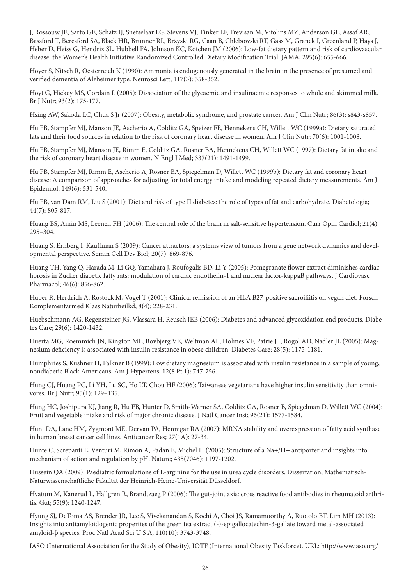J, Rossouw JE, Sarto GE, Schatz IJ, Snetselaar LG, Stevens VJ, Tinker LF, Trevisan M, Vitolins MZ, Anderson GL, Assaf AR, Bassford T, Beresford SA, Black HR, Brunner RL, Brzyski RG, Caan B, Chlebowski RT, Gass M, Granek I, Greenland P, Hays J, Heber D, Heiss G, Hendrix SL, Hubbell FA, Johnson KC, Kotchen JM (2006): Low-fat dietary pattern and risk of cardiovascular disease: the Women's Health Initiative Randomized Controlled Dietary Modification Trial. JAMA; 295(6): 655-666.

Hoyer S, Nitsch R, Oesterreich K (1990): Ammonia is endogenously generated in the brain in the presence of presumed and verified dementia of Alzheimer type. Neurosci Lett; 117(3): 358-362.

Hoyt G, Hickey MS, Cordain L (2005): Dissociation of the glycaemic and insulinaemic responses to whole and skimmed milk. Br J Nutr; 93(2): 175-177.

Hsing AW, Sakoda LC, Chua S Jr (2007): Obesity, metabolic syndrome, and prostate cancer. Am J Clin Nutr; 86(3): s843-s857.

Hu FB, Stampfer MJ, Manson JE, Ascherio A, Colditz GA, Speizer FE, Hennekens CH, Willett WC (1999a): Dietary saturated fats and their food sources in relation to the risk of coronary heart disease in women. Am J Clin Nutr; 70(6): 1001-1008.

Hu FB, Stampfer MJ, Manson JE, Rimm E, Colditz GA, Rosner BA, Hennekens CH, Willett WC (1997): Dietary fat intake and the risk of coronary heart disease in women. N Engl J Med; 337(21): 1491-1499.

Hu FB, Stampfer MJ, Rimm E, Ascherio A, Rosner BA, Spiegelman D, Willett WC (1999b): Dietary fat and coronary heart disease: A comparison of approaches for adjusting for total energy intake and modeling repeated dietary measurements. Am J Epidemiol; 149(6): 531-540.

Hu FB, van Dam RM, Liu S (2001): Diet and risk of type II diabetes: the role of types of fat and carbohydrate. Diabetologia; 44(7): 805-817.

Huang BS, Amin MS, Leenen FH (2006): The central role of the brain in salt-sensitive hypertension. Curr Opin Cardiol; 21(4): 295–304.

Huang S, Ernberg I, Kauffman S (2009): Cancer attractors: a systems view of tumors from a gene network dynamics and developmental perspective. Semin Cell Dev Biol; 20(7): 869-876.

Huang TH, Yang Q, Harada M, Li GQ, Yamahara J, Roufogalis BD, Li Y (2005): Pomegranate flower extract diminishes cardiac fibrosis in Zucker diabetic fatty rats: modulation of cardiac endothelin-1 and nuclear factor-kappaB pathways. J Cardiovasc Pharmacol; 46(6): 856-862.

Huber R, Herdrich A, Rostock M, Vogel T (2001): Clinical remission of an HLA B27-positive sacroiliitis on vegan diet. Forsch Komplementarmed Klass Naturheilkd; 8(4): 228-231.

Huebschmann AG, Regensteiner JG, Vlassara H, Reusch JEB (2006): Diabetes and advanced glycoxidation end products. Diabetes Care; 29(6): 1420-1432.

Huerta MG, Roemmich JN, Kington ML, Bovbjerg VE, Weltman AL, Holmes VF, Patrie JT, Rogol AD, Nadler JL (2005): Magnesium deficiency is associated with insulin resistance in obese children. Diabetes Care; 28(5): 1175-1181.

Humphries S, Kushner H, Falkner B (1999): Low dietary magnesium is associated with insulin resistance in a sample of young, nondiabetic Black Americans. Am J Hypertens; 12(8 Pt 1): 747-756.

Hung CJ, Huang PC, Li YH, Lu SC, Ho LT, Chou HF (2006): Taiwanese vegetarians have higher insulin sensitivity than omnivores. Br J Nutr; 95(1): 129–135.

Hung HC, Joshipura KJ, Jiang R, Hu FB, Hunter D, Smith-Warner SA, Colditz GA, Rosner B, Spiegelman D, Willett WC (2004): Fruit and vegetable intake and risk of major chronic disease. J Natl Cancer Inst; 96(21): 1577-1584.

Hunt DA, Lane HM, Zygmont ME, Dervan PA, Hennigar RA (2007): MRNA stability and overexpression of fatty acid synthase in human breast cancer cell lines. Anticancer Res; 27(1A): 27-34.

Hunte C, Screpanti E, Venturi M, Rimon A, Padan E, Michel H (2005): Structure of a Na+/H+ antiporter and insights into mechanism of action and regulation by pH. Nature; 435(7046): 1197-1202.

Hussein QA (2009): Paediatric formulations of L-arginine for the use in urea cycle disorders. Dissertation, Mathematisch-Naturwissenschaftliche Fakultät der Heinrich-Heine-Universität Düsseldorf.

Hvatum M, Kanerud L, Hällgren R, Brandtzaeg P (2006): The gut-joint axis: cross reactive food antibodies in rheumatoid arthritis. Gut; 55(9): 1240-1247.

Hyung SJ, DeToma AS, Brender JR, Lee S, Vivekanandan S, Kochi A, Choi JS, Ramamoorthy A, Ruotolo BT, Lim MH (2013): Insights into antiamyloidogenic properties of the green tea extract (-)-epigallocatechin-3-gallate toward metal-associated amyloid-β species. Proc Natl Acad Sci U S A; 110(10): 3743-3748.

IASO (International Association for the Study of Obesity), IOTF (International Obesity Taskforce). URL: http://www.iaso.org/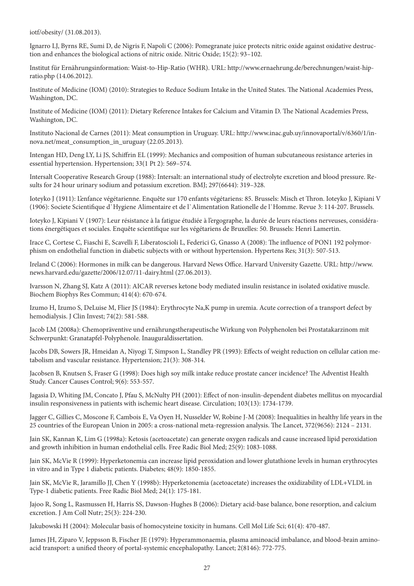iotf/obesity/ (31.08.2013).

Ignarro LJ, Byrns RE, Sumi D, de Nigris F, Napoli C (2006): Pomegranate juice protects nitric oxide against oxidative destruction and enhances the biological actions of nitric oxide. Nitric Oxide; 15(2): 93–102.

Institut für Ernährungsinformation: Waist-to-Hip-Ratio (WHR). URL: http://www.ernaehrung.de/berechnungen/waist-hipratio.php (14.06.2012).

Institute of Medicine (IOM) (2010): Strategies to Reduce Sodium Intake in the United States. The National Academies Press, Washington, DC.

Institute of Medicine (IOM) (2011): Dietary Reference Intakes for Calcium and Vitamin D. The National Academies Press, Washington, DC.

Instituto Nacional de Carnes (2011): Meat consumption in Uruguay. URL: http://www.inac.gub.uy/innovaportal/v/6360/1/innova.net/meat\_consumption\_in\_uruguay (22.05.2013).

Intengan HD, Deng LY, Li JS, Schiffrin EL (1999): Mechanics and composition of human subcutaneous resistance arteries in essential hypertension. Hypertension; 33(1 Pt 2): 569–574.

Intersalt Cooperative Research Group (1988): Intersalt: an international study of electrolyte excretion and blood pressure. Results for 24 hour urinary sodium and potassium excretion. BMJ; 297(6644): 319–328.

Ioteyko J (1911): L'enfance végétarienne. Enquête sur 170 enfants végétariens: 85. Brussels: Misch et Thron. Ioteyko J, Kipiani V (1906): Societe Scientifique d`Hygiene Alimentaire et de l`Alimentation Rationelle de l`Homme. Revue 3: 114-207. Brussels.

Ioteyko J, Kipiani V (1907): Leur résistance à la fatigue étudiée à l'ergographe, la durée de leurs réactions nerveuses, considérations énergétiques et sociales. Enquête scientifique sur les végétariens de Bruxelles: 50. Brussels: Henri Lamertin.

Irace C, Cortese C, Fiaschi E, Scavelli F, Liberatoscioli L, Federici G, Gnasso A (2008): The influence of PON1 192 polymorphism on endothelial function in diabetic subjects with or without hypertension. Hypertens Res; 31(3): 507-513.

Ireland C (2006): Hormones in milk can be dangerous. Harvard News Office. Harvard University Gazette. URL: http://www. news.harvard.edu/gazette/2006/12.07/11-dairy.html (27.06.2013).

Ivarsson N, Zhang SJ, Katz A (2011): AICAR reverses ketone body mediated insulin resistance in isolated oxidative muscle. Biochem Biophys Res Commun; 414(4): 670-674.

Izumo H, Izumo S, DeLuise M, Flier JS (1984): Erythrocyte Na,K pump in uremia. Acute correction of a transport defect by hemodialysis. J Clin Invest; 74(2): 581-588.

Jacob LM (2008a): Chemopräventive und ernährungstherapeutische Wirkung von Polyphenolen bei Prostatakarzinom mit Schwerpunkt: Granatapfel-Polyphenole. Inauguraldissertation.

Jacobs DB, Sowers JR, Hmeidan A, Niyogi T, Simpson L, Standley PR (1993): Effects of weight reduction on cellular cation metabolism and vascular resistance. Hypertension; 21(3): 308-314.

Jacobsen B, Knutsen S, Fraser G (1998): Does high soy milk intake reduce prostate cancer incidence? The Adventist Health Study. Cancer Causes Control; 9(6): 553-557.

Jagasia D, Whiting JM, Concato J, Pfau S, McNulty PH (2001): Effect of non-insulin-dependent diabetes mellitus on myocardial insulin responsiveness in patients with ischemic heart disease. Circulation; 103(13): 1734-1739.

Jagger C, Gillies C, Moscone F, Cambois E, Va Oyen H, Nusselder W, Robine J-M (2008): Inequalities in healthy life years in the 25 countries of the European Union in 2005: a cross-national meta-regression analysis. The Lancet, 372(9656): 2124 – 2131.

Jain SK, Kannan K, Lim G (1998a): Ketosis (acetoacetate) can generate oxygen radicals and cause increased lipid peroxidation and growth inhibition in human endothelial cells. Free Radic Biol Med; 25(9): 1083-1088.

Jain SK, McVie R (1999): Hyperketonemia can increase lipid peroxidation and lower glutathione levels in human erythrocytes in vitro and in Type 1 diabetic patients. Diabetes; 48(9): 1850-1855.

Jain SK, McVie R, Jaramillo JJ, Chen Y (1998b): Hyperketonemia (acetoacetate) increases the oxidizability of LDL+VLDL in Type-1 diabetic patients. Free Radic Biol Med; 24(1): 175-181.

Jajoo R, Song L, Rasmussen H, Harris SS, Dawson-Hughes B (2006): Dietary acid-base balance, bone resorption, and calcium excretion. J Am Coll Nutr; 25(3): 224-230.

Jakubowski H (2004): Molecular basis of homocysteine toxicity in humans. Cell Mol Life Sci; 61(4): 470-487.

James JH, Ziparo V, Jeppsson B, Fischer JE (1979): Hyperammonaemia, plasma aminoacid imbalance, and blood-brain aminoacid transport: a unified theory of portal-systemic encephalopathy. Lancet; 2(8146): 772-775.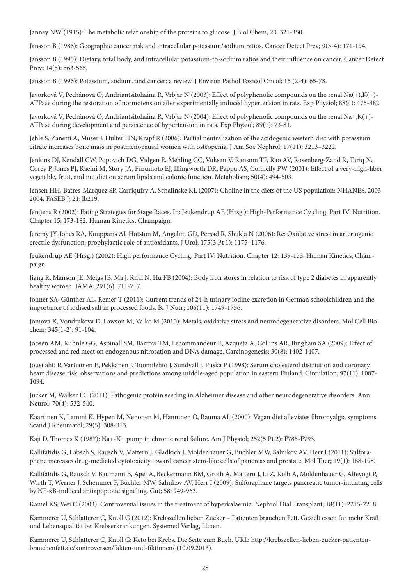Janney NW (1915): The metabolic relationship of the proteins to glucose. J Biol Chem, 20: 321-350.

Jansson B (1986): Geographic cancer risk and intracellular potassium/sodium ratios. Cancer Detect Prev; 9(3-4): 171-194.

Jansson B (1990): Dietary, total body, and intracellular potassium-to-sodium ratios and their influence on cancer. Cancer Detect Prev; 14(5): 563-565.

Jansson B (1996): Potassium, sodium, and cancer: a review. J Environ Pathol Toxicol Oncol; 15 (2-4): 65-73.

Javorková V, Pechánová O, Andriantsitohaina R, Vrbjar N (2003): Effect of polyphenolic compounds on the renal Na(+),K(+)- ATPase during the restoration of normotension after experimentally induced hypertension in rats. Exp Physiol; 88(4): 475-482.

Javorková V, Pechánová O, Andriantsitohaina R, Vrbjar N (2004): Effect of polyphenolic compounds on the renal Na+,K(+)- ATPase during development and persistence of hypertension in rats. Exp Physiol; 89(1): 73-81.

Jehle S, Zanetti A, Muser J, Hulter HN, Krapf R (2006): Partial neutralization of the acidogenic western diet with potassium citrate increases bone mass in postmenopausal women with osteopenia. J Am Soc Nephrol; 17(11): 3213–3222.

Jenkins DJ, Kendall CW, Popovich DG, Vidgen E, Mehling CC, Vuksan V, Ransom TP, Rao AV, Rosenberg-Zand R, Tariq N, Corey P, Jones PJ, Raeini M, Story JA, Furumoto EJ, Illingworth DR, Pappu AS, Connelly PW (2001): Effect of a very-high-fiber vegetable, fruit, and nut diet on serum lipids and colonic function. Metabolism; 50(4): 494-503.

Jensen HH, Batres-Marquez SP, Carriquiry A, Schalinske KL (2007): Choline in the diets of the US population: NHANES, 2003- 2004. FASEB J; 21: lb219.

Jentjens R (2002): Eating Strategies for Stage Races. In: Jeukendrup AE (Hrsg.): High-Performance Cy cling. Part IV: Nutrition. Chapter 15: 173-182. Human Kinetics, Champaign.

Jeremy JY, Jones RA, Koupparis AJ, Hotston M, Angelini GD, Persad R, Shukla N (2006): Re: Oxidative stress in arteriogenic erectile dysfunction: prophylactic role of antioxidants. J Urol; 175(3 Pt 1): 1175–1176.

Jeukendrup AE (Hrsg.) (2002): High performance Cycling. Part IV: Nutrition. Chapter 12: 139-153. Human Kinetics, Champaign.

Jiang R, Manson JE, Meigs JB, Ma J, Rifai N, Hu FB (2004): Body iron stores in relation to risk of type 2 diabetes in apparently healthy women. JAMA; 291(6): 711-717.

Johner SA, Günther AL, Remer T (2011): Current trends of 24-h urinary iodine excretion in German schoolchildren and the importance of iodised salt in processed foods. Br J Nutr; 106(11): 1749-1756.

Jomova K, Vondrakova D, Lawson M, Valko M (2010): Metals, oxidative stress and neurodegenerative disorders. Mol Cell Biochem; 345(1-2): 91-104.

Joosen AM, Kuhnle GG, Aspinall SM, Barrow TM, Lecommandeur E, Azqueta A, Collins AR, Bingham SA (2009): Effect of processed and red meat on endogenous nitrosation and DNA damage. Carcinogenesis; 30(8): 1402-1407.

Jousilahti P, Vartiainen E, Pekkanen J, Tuomilehto J, Sundvall J, Puska P (1998): Serum cholesterol distriution and coronary heart disease risk: observations and predictions among middle-aged population in eastern Finland. Circulation; 97(11): 1087- 1094.

Jucker M, Walker LC (2011): Pathogenic protein seeding in Alzheimer disease and other neurodegenerative disorders. Ann Neurol; 70(4): 532-540.

Kaartinen K, Lammi K, Hypen M, Nenonen M, Hanninen O, Rauma AL (2000): Vegan diet alleviates fibromyalgia symptoms. Scand J Rheumatol; 29(5): 308-313.

Kaji D, Thomas K (1987): Na+-K+ pump in chronic renal failure. Am J Physiol; 252(5 Pt 2): F785-F793.

Kallifatidis G, Labsch S, Rausch V, Mattern J, Gladkich J, Moldenhauer G, Büchler MW, Salnikov AV, Herr I (2011): Sulforaphane increases drug-mediated cytotoxicity toward cancer stem-like cells of pancreas and prostate. Mol Ther; 19(1): 188-195.

Kallifatidis G, Rausch V, Baumann B, Apel A, Beckermann BM, Groth A, Mattern J, Li Z, Kolb A, Moldenhauer G, Altevogt P, Wirth T, Werner J, Schemmer P, Büchler MW, Salnikov AV, Herr I (2009): Sulforaphane targets pancreatic tumor-initiating cells by NF-κB-induced antiapoptotic signaling. Gut; 58: 949-963.

Kamel KS, Wei C (2003): Controversial issues in the treatment of hyperkalaemia. Nephrol Dial Transplant; 18(11): 2215-2218.

Kämmerer U, Schlatterer C, Knoll G (2012): Krebszellen lieben Zucker – Patienten brauchen Fett. Gezielt essen für mehr Kraft und Lebensqualität bei Krebserkrankungen. Systemed Verlag, Lünen.

Kämmerer U, Schlatterer C, Knoll G: Keto bei Krebs. Die Seite zum Buch. URL: http://krebszellen-lieben-zucker-patientenbrauchenfett.de/kontroversen/fakten-und-fiktionen/ (10.09.2013).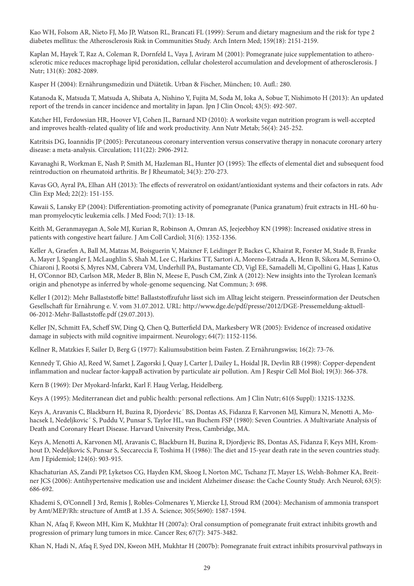Kao WH, Folsom AR, Nieto FJ, Mo JP, Watson RL, Brancati FL (1999): Serum and dietary magnesium and the risk for type 2 diabetes mellitus: the Atherosclerosis Risk in Communities Study. Arch Intern Med; 159(18): 2151-2159.

Kaplan M, Hayek T, Raz A, Coleman R, Dornfeld L, Vaya J, Aviram M (2001): Pomegranate juice supplementation to atherosclerotic mice reduces macrophage lipid peroxidation, cellular cholesterol accumulation and development of atherosclerosis. J Nutr; 131(8): 2082-2089.

Kasper H (2004): Ernährungsmedizin und Diätetik. Urban & Fischer, München; 10. Aufl.: 280.

Katanoda K, Matsuda T, Matsuda A, Shibata A, Nishino Y, Fujita M, Soda M, Ioka A, Sobue T, Nishimoto H (2013): An updated report of the trends in cancer incidence and mortality in Japan. Jpn J Clin Oncol; 43(5): 492-507.

Katcher HI, Ferdowsian HR, Hoover VJ, Cohen JL, Barnard ND (2010): A worksite vegan nutrition program is well-accepted and improves health-related quality of life and work productivity. Ann Nutr Metab; 56(4): 245-252.

Katritsis DG, Ioannidis JP (2005): Percutaneous coronary intervention versus conservative therapy in nonacute coronary artery disease: a meta-analysis. Circulation; 111(22): 2906-2912.

Kavanaghi R, Workman E, Nash P, Smith M, Hazleman BL, Hunter JO (1995): The effects of elemental diet and subsequent food reintroduction on rheumatoid arthritis. Br J Rheumatol; 34(3): 270-273.

Kavas GO, Ayral PA, Elhan AH (2013): The effects of resveratrol on oxidant/antioxidant systems and their cofactors in rats. Adv Clin Exp Med; 22(2): 151-155.

Kawaii S, Lansky EP (2004): Differentiation-promoting activity of pomegranate (Punica granatum) fruit extracts in HL-60 human promyelocytic leukemia cells. J Med Food; 7(1): 13-18.

Keith M, Geranmayegan A, Sole MJ, Kurian R, Robinson A, Omran AS, Jeejeebhoy KN (1998): Increased oxidative stress in patients with congestive heart failure. J Am Coll Cardiol; 31(6): 1352-1356.

Keller A, Graefen A, Ball M, Matzas M, Boisguerin V, Maixner F, Leidinger P, Backes C, Khairat R, Forster M, Stade B, Franke A, Mayer J, Spangler J, McLaughlin S, Shah M, Lee C, Harkins TT, Sartori A, Moreno-Estrada A, Henn B, Sikora M, Semino O, Chiaroni J, Rootsi S, Myres NM, Cabrera VM, Underhill PA, Bustamante CD, Vigl EE, Samadelli M, Cipollini G, Haas J, Katus H, O'Connor BD, Carlson MR, Meder B, Blin N, Meese E, Pusch CM, Zink A (2012): New insights into the Tyrolean Iceman's origin and phenotype as inferred by whole-genome sequencing. Nat Commun; 3: 698.

Keller I (2012): Mehr Ballaststoffe bitte! Ballaststoffzufuhr lässt sich im Alltag leicht steigern. Presseinformation der Deutschen Gesellschaft für Ernährung e. V. vom 31.07.2012. URL: http://www.dge.de/pdf/presse/2012/DGE-Pressemeldung-aktuell-06-2012-Mehr-Ballaststoffe.pdf (29.07.2013).

Keller JN, Schmitt FA, Scheff SW, Ding Q, Chen Q, Butterfield DA, Markesbery WR (2005): Evidence of increased oxidative damage in subjects with mild cognitive impairment. Neurology; 64(7): 1152-1156.

Kellner R, Matzkies F, Sailer D, Berg G (1977): Kaliumsubstition beim Fasten. Z Ernährungswiss; 16(2): 73-76.

Kennedy T, Ghio AJ, Reed W, Samet J, Zagorski J, Quay J, Carter J, Dailey L, Hoidal JR, Devlin RB (1998): Copper-dependent inflammation and nuclear factor-kappaB activation by particulate air pollution. Am J Respir Cell Mol Biol; 19(3): 366-378.

Kern B (1969): Der Myokard-lnfarkt, Karl F. Haug Verlag, Heidelberg.

Keys A (1995): Mediterranean diet and public health: personal reflections. Am J Clin Nutr; 61(6 Suppl): 1321S-1323S.

Keys A, Aravanis C, Blackburn H, Buzina R, Djordevic´ BS, Dontas AS, Fidanza F, Karvonen MJ, Kimura N, Menotti A, Mohacsek I, Nedeljkovic´ S, Puddu V, Punsar S, Taylor HL, van Buchem FSP (1980): Seven Countries. A Multivariate Analysis of Death and Coronary Heart Disease. Harvard University Press, Cambridge, MA.

Keys A, Menotti A, Karvonen MJ, Aravanis C, Blackburn H, Buzina R, Djordjevic BS, Dontas AS, Fidanza F, Keys MH, Kromhout D, Nedeljkovic S, Punsar S, Seccareccia F, Toshima H (1986): The diet and 15-year death rate in the seven countries study. Am J Epidemiol; 124(6): 903-915.

Khachaturian AS, Zandi PP, Lyketsos CG, Hayden KM, Skoog I, Norton MC, Tschanz JT, Mayer LS, Welsh-Bohmer KA, Breitner JCS (2006): Antihypertensive medication use and incident Alzheimer disease: the Cache County Study. Arch Neurol; 63(5): 686-692.

Khademi S, O'Connell J 3rd, Remis J, Robles-Colmenares Y, Miercke LJ, Stroud RM (2004): Mechanism of ammonia transport by Amt/MEP/Rh: structure of AmtB at 1.35 A. Science; 305(5690): 1587-1594.

Khan N, Afaq F, Kweon MH, Kim K, Mukhtar H (2007a): Oral consumption of pomegranate fruit extract inhibits growth and progression of primary lung tumors in mice. Cancer Res; 67(7): 3475-3482.

Khan N, Hadi N, Afaq F, Syed DN, Kweon MH, Mukhtar H (2007b): Pomegranate fruit extract inhibits prosurvival pathways in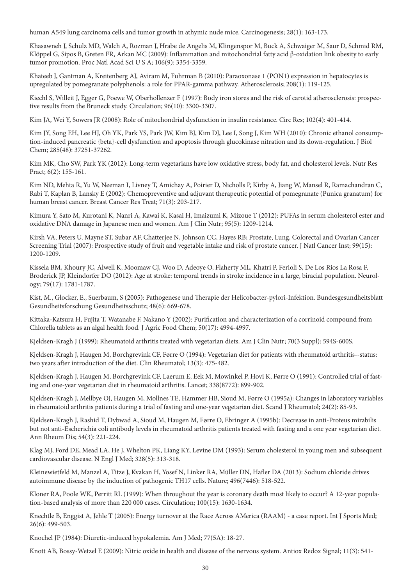human A549 lung carcinoma cells and tumor growth in athymic nude mice. Carcinogenesis; 28(1): 163-173.

Khasawneh J, Schulz MD, Walch A, Rozman J, Hrabe de Angelis M, Klingenspor M, Buck A, Schwaiger M, Saur D, Schmid RM, Klöppel G, Sipos B, Greten FR, Arkan MC (2009): Inflammation and mitochondrial fatty acid β-oxidation link obesity to early tumor promotion. Proc Natl Acad Sci U S A; 106(9): 3354-3359.

Khateeb J, Gantman A, Kreitenberg AJ, Aviram M, Fuhrman B (2010): Paraoxonase 1 (PON1) expression in hepatocytes is upregulated by pomegranate polyphenols: a role for PPAR-gamma pathway. Atherosclerosis; 208(1): 119-125.

Kiechl S, Willeit J, Egger G, Poewe W, Oberhollenzer F (1997): Body iron stores and the risk of carotid atherosclerosis: prospective results from the Bruneck study. Circulation; 96(10): 3300-3307.

Kim JA, Wei Y, Sowers JR (2008): Role of mitochondrial dysfunction in insulin resistance. Circ Res; 102(4): 401-414.

Kim JY, Song EH, Lee HJ, Oh YK, Park YS, Park JW, Kim BJ, Kim DJ, Lee I, Song J, Kim WH (2010): Chronic ethanol consumption-induced pancreatic {beta}-cell dysfunction and apoptosis through glucokinase nitration and its down-regulation. J Biol Chem; 285(48): 37251-37262.

Kim MK, Cho SW, Park YK (2012): Long-term vegetarians have low oxidative stress, body fat, and cholesterol levels. Nutr Res Pract; 6(2): 155-161.

Kim ND, Mehta R, Yu W, Neeman I, Livney T, Amichay A, Poirier D, Nicholls P, Kirby A, Jiang W, Mansel R, Ramachandran C, Rabi T, Kaplan B, Lansky E (2002): Chemopreventive and adjuvant therapeutic potential of pomegranate (Punica granatum) for human breast cancer. Breast Cancer Res Treat; 71(3): 203-217.

Kimura Y, Sato M, Kurotani K, Nanri A, Kawai K, Kasai H, Imaizumi K, Mizoue T (2012): PUFAs in serum cholesterol ester and oxidative DNA damage in Japanese men and women. Am J Clin Nutr; 95(5): 1209-1214.

Kirsh VA, Peters U, Mayne ST, Subar AF, Chatterjee N, Johnson CC, Hayes RB; Prostate, Lung, Colorectal and Ovarian Cancer Screening Trial (2007): Prospective study of fruit and vegetable intake and risk of prostate cancer. J Natl Cancer Inst; 99(15): 1200-1209.

Kissela BM, Khoury JC, Alwell K, Moomaw CJ, Woo D, Adeoye O, Flaherty ML, Khatri P, Ferioli S, De Los Rios La Rosa F, Broderick JP, Kleindorfer DO (2012): Age at stroke: temporal trends in stroke incidence in a large, biracial population. Neurology; 79(17): 1781-1787.

Kist, M., Glocker, E., Suerbaum, S (2005): Pathogenese und Therapie der Helicobacter-pylori-Infektion. Bundesgesundheitsblatt Gesundheitsforschung Gesundheitsschutz; 48(6): 669-678.

Kittaka-Katsura H, Fujita T, Watanabe F, Nakano Y (2002): Purification and characterization of a corrinoid compound from Chlorella tablets as an algal health food. J Agric Food Chem; 50(17): 4994-4997.

Kjeldsen-Kragh J (1999): Rheumatoid arthritis treated with vegetarian diets. Am J Clin Nutr; 70(3 Suppl): 594S-600S.

Kjeldsen-Kragh J, Haugen M, Borchgrevink CF, Førre O (1994): Vegetarian diet for patients with rheumatoid arthritis--status: two years after introduction of the diet. Clin Rheumatol; 13(3): 475-482.

Kjeldsen-Kragh J, Haugen M, Borchgrevink CF, Laerum E, Eek M, Mowinkel P, Hovi K, Førre O (1991): Controlled trial of fasting and one-year vegetarian diet in rheumatoid arthritis. Lancet; 338(8772): 899-902.

Kjeldsen-Kragh J, Mellbye OJ, Haugen M, Mollnes TE, Hammer HB, Sioud M, Førre O (1995a): Changes in laboratory variables in rheumatoid arthritis patients during a trial of fasting and one-year vegetarian diet. Scand J Rheumatol; 24(2): 85-93.

Kjeldsen-Kragh J, Rashid T, Dybwad A, Sioud M, Haugen M, Førre O, Ebringer A (1995b): Decrease in anti-Proteus mirabilis but not anti-Escherichia coli antibody levels in rheumatoid arthritis patients treated with fasting and a one year vegetarian diet. Ann Rheum Dis; 54(3): 221-224.

Klag MJ, Ford DE, Mead LA, He J, Whelton PK, Liang KY, Levine DM (1993): Serum cholesterol in young men and subsequent cardiovascular disease. N Engl J Med; 328(5): 313-318.

Kleinewietfeld M, Manzel A, Titze J, Kvakan H, Yosef N, Linker RA, Müller DN, Hafler DA (2013): Sodium chloride drives autoimmune disease by the induction of pathogenic TH17 cells. Nature; 496(7446): 518-522.

Kloner RA, Poole WK, Perritt RL (1999): When throughout the year is coronary death most likely to occur? A 12-year population-based analysis of more than 220 000 cases. Circulation; 100(15): 1630-1634.

Knechtle B, Enggist A, Jehle T (2005): Energy turnover at the Race Across AMerica (RAAM) - a case report. Int J Sports Med; 26(6): 499-503.

Knochel JP (1984): Diuretic-induced hypokalemia. Am J Med; 77(5A): 18-27.

Knott AB, Bossy-Wetzel E (2009): Nitric oxide in health and disease of the nervous system. Antiox Redox Signal; 11(3): 541-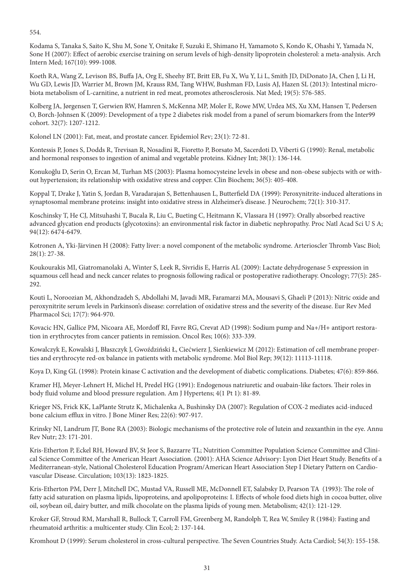554.

Kodama S, Tanaka S, Saito K, Shu M, Sone Y, Onitake F, Suzuki E, Shimano H, Yamamoto S, Kondo K, Ohashi Y, Yamada N, Sone H (2007): Effect of aerobic exercise training on serum levels of high-density lipoprotein cholesterol: a meta-analysis. Arch Intern Med; 167(10): 999-1008.

Koeth RA, Wang Z, Levison BS, Buffa JA, Org E, Sheehy BT, Britt EB, Fu X, Wu Y, Li L, Smith JD, DiDonato JA, Chen J, Li H, Wu GD, Lewis JD, Warrier M, Brown JM, Krauss RM, Tang WHW, Bushman FD, Lusis AJ, Hazen SL (2013): Intestinal microbiota metabolism of L-carnitine, a nutrient in red meat, promotes atherosclerosis. Nat Med; 19(5): 576-585.

Kolberg JA, Jørgensen T, Gerwien RW, Hamren S, McKenna MP, Moler E, Rowe MW, Urdea MS, Xu XM, Hansen T, Pedersen O, Borch-Johnsen K (2009): Development of a type 2 diabetes risk model from a panel of serum biomarkers from the Inter99 cohort. 32(7): 1207-1212.

Kolonel LN (2001): Fat, meat, and prostate cancer. Epidemiol Rev; 23(1): 72-81.

Kontessis P, Jones S, Dodds R, Trevisan R, Nosadini R, Fioretto P, Borsato M, Sacerdoti D, Viberti G (1990): Renal, metabolic and hormonal responses to ingestion of animal and vegetable proteins. Kidney Int; 38(1): 136-144.

Konukoğlu D, Serin O, Ercan M, Turhan MS (2003): Plasma homocysteine levels in obese and non-obese subjects with or without hypertension; its relationship with oxidative stress and copper. Clin Biochem; 36(5): 405-408.

Koppal T, Drake J, Yatin S, Jordan B, Varadarajan S, Bettenhausen L, Butterfield DA (1999): Peroxynitrite-induced alterations in synaptosomal membrane proteins: insight into oxidative stress in Alzheimer's disease. J Neurochem; 72(1): 310-317.

Koschinsky T, He CJ, Mitsuhashi T, Bucala R, Liu C, Bueting C, Heitmann K, Vlassara H (1997): Orally absorbed reactive advanced glycation end products (glycotoxins): an environmental risk factor in diabetic nephropathy. Proc Natl Acad Sci U S A; 94(12): 6474-6479.

Kotronen A, Yki-Järvinen H (2008): Fatty liver: a novel component of the metabolic syndrome. Arterioscler Thromb Vasc Biol; 28(1): 27-38.

Koukourakis MI, Giatromanolaki A, Winter S, Leek R, Sivridis E, Harris AL (2009): Lactate dehydrogenase 5 expression in squamous cell head and neck cancer relates to prognosis following radical or postoperative radiotherapy. Oncology; 77(5): 285- 292.

Kouti L, Noroozian M, Akhondzadeh S, Abdollahi M, Javadi MR, Faramarzi MA, Mousavi S, Ghaeli P (2013): Nitric oxide and peroxynitrite serum levels in Parkinson's disease: correlation of oxidative stress and the severity of the disease. Eur Rev Med Pharmacol Sci; 17(7): 964-970.

Kovacic HN, Gallice PM, Nicoara AE, Mordoff RI, Favre RG, Crevat AD (1998): Sodium pump and Na+/H+ antiport restoration in erythrocytes from cancer patients in remission. Oncol Res; 10(6): 333-339.

Kowalczyk E, Kowalski J, Błaszczyk J, Gwoździński Ł, Ciećwierz J, Sienkiewicz M (2012): Estimation of cell membrane properties and erythrocyte red-ox balance in patients with metabolic syndrome. Mol Biol Rep; 39(12): 11113-11118.

Koya D, King GL (1998): Protein kinase C activation and the development of diabetic complications. Diabetes; 47(6): 859-866.

Kramer HJ, Meyer-Lehnert H, Michel H, Predel HG (1991): Endogenous natriuretic and ouabain-like factors. Their roles in body fluid volume and blood pressure regulation. Am J Hypertens; 4(1 Pt 1): 81-89.

Krieger NS, Frick KK, LaPlante Strutz K, Michalenka A, Bushinsky DA (2007): Regulation of COX-2 mediates acid-induced bone calcium efflux in vitro. J Bone Miner Res; 22(6): 907-917.

Krinsky NI, Landrum JT, Bone RA (2003): Biologic mechanisms of the protective role of lutein and zeaxanthin in the eye. Annu Rev Nutr; 23: 171-201.

Kris-Etherton P, Eckel RH, Howard BV, St Jeor S, Bazzarre TL; Nutrition Committee Population Science Committee and Clinical Science Committee of the American Heart Association. (2001): AHA Science Advisory: Lyon Diet Heart Study. Benefits of a Mediterranean-style, National Cholesterol Education Program/American Heart Association Step I Dietary Pattern on Cardiovascular Disease. Circulation; 103(13): 1823-1825.

Kris-Etherton PM, Derr J, Mitchell DC, Mustad VA, Russell ME, McDonnell ET, Salabsky D, Pearson TA (1993): The role of fatty acid saturation on plasma lipids, lipoproteins, and apolipoproteins: I. Effects of whole food diets high in cocoa butter, olive oil, soybean oil, dairy butter, and milk chocolate on the plasma lipids of young men. Metabolism; 42(1): 121-129.

Kroker GF, Stroud RM, Marshall R, Bullock T, Carroll FM, Greenberg M, Randolph T, Rea W, Smiley R (1984): Fasting and rheumatoid arthritis: a multicenter study. Clin Ecol; 2: 137-144.

Kromhout D (1999): Serum cholesterol in cross-cultural perspective. The Seven Countries Study. Acta Cardiol; 54(3): 155-158.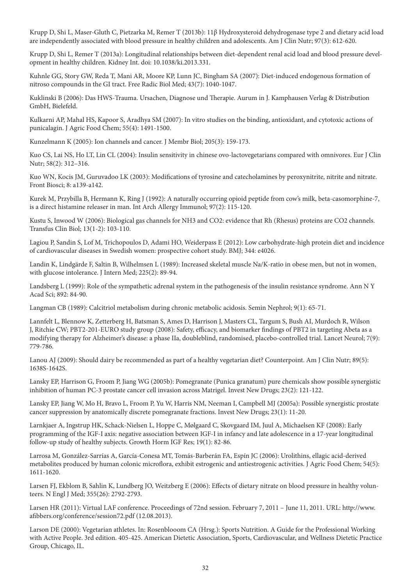Krupp D, Shi L, Maser-Gluth C, Pietzarka M, Remer T (2013b): 11β Hydroxysteroid dehydrogenase type 2 and dietary acid load are independently associated with blood pressure in healthy children and adolescents. Am J Clin Nutr; 97(3): 612-620.

Krupp D, Shi L, Remer T (2013a): Longitudinal relationships between diet-dependent renal acid load and blood pressure development in healthy children. Kidney Int. doi: 10.1038/ki.2013.331.

Kuhnle GG, Story GW, Reda T, Mani AR, Moore KP, Lunn JC, Bingham SA (2007): Diet-induced endogenous formation of nitroso compounds in the GI tract. Free Radic Biol Med; 43(7): 1040-1047.

Kuklinski B (2006): Das HWS-Trauma. Ursachen, Diagnose und Therapie. Aurum in J. Kamphausen Verlag & Distribution GmbH, Bielefeld.

Kulkarni AP, Mahal HS, Kapoor S, Aradhya SM (2007): In vitro studies on the binding, antioxidant, and cytotoxic actions of punicalagin. J Agric Food Chem; 55(4): 1491-1500.

Kunzelmann K (2005): Ion channels and cancer. J Membr Biol; 205(3): 159-173.

Kuo CS, Lai NS, Ho LT, Lin CL (2004): Insulin sensitivity in chinese ovo-lactovegetarians compared with omnivores. Eur J Clin Nutr; 58(2): 312–316.

Kuo WN, Kocis JM, Guruvadoo LK (2003): Modifications of tyrosine and catecholamines by peroxynitrite, nitrite and nitrate. Front Biosci; 8: a139-a142.

Kurek M, Przybilla B, Hermann K, Ring J (1992): A naturally occurring opioid peptide from cow's milk, beta-casomorphine-7, is a direct histamine releaser in man. Int Arch Allergy Immunol; 97(2): 115-120.

Kustu S, Inwood W (2006): Biological gas channels for NH3 and CO2: evidence that Rh (Rhesus) proteins are CO2 channels. Transfus Clin Biol; 13(1-2): 103-110.

Lagiou P, Sandin S, Lof M, Trichopoulos D, Adami HO, Weiderpass E (2012): Low carbohydrate-high protein diet and incidence of cardiovascular diseases in Swedish women: prospective cohort study. BMJ; 344: e4026.

Landin K, Lindgärde F, Saltin B, Wilhelmsen L (1989): Increased skeletal muscle Na/K-ratio in obese men, but not in women, with glucose intolerance. J Intern Med; 225(2): 89-94.

Landsberg L (1999): Role of the sympathetic adrenal system in the pathogenesis of the insulin resistance syndrome. Ann N Y Acad Sci; 892: 84-90.

Langman CB (1989): Calcitriol metabolism during chronic metabolic acidosis. Semin Nephrol; 9(1): 65-71.

Lannfelt L, Blennow K, Zetterberg H, Batsman S, Ames D, Harrison J, Masters CL, Targum S, Bush AI, Murdoch R, Wilson J, Ritchie CW; PBT2-201-EURO study group (2008): Safety, efficacy, and biomarker findings of PBT2 in targeting Abeta as a modifying therapy for Alzheimer's disease: a phase IIa, doubleblind, randomised, placebo-controlled trial. Lancet Neurol; 7(9): 779-786.

Lanou AJ (2009): Should dairy be recommended as part of a healthy vegetarian diet? Counterpoint. Am J Clin Nutr; 89(5): 1638S-1642S.

Lansky EP, Harrison G, Froom P, Jiang WG (2005b): Pomegranate (Punica granatum) pure chemicals show possible synergistic inhibition of human PC-3 prostate cancer cell invasion across Matrigel. Invest New Drugs; 23(2): 121-122.

Lansky EP, Jiang W, Mo H, Bravo L, Froom P, Yu W, Harris NM, Neeman I, Campbell MJ (2005a): Possible synergistic prostate cancer suppression by anatomically discrete pomegranate fractions. Invest New Drugs; 23(1): 11-20.

Larnkjaer A, Ingstrup HK, Schack-Nielsen L, Hoppe C, Mølgaard C, Skovgaard IM, Juul A, Michaelsen KF (2008): Early programming of the IGF-I axis: negative association between IGF-I in infancy and late adolescence in a 17-year longitudinal follow-up study of healthy subjects. Growth Horm IGF Res; 19(1): 82-86.

Larrosa M, González-Sarrías A, García-Conesa MT, Tomás-Barberán FA, Espín JC (2006): Urolithins, ellagic acid-derived metabolites produced by human colonic microflora, exhibit estrogenic and antiestrogenic activities. J Agric Food Chem; 54(5): 1611-1620.

Larsen FJ, Ekblom B, Sahlin K, Lundberg JO, Weitzberg E (2006): Effects of dietary nitrate on blood pressure in healthy volunteers. N Engl J Med; 355(26): 2792-2793.

Larsen HR (2011): Virtual LAF conference. Proceedings of 72nd session. February 7, 2011 – June 11, 2011. URL: http://www. afibbers.org/conference/session72.pdf (12.08.2013).

Larson DE (2000): Vegetarian athletes. In: Rosenblooom CA (Hrsg.): Sports Nutrition. A Guide for the Professional Working with Active People. 3rd edition. 405-425. American Dietetic Association, Sports, Cardiovascular, and Wellness Dietetic Practice Group, Chicago, IL.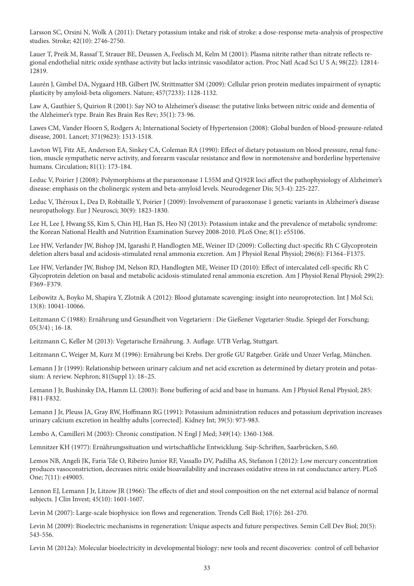Larsson SC, Orsini N, Wolk A (2011): Dietary potassium intake and risk of stroke: a dose-response meta-analysis of prospective studies. Stroke; 42(10): 2746-2750.

Lauer T, Preik M, Rassaf T, Strauer BE, Deussen A, Feelisch M, Kelm M (2001): Plasma nitrite rather than nitrate reflects regional endothelial nitric oxide synthase activity but lacks intrinsic vasodilator action. Proc Natl Acad Sci U S A; 98(22): 12814- 12819.

Laurén J, Gimbel DA, Nygaard HB, Gilbert JW, Strittmatter SM (2009): Cellular prion protein mediates impairment of synaptic plasticity by amyloid-beta oligomers. Nature; 457(7233): 1128-1132.

Law A, Gauthier S, Quirion R (2001): Say NO to Alzheimer's disease: the putative links between nitric oxide and dementia of the Alzheimer's type. Brain Res Brain Res Rev; 35(1): 73-96.

Lawes CM, Vander Hoorn S, Rodgers A; International Society of Hypertension (2008): Global burden of blood-pressure-related disease, 2001. Lancet; 371(9623): 1513-1518.

Lawton WJ, Fitz AE, Anderson EA, Sinkey CA, Coleman RA (1990): Effect of dietary potassium on blood pressure, renal function, muscle sympathetic nerve activity, and forearm vascular resistance and flow in normotensive and borderline hypertensive humans. Circulation; 81(1): 173-184.

Leduc V, Poirier J (2008): Polymorphisms at the paraoxonase 1 L55M and Q192R loci affect the pathophysiology of Alzheimer's disease: emphasis on the cholinergic system and beta-amyloid levels. Neurodegener Dis; 5(3-4): 225-227.

Leduc V, Théroux L, Dea D, Robitaille Y, Poirier J (2009): Involvement of paraoxonase 1 genetic variants in Alzheimer's disease neuropathology. Eur J Neurosci; 30(9): 1823-1830.

Lee H, Lee J, Hwang SS, Kim S, Chin HJ, Han JS, Heo NJ (2013): Potassium intake and the prevalence of metabolic syndrome: the Korean National Health and Nutrition Examination Survey 2008-2010. PLoS One; 8(1): e55106.

Lee HW, Verlander JW, Bishop JM, Igarashi P, Handlogten ME, Weiner ID (2009): Collecting duct-specific Rh C Glycoprotein deletion alters basal and acidosis-stimulated renal ammonia excretion. Am J Physiol Renal Physiol; 296(6): F1364–F1375.

Lee HW, Verlander JW, Bishop JM, Nelson RD, Handlogten ME, Weiner ID (2010): Effect of intercalated cell-specific Rh C Glycoprotein deletion on basal and metabolic acidosis-stimulated renal ammonia excretion. Am J Physiol Renal Physiol; 299(2): F369–F379.

Leibowitz A, Boyko M, Shapira Y, Zlotnik A (2012): Blood glutamate scavenging: insight into neuroprotection. Int J Mol Sci; 13(8): 10041-10066.

Leitzmann C (1988): Ernährung und Gesundheit von Vegetariern : Die Gießener Vegetarier-Studie. Spiegel der Forschung;  $05(3/4)$ ; 16-18.

Leitzmann C, Keller M (2013): Vegetarische Ernährung. 3. Auflage. UTB Verlag, Stuttgart.

Leitzmann C, Weiger M, Kurz M (1996): Ernährung bei Krebs. Der große GU Ratgeber. Gräfe und Unzer Verlag, München.

Lemann J Jr (1999): Relationship between urinary calcium and net acid excretion as determined by dietary protein and potassium: A review. Nephron; 81(Suppl 1): 18–25.

Lemann J Jr, Bushinsky DA, Hamm LL (2003): Bone buffering of acid and base in humans. Am J Physiol Renal Physiol; 285: F811-F832.

Lemann J Jr, Pleuss JA, Gray RW, Hoffmann RG (1991): Potassium administration reduces and potassium deprivation increases urinary calcium excretion in healthy adults [corrected]. Kidney Int; 39(5): 973-983.

Lembo A, Camilleri M (2003): Chronic constipation. N Engl J Med; 349(14): 1360-1368.

Lemnitzer KH (1977): Ernährungssituation und wirtschaftliche Entwicklung. Ssip-Schriften, Saarbrücken, S.60.

Lemos NB, Angeli JK, Faria Tde O, Ribeiro Junior RF, Vassallo DV, Padilha AS, Stefanon I (2012): Low mercury concentration produces vasoconstriction, decreases nitric oxide bioavailability and increases oxidative stress in rat conductance artery. PLoS One; 7(11): e49005.

Lennon EJ, Lemann J Jr, Litzow JR (1966): The effects of diet and stool composition on the net external acid balance of normal subjects. J Clin Invest; 45(10): 1601-1607.

Levin M (2007): Large-scale biophysics: ion flows and regeneration. Trends Cell Biol; 17(6): 261-270.

Levin M (2009): Bioelectric mechanisms in regeneration: Unique aspects and future perspectives. Semin Cell Dev Biol; 20(5): 543-556.

Levin M (2012a): Molecular bioelectricity in developmental biology: new tools and recent discoveries: control of cell behavior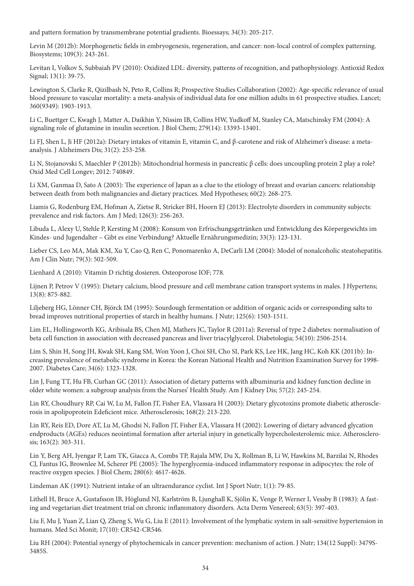and pattern formation by transmembrane potential gradients. Bioessays; 34(3): 205-217.

Levin M (2012b): Morphogenetic fields in embryogenesis, regeneration, and cancer: non-local control of complex patterning. Biosystems; 109(3): 243-261.

Levitan I, Volkov S, Subbaiah PV (2010): Oxidized LDL: diversity, patterns of recognition, and pathophysiology. Antioxid Redox Signal; 13(1): 39-75.

Lewington S, Clarke R, Qizilbash N, Peto R, Collins R; Prospective Studies Collaboration (2002): Age-specific relevance of usual blood pressure to vascular mortality: a meta-analysis of individual data for one million adults in 61 prospective studies. Lancet; 360(9349): 1903-1913.

Li C, Buettger C, Kwagh J, Matter A, Daikhin Y, Nissim IB, Collins HW, Yudkoff M, Stanley CA, Matschinsky FM (2004): A signaling role of glutamine in insulin secretion. J Biol Chem; 279(14): 13393-13401.

Li FJ, Shen L, Ji HF (2012a): Dietary intakes of vitamin E, vitamin C, and β-carotene and risk of Alzheimer's disease: a metaanalysis. J Alzheimers Dis; 31(2): 253-258.

Li N, Stojanovski S, Maechler P (2012b): Mitochondrial hormesis in pancreatic β cells: does uncoupling protein 2 play a role? Oxid Med Cell Longev; 2012: 740849.

Li XM, Ganmaa D, Sato A (2003): The experience of Japan as a clue to the etiology of breast and ovarian cancers: relationship between death from both malignancies and dietary practices. Med Hypotheses; 60(2): 268-275.

Liamis G, Rodenburg EM, Hofman A, Zietse R, Stricker BH, Hoorn EJ (2013): Electrolyte disorders in community subjects: prevalence and risk factors. Am J Med; 126(3): 256-263.

Libuda L, Alexy U, Stehle P, Kersting M (2008): Konsum von Erfrischungsgetränken und Entwicklung des Körpergewichts im Kindes- und Jugendalter – Gibt es eine Verbindung? Aktuelle Ernährungsmedizin; 33(3): 123-131.

Lieber CS, Leo MA, Mak KM, Xu Y, Cao Q, Ren C, Ponomarenko A, DeCarli LM (2004): Model of nonalcoholic steatohepatitis. Am J Clin Nutr; 79(3): 502-509.

Lienhard A (2010): Vitamin D richtig dosieren. Osteoporose IOF; 778.

Lijnen P, Petrov V (1995): Dietary calcium, blood pressure and cell membrane cation transport systems in males. J Hypertens; 13(8): 875-882.

Liljeberg HG, Lönner CH, Björck IM (1995): Sourdough fermentation or addition of organic acids or corresponding salts to bread improves nutritional properties of starch in healthy humans. J Nutr; 125(6): 1503-1511.

Lim EL, Hollingsworth KG, Aribisala BS, Chen MJ, Mathers JC, Taylor R (2011a): Reversal of type 2 diabetes: normalisation of beta cell function in association with decreased pancreas and liver triacylglycerol. Diabetologia; 54(10): 2506-2514.

Lim S, Shin H, Song JH, Kwak SH, Kang SM, Won Yoon J, Choi SH, Cho SI, Park KS, Lee HK, Jang HC, Koh KK (2011b): Increasing prevalence of metabolic syndrome in Korea: the Korean National Health and Nutrition Examination Survey for 1998- 2007. Diabetes Care; 34(6): 1323-1328.

Lin J, Fung TT, Hu FB, Curhan GC (2011): Association of dietary patterns with albuminuria and kidney function decline in older white women: a subgroup analysis from the Nurses' Health Study. Am J Kidney Dis; 57(2): 245-254.

Lin RY, Choudhury RP, Cai W, Lu M, Fallon JT, Fisher EA, Vlassara H (2003): Dietary glycotoxins promote diabetic atherosclerosis in apolipoprotein Edeficient mice. Atherosclerosis; 168(2): 213-220.

Lin RY, Reis ED, Dore AT, Lu M, Ghodsi N, Fallon JT, Fisher EA, Vlassara H (2002): Lowering of dietary advanced glycation endproducts (AGEs) reduces neointimal formation after arterial injury in genetically hypercholesterolemic mice. Atherosclerosis; 163(2): 303-311.

Lin Y, Berg AH, Iyengar P, Lam TK, Giacca A, Combs TP, Rajala MW, Du X, Rollman B, Li W, Hawkins M, Barzilai N, Rhodes CJ, Fantus IG, Brownlee M, Scherer PE (2005): The hyperglycemia-induced inflammatory response in adipocytes: the role of reactive oxygen species. J Biol Chem; 280(6): 4617-4626.

Lindeman AK (1991): Nutrient intake of an ultraendurance cyclist. Int J Sport Nutr; 1(1): 79-85.

Lithell H, Bruce A, Gustafsson IB, Höglund NJ, Karlström B, Ljunghall K, Sjölin K, Venge P, Werner I, Vessby B (1983): A fasting and vegetarian diet treatment trial on chronic inflammatory disorders. Acta Derm Venereol; 63(5): 397-403.

Liu F, Mu J, Yuan Z, Lian Q, Zheng S, Wu G, Liu E (2011): Involvement of the lymphatic system in salt-sensitive hypertension in humans. Med Sci Monit; 17(10): CR542-CR546.

Liu RH (2004): Potential synergy of phytochemicals in cancer prevention: mechanism of action. J Nutr; 134(12 Suppl): 3479S-3485S.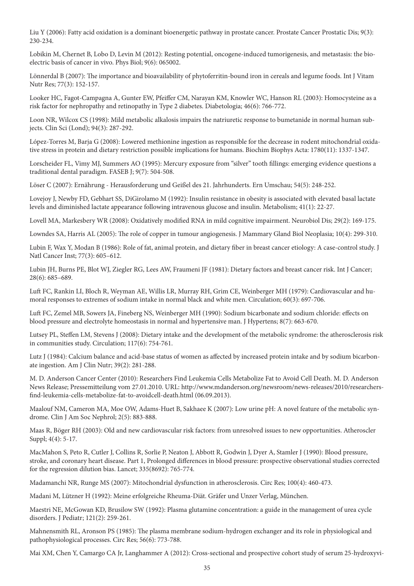Liu Y (2006): Fatty acid oxidation is a dominant bioenergetic pathway in prostate cancer. Prostate Cancer Prostatic Dis; 9(3): 230-234.

Lobikin M, Chernet B, Lobo D, Levin M (2012): Resting potential, oncogene-induced tumorigenesis, and metastasis: the bioelectric basis of cancer in vivo. Phys Biol; 9(6): 065002.

Lönnerdal B (2007): The importance and bioavailability of phytoferritin-bound iron in cereals and legume foods. Int J Vitam Nutr Res; 77(3): 152-157.

Looker HC, Fagot-Campagna A, Gunter EW, Pfeiffer CM, Narayan KM, Knowler WC, Hanson RL (2003): Homocysteine as a risk factor for nephropathy and retinopathy in Type 2 diabetes. Diabetologia; 46(6): 766-772.

Loon NR, Wilcox CS (1998): Mild metabolic alkalosis impairs the natriuretic response to bumetanide in normal human subjects. Clin Sci (Lond); 94(3): 287-292.

López-Torres M, Barja G (2008): Lowered methionine ingestion as responsible for the decrease in rodent mitochondrial oxidative stress in protein and dietary restriction possible implications for humans. Biochim Biophys Acta: 1780(11): 1337-1347.

Lorscheider FL, Vimy MJ, Summers AO (1995): Mercury exposure from "silver" tooth fillings: emerging evidence questions a traditional dental paradigm. FASEB J; 9(7): 504-508.

Löser C (2007): Ernährung - Herausforderung und Geißel des 21. Jahrhunderts. Ern Umschau; 54(5): 248-252.

Lovejoy J, Newby FD, Gebhart SS, DiGirolamo M (1992): Insulin resistance in obesity is associated with elevated basal lactate levels and diminished lactate appearance following intravenous glucose and insulin. Metabolism; 41(1): 22-27.

Lovell MA, Markesbery WR (2008): Oxidatively modified RNA in mild cognitive impairment. Neurobiol Dis; 29(2): 169-175.

Lowndes SA, Harris AL (2005): The role of copper in tumour angiogenesis. J Mammary Gland Biol Neoplasia; 10(4): 299-310.

Lubin F, Wax Y, Modan B (1986): Role of fat, animal protein, and dietary fiber in breast cancer etiology: A case-control study. J Natl Cancer Inst; 77(3): 605–612.

Lubin JH, Burns PE, Blot WJ, Ziegler RG, Lees AW, Fraumeni JF (1981): Dietary factors and breast cancer risk. Int J Cancer; 28(6): 685–689.

Luft FC, Rankin LI, Bloch R, Weyman AE, Willis LR, Murray RH, Grim CE, Weinberger MH (1979): Cardiovascular and humoral responses to extremes of sodium intake in normal black and white men. Circulation; 60(3): 697-706.

Luft FC, Zemel MB, Sowers JA, Fineberg NS, Weinberger MH (1990): Sodium bicarbonate and sodium chloride: effects on blood pressure and electrolyte homeostasis in normal and hypertensive man. J Hypertens; 8(7): 663-670.

Lutsey PL, Steffen LM, Stevens J (2008): Dietary intake and the development of the metabolic syndrome: the atherosclerosis risk in communities study. Circulation; 117(6): 754-761.

Lutz J (1984): Calcium balance and acid-base status of women as affected by increased protein intake and by sodium bicarbonate ingestion. Am J Clin Nutr; 39(2): 281-288.

M. D. Anderson Cancer Center (2010): Researchers Find Leukemia Cells Metabolize Fat to Avoid Cell Death. M. D. Anderson News Release; Pressemitteilung vom 27.01.2010. URL: http://www.mdanderson.org/newsroom/news-releases/2010/researchersfind-leukemia-cells-metabolize-fat-to-avoidcell-death.html (06.09.2013).

Maalouf NM, Cameron MA, Moe OW, Adams-Huet B, Sakhaee K (2007): Low urine pH: A novel feature of the metabolic syndrome. Clin J Am Soc Nephrol; 2(5): 883-888.

Maas R, Böger RH (2003): Old and new cardiovascular risk factors: from unresolved issues to new opportunities. Atheroscler Suppl; 4(4): 5-17.

MacMahon S, Peto R, Cutler J, Collins R, Sorlie P, Neaton J, Abbott R, Godwin J, Dyer A, Stamler J (1990): Blood pressure, stroke, and coronary heart disease. Part 1, Prolonged differences in blood pressure: prospective observational studies corrected for the regression dilution bias. Lancet; 335(8692): 765-774.

Madamanchi NR, Runge MS (2007): Mitochondrial dysfunction in atherosclerosis. Circ Res; 100(4): 460-473.

Madani M, Lützner H (1992): Meine erfolgreiche Rheuma-Diät. Gräfer und Unzer Verlag, München.

Maestri NE, McGowan KD, Brusilow SW (1992): Plasma glutamine concentration: a guide in the management of urea cycle disorders. J Pediatr; 121(2): 259-261.

Mahnensmith RL, Aronson PS (1985): The plasma membrane sodium-hydrogen exchanger and its role in physiological and pathophysiological processes. Circ Res; 56(6): 773-788.

Mai XM, Chen Y, Camargo CA Jr, Langhammer A (2012): Cross-sectional and prospective cohort study of serum 25-hydroxyvi-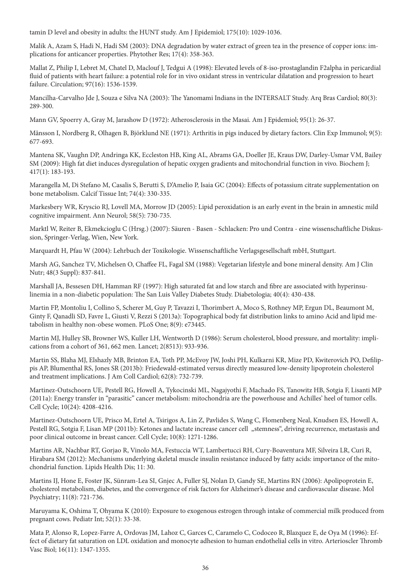tamin D level and obesity in adults: the HUNT study. Am J Epidemiol; 175(10): 1029-1036.

Malik A, Azam S, Hadi N, Hadi SM (2003): DNA degradation by water extract of green tea in the presence of copper ions: implications for anticancer properties. Phytother Res; 17(4): 358-363.

Mallat Z, Philip I, Lebret M, Chatel D, Maclouf J, Tedgui A (1998): Elevated levels of 8-iso-prostaglandin F2alpha in pericardial fluid of patients with heart failure: a potential role for in vivo oxidant stress in ventricular dilatation and progression to heart failure. Circulation; 97(16): 1536-1539.

Mancilha-Carvalho Jde J, Souza e Silva NA (2003): The Yanomami Indians in the INTERSALT Study. Arq Bras Cardiol; 80(3): 289-300.

Mann GV, Spoerry A, Gray M, Jarashow D (1972): Atherosclerosis in the Masai. Am J Epidemiol; 95(1): 26-37.

Månsson I, Nordberg R, Olhagen B, Björklund NE (1971): Arthritis in pigs induced by dietary factors. Clin Exp Immunol; 9(5): 677-693.

Mantena SK, Vaughn DP, Andringa KK, Eccleston HB, King AL, Abrams GA, Doeller JE, Kraus DW, Darley-Usmar VM, Bailey SM (2009): High fat diet induces dysregulation of hepatic oxygen gradients and mitochondrial function in vivo. Biochem J; 417(1): 183-193.

Marangella M, Di Stefano M, Casalis S, Berutti S, D'Amelio P, Isaia GC (2004): Effects of potassium citrate supplementation on bone metabolism. Calcif Tissue Int; 74(4): 330-335.

Markesbery WR, Kryscio RJ, Lovell MA, Morrow JD (2005): Lipid peroxidation is an early event in the brain in amnestic mild cognitive impairment. Ann Neurol; 58(5): 730-735.

Marktl W, Reiter B, Ekmekcioglu C (Hrsg.) (2007): Säuren - Basen - Schlacken: Pro und Contra - eine wissenschaftliche Diskussion, Springer-Verlag, Wien, New York.

Marquardt H, Pfau W (2004): Lehrbuch der Toxikologie. Wissenschaftliche Verlagsgesellschaft mbH, Stuttgart.

Marsh AG, Sanchez TV, Michelsen O, Chaffee FL, Fagal SM (1988): Vegetarian lifestyle and bone mineral density. Am J Clin Nutr; 48(3 Suppl): 837-841.

Marshall JA, Bessesen DH, Hamman RF (1997): High saturated fat and low starch and fibre are associated with hyperinsulinemia in a non-diabetic population: The San Luis Valley Diabetes Study. Diabetologia; 40(4): 430-438.

Martin FP, Montoliu I, Collino S, Scherer M, Guy P, Tavazzi I, Thorimbert A, Moco S, Rothney MP, Ergun DL, Beaumont M, Ginty F, Qanadli SD, Favre L, Giusti V, Rezzi S (2013a): Topographical body fat distribution links to amino Acid and lipid metabolism in healthy non-obese women. PLoS One; 8(9): e73445.

Martin MJ, Hulley SB, Browner WS, Kuller LH, Wentworth D (1986): Serum cholesterol, blood pressure, and mortality: implications from a cohort of 361, 662 men. Lancet; 2(8513): 933-936.

Martin SS, Blaha MJ, Elshazly MB, Brinton EA, Toth PP, McEvoy JW, Joshi PH, Kulkarni KR, Mize PD, Kwiterovich PO, Defilippis AP, Blumenthal RS, Jones SR (2013b): Friedewald-estimated versus directly measured low-density lipoprotein cholesterol and treatment implications. J Am Coll Cardiol; 62(8): 732-739.

Martinez-Outschoorn UE, Pestell RG, Howell A, Tykocinski ML, Nagajyothi F, Machado FS, Tanowitz HB, Sotgia F, Lisanti MP (2011a): Energy transfer in "parasitic" cancer metabolism: mitochondria are the powerhouse and Achilles' heel of tumor cells. Cell Cycle; 10(24): 4208-4216.

Martinez-Outschoorn UE, Prisco M, Ertel A, Tsirigos A, Lin Z, Pavlides S, Wang C, Flomenberg Neal, Knudsen ES, Howell A, Pestell RG, Sotgia F, Lisan MP (2011b): Ketones and lactate increase cancer cell "stemness", driving recurrence, metastasis and poor clinical outcome in breast cancer. Cell Cycle; 10(8): 1271-1286.

Martins AR, Nachbar RT, Gorjao R, Vinolo MA, Festuccia WT, Lambertucci RH, Cury-Boaventura MF, Silveira LR, Curi R, Hirabara SM (2012): Mechanisms underlying skeletal muscle insulin resistance induced by fatty acids: importance of the mitochondrial function. Lipids Health Dis; 11: 30.

Martins IJ, Hone E, Foster JK, Sünram-Lea SI, Gnjec A, Fuller SJ, Nolan D, Gandy SE, Martins RN (2006): Apolipoprotein E, cholesterol metabolism, diabetes, and the convergence of risk factors for Alzheimer's disease and cardiovascular disease. Mol Psychiatry; 11(8): 721-736.

Maruyama K, Oshima T, Ohyama K (2010): Exposure to exogenous estrogen through intake of commercial milk produced from pregnant cows. Pediatr Int; 52(1): 33-38.

Mata P, Alonso R, Lopez-Farre A, Ordovas JM, Lahoz C, Garces C, Caramelo C, Codoceo R, Blazquez E, de Oya M (1996): Effect of dietary fat saturation on LDL oxidation and monocyte adhesion to human endothelial cells in vitro. Arterioscler Thromb Vasc Biol; 16(11): 1347-1355.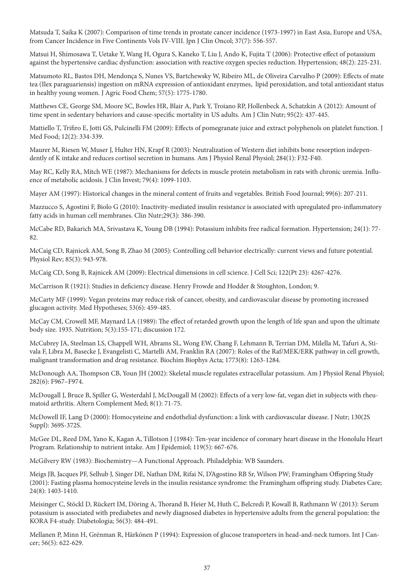Matsuda T, Saika K (2007): Comparison of time trends in prostate cancer incidence (1973-1997) in East Asia, Europe and USA, from Cancer Incidence in Five Continents Vols IV-VIII. Jpn J Clin Oncol; 37(7): 556-557.

Matsui H, Shimosawa T, Uetake Y, Wang H, Ogura S, Kaneko T, Liu J, Ando K, Fujita T (2006): Protective effect of potassium against the hypertensive cardiac dysfunction: association with reactive oxygen species reduction. Hypertension; 48(2): 225-231.

Matsumoto RL, Bastos DH, Mendonça S, Nunes VS, Bartchewsky W, Ribeiro ML, de Oliveira Carvalho P (2009): Effects of mate tea (Ilex paraguariensis) ingestion on mRNA expression of antioxidant enzymes, lipid peroxidation, and total antioxidant status in healthy young women. J Agric Food Chem; 57(5): 1775-1780.

Matthews CE, George SM, Moore SC, Bowles HR, Blair A, Park Y, Troiano RP, Hollenbeck A, Schatzkin A (2012): Amount of time spent in sedentary behaviors and cause-specific mortality in US adults. Am J Clin Nutr; 95(2): 437-445.

Mattiello T, Trifiro E, Jotti GS, Pulcinelli FM (2009): Effects of pomegranate juice and extract polyphenols on platelet function. J Med Food; 12(2): 334-339.

Maurer M, Riesen W, Muser J, Hulter HN, Krapf R (2003): Neutralization of Western diet inhibits bone resorption independently of K intake and reduces cortisol secretion in humans. Am J Physiol Renal Physiol; 284(1): F32-F40.

May RC, Kelly RA, Mitch WE (1987): Mechanisms for defects in muscle protein metabolism in rats with chronic uremia. Influence of metabolic acidosis. J Clin Invest; 79(4): 1099-1103.

Mayer AM (1997): Historical changes in the mineral content of fruits and vegetables. British Food Journal; 99(6): 207-211.

Mazzucco S, Agostini F, Biolo G (2010): Inactivity-mediated insulin resistance is associated with upregulated pro-inflammatory fatty acids in human cell membranes. Clin Nutr;29(3): 386-390.

McCabe RD, Bakarich MA, Srivastava K, Young DB (1994): Potassium inhibits free radical formation. Hypertension; 24(1): 77- 82.

McCaig CD, Rajnicek AM, Song B, Zhao M (2005): Controlling cell behavior electrically: current views and future potential. Physiol Rev; 85(3): 943-978.

McCaig CD, Song B, Rajnicek AM (2009): Electrical dimensions in cell science. J Cell Sci; 122(Pt 23): 4267-4276.

McCarrison R (1921): Studies in deficiency disease. Henry Frowde and Hodder & Stoughton, London; 9.

McCarty MF (1999): Vegan proteins may reduce risk of cancer, obesity, and cardiovascular disease by promoting increased glucagon activity. Med Hypotheses; 53(6): 459-485.

McCay CM, Crowell MF, Maynard LA (1989): The effect of retarded growth upon the length of life span and upon the ultimate body size. 1935. Nutrition; 5(3):155-171; discussion 172.

McCubrey JA, Steelman LS, Chappell WH, Abrams SL, Wong EW, Chang F, Lehmann B, Terrian DM, Milella M, Tafuri A, Stivala F, Libra M, Basecke J, Evangelisti C, Martelli AM, Franklin RA (2007): Roles of the Raf/MEK/ERK pathway in cell growth, malignant transformation and drug resistance. Biochim Biophys Acta; 1773(8): 1263-1284.

McDonough AA, Thompson CB, Youn JH (2002): Skeletal muscle regulates extracellular potassium. Am J Physiol Renal Physiol; 282(6): F967–F974.

McDougall J, Bruce B, Spiller G, Westerdahl J, McDougall M (2002): Effects of a very low-fat, vegan diet in subjects with rheumatoid arthritis. Altern Complement Med; 8(1): 71-75.

McDowell IF, Lang D (2000): Homocysteine and endothelial dysfunction: a link with cardiovascular disease. J Nutr; 130(2S Suppl): 369S-372S.

McGee DL, Reed DM, Yano K, Kagan A, Tillotson J (1984): Ten-year incidence of coronary heart disease in the Honolulu Heart Program. Relationship to nutrient intake. Am J Epidemiol; 119(5): 667-676.

McGilvery RW (1983): Biochemistry—A Functional Approach. Philadelphia: WB Saunders.

Meigs JB, Jacques PF, Selhub J, Singer DE, Nathan DM, Rifai N, D'Agostino RB Sr, Wilson PW; Framingham Offspring Study (2001): Fasting plasma homocysteine levels in the insulin resistance syndrome: the Framingham offspring study. Diabetes Care; 24(8): 1403-1410.

Meisinger C, Stöckl D, Rückert IM, Döring A, Thorand B, Heier M, Huth C, Belcredi P, Kowall B, Rathmann W (2013): Serum potassium is associated with prediabetes and newly diagnosed diabetes in hypertensive adults from the general population: the KORA F4-study. Diabetologia; 56(3): 484-491.

Mellanen P, Minn H, Grénman R, Härkönen P (1994): Expression of glucose transporters in head-and-neck tumors. Int J Cancer; 56(5): 622-629.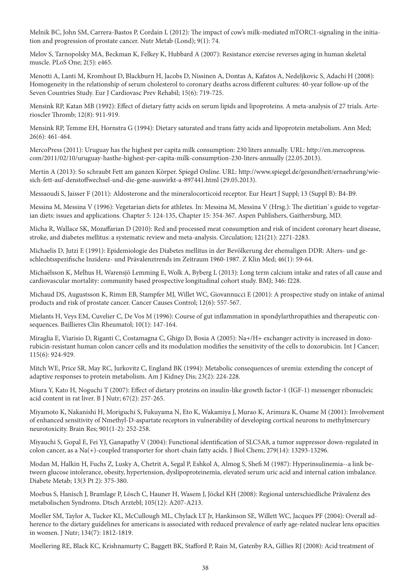Melnik BC, John SM, Carrera-Bastos P, Cordain L (2012): The impact of cow's milk-mediated mTORC1-signaling in the initiation and progression of prostate cancer. Nutr Metab (Lond); 9(1): 74.

Melov S, Tarnopolsky MA, Beckman K, Felkey K, Hubbard A (2007): Resistance exercise reverses aging in human skeletal muscle. PLoS One; 2(5): e465.

Menotti A, Lanti M, Kromhout D, Blackburn H, Jacobs D, Nissinen A, Dontas A, Kafatos A, Nedeljkovic S, Adachi H (2008): Homogeneity in the relationship of serum cholesterol to coronary deaths across different cultures: 40-year follow-up of the Seven Countries Study. Eur J Cardiovasc Prev Rehabil; 15(6): 719-725.

Mensink RP, Katan MB (1992): Effect of dietary fatty acids on serum lipids and lipoproteins. A meta-analysis of 27 trials. Arterioscler Thromb; 12(8): 911-919.

Mensink RP, Temme EH, Hornstra G (1994): Dietary saturated and trans fatty acids and lipoprotein metabolism. Ann Med; 26(6): 461-464.

MercoPress (2011): Uruguay has the highest per capita milk consumption: 230 liters annually. URL: http://en.mercopress. com/2011/02/10/uruguay-hasthe-highest-per-capita-milk-consumption-230-liters-annually (22.05.2013).

Mertin A (2013): So schraubt Fett am ganzen Körper. Spiegel Online. URL: http://www.spiegel.de/gesundheit/ernaehrung/wiesich-fett-auf-denstoffwechsel-und-die-gene-auswirkt-a-897441.html (29.05.2013).

Messaoudi S, Jaisser F (2011): Aldosterone and the mineralocorticoid receptor. Eur Heart J Suppl; 13 (Suppl B): B4-B9.

Messina M, Messina V (1996): Vegetarian diets for athletes. In: Messina M, Messina V (Hrsg.): The dietitian`s guide to vegetarian diets: issues and applications. Chapter 5: 124-135, Chapter 15: 354-367. Aspen Publishers, Gaithersburg, MD.

Micha R, Wallace SK, Mozaffarian D (2010): Red and processed meat consumption and risk of incident coronary heart disease, stroke, and diabetes mellitus: a systematic review and meta-analysis. Circulation; 121(21): 2271-2283.

Michaelis D, Jutzi E (1991): Epidemiologie des Diabetes mellitus in der Bevölkerung der ehemaligen DDR: Alters- und geschlechtsspezifische Inzidenz- und Prävalenztrends im Zeitraum 1960-1987. Z Klin Med; 46(1): 59-64.

Michaëlsson K, Melhus H, Warensjö Lemming E, Wolk A, Byberg L (2013): Long term calcium intake and rates of all cause and cardiovascular mortality: community based prospective longitudinal cohort study. BMJ; 346: f228.

Michaud DS, Augustsson K, Rimm EB, Stampfer MJ, Willet WC, Giovannucci E (2001): A prospective study on intake of animal products and risk of prostate cancer. Cancer Causes Control; 12(6): 557-567.

Mielants H, Veys EM, Cuvelier C, De Vos M (1996): Course of gut inflammation in spondylarthropathies and therapeutic consequences. Baillieres Clin Rheumatol; 10(1): 147-164.

Miraglia E, Viarisio D, Riganti C, Costamagna C, Ghigo D, Bosia A (2005): Na+/H+ exchanger activity is increased in doxorubicin-resistant human colon cancer cells and its modulation modifies the sensitivity of the cells to doxorubicin. Int J Cancer; 115(6): 924-929.

Mitch WE, Price SR, May RC, Jurkovitz C, England BK (1994): Metabolic consequences of uremia: extending the concept of adaptive responses to protein metabolism. Am J Kidney Dis; 23(2): 224-228.

Miura Y, Kato H, Noguchi T (2007): Effect of dietary proteins on insulin-like growth factor-1 (IGF-1) messenger ribonucleic acid content in rat liver. B J Nutr; 67(2): 257-265.

Miyamoto K, Nakanishi H, Moriguchi S, Fukuyama N, Eto K, Wakamiya J, Murao K, Arimura K, Osame M (2001): Involvement of enhanced sensitivity of Nmethyl-D-aspartate receptors in vulnerability of developing cortical neurons to methylmercury neurotoxicity. Brain Res; 901(1-2): 252-258.

Miyauchi S, Gopal E, Fei YJ, Ganapathy V (2004): Functional identification of SLC5A8, a tumor suppressor down-regulated in colon cancer, as a Na(+)-coupled transporter for short-chain fatty acids. J Biol Chem; 279(14): 13293-13296.

Modan M, Halkin H, Fuchs Z, Lusky A, Chetrit A, Segal P, Eshkol A, Almog S, Shefi M (1987): Hyperinsulinemia--a link between glucose intolerance, obesity, hypertension, dyslipoproteinemia, elevated serum uric acid and internal cation imbalance. Diabete Metab; 13(3 Pt 2): 375-380.

Moebus S, Hanisch J, Bramlage P, Lösch C, Hauner H, Wasem J, Jöckel KH (2008): Regional unterschiedliche Prävalenz des metabolischen Syndroms. Dtsch Arztebl; 105(12): A207-A213.

Moeller SM, Taylor A, Tucker KL, McCullough ML, Chylack LT Jr, Hankinson SE, Willett WC, Jacques PF (2004): Overall adherence to the dietary guidelines for americans is associated with reduced prevalence of early age-related nuclear lens opacities in women. J Nutr; 134(7): 1812-1819.

Moellering RE, Black KC, Krishnamurty C, Baggett BK, Stafford P, Rain M, Gatenby RA, Gillies RJ (2008): Acid treatment of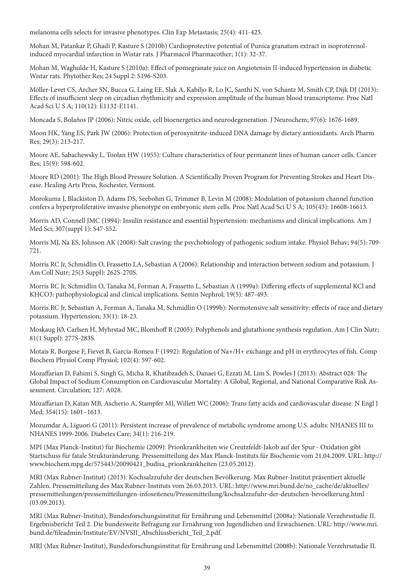melanoma cells selects for invasive phenotypes. Clin Exp Metastasis; 25(4): 411-425.

Mohan M, Patankar P, Ghadi P, Kasture S (2010b) Cardioprotective potential of Punica granatum extract in isoproterenolinduced myocardial infarction in Wistar rats. J Pharmacol Pharmacother; 1(1): 32-37.

Mohan M, Waghulde H, Kasture S (2010a): Effect of pomegranate juice on Angiotensin II-induced hypertension in diabetic Wistar rats. Phytother Res; 24 Suppl 2: S196-S203.

Möller-Levet CS, Archer SN, Bucca G, Laing EE, Slak A, Kabiljo R, Lo JC, Santhi N, von Schantz M, Smith CP, Dijk DJ (2013): Effects of insufficient sleep on circadian rhythmicity and expression amplitude of the human blood transcriptome. Proc Natl Acad Sci U S A; 110(12): E1132-E1141.

Moncada S, Bolaños JP (2006): Nitric oxide, cell bioenergetics and neurodegeneration. J Neurochem; 97(6): 1676-1689.

Moon HK, Yang ES, Park JW (2006): Protection of peroxynitrite-induced DNA damage by dietary antioxidants. Arch Pharm Res; 29(3): 213-217.

Moore AE, Sabachewsky L, Toolan HW (1955): Culture characteristics of four permanent lines of human cancer cells. Cancer Res; 15(9): 598-602.

Moore RD (2001): The High Blood Pressure Solution. A Scientifically Proven Program for Preventing Strokes and Heart Disease. Healing Arts Press, Rochester, Vermont.

Morokuma J, Blackiston D, Adams DS, Seebohm G, Trimmer B, Levin M (2008): Modulation of potassium channel function confers a hyperproliferative invasive phenotype on embryonic stem cells. Proc Natl Acad Sci U S A; 105(43): 16608-16613.

Morris AD, Connell JMC (1994): Insulin resistance and essential hypertension: mechanisms and clinical implications. Am J Med Sci; 307(suppl 1): S47-S52.

Morris MJ, Na ES, Johnson AK (2008): Salt craving: the psychobiology of pathogenic sodium intake. Physiol Behav; 94(5): 709- 721.

Morris RC Jr, Schmidlin O, Frassetto LA, Sebastian A (2006): Relationship and interaction between sodium and potassium. J Am Coll Nutr; 25(3 Suppl): 262S-270S.

Morris RC Jr, Schmidlin O, Tanaka M, Forman A, Frassetto L, Sebastian A (1999a): Differing effects of supplemental KCl and KHCO3: pathophysiological and clinical implications. Semin Nephrol; 19(5): 487-493.

Morris RC Jr, Sebastian A, Forman A, Tanaka M, Schmidlin O (1999b): Normotensive salt sensitivity: effects of race and dietary potassium. Hypertension; 33(1): 18-23.

Moskaug JØ, Carlsen H, Myhrstad MC, Blomhoff R (2005): Polyphenols and glutathione synthesis regulation. Am J Clin Nutr; 81(1 Suppl): 277S-283S.

Motais R, Borgese F, Fievet B, Garcia-Romeu F (1992): Regulation of Na+/H+ exchange and pH in erythrocytes of fish. Comp Biochem Physiol Comp Physiol; 102(4): 597-602.

Mozaffarian D, Fahimi S, Singh G, Micha R, Khatibzadeh S, Danaei G, Ezzati M, Lim S, Powles J (2013): Abstract 028: The Global Impact of Sodium Consumption on Cardiovascular Mortality: A Global, Regional, and National Comparative Risk Assessment. Circulation; 127: A028.

Mozaffarian D, Katan MB, Ascherio A, Stampfer MJ, Willett WC (2006): Trans fatty acids and cardiovascular disease. N Engl J Med; 354(15): 1601–1613.

Mozumdar A, Liguori G (2011): Persistent increase of prevalence of metabolic syndrome among U.S. adults: NHANES III to NHANES 1999-2006. Diabetes Care; 34(1): 216-219.

MPI (Max Planck-Institut) für Biochemie (2009): Prionkrankheiten wie Creutzfeldt-Jakob auf der Spur - Oxidation gibt Startschuss für fatale Strukturänderung. Pressemitteilung des Max Planck-Instituts für Biochemie vom 21.04.2009. URL: http:// www.biochem.mpg.de/575443/20090421\_budisa\_prionkrankheiten (23.05.2012).

MRI (Max Rubner-Institut) (2013): Kochsalzzufuhr der deutschen Bevölkerung. Max Rubner-Institut präsentiert aktuelle Zahlen. Pressemitteilung des Max Rubner-Instituts vom 26.03.2013. URL: http://www.mri.bund.de/no\_cache/de/aktuelles/ pressemitteilungen/pressemitteilungen-infoseiteneu/Pressemitteilung/kochsalzzufuhr-der-deutschen-bevoelkerung.html  $(03.09.2013).$ 

MRI (Max Rubner-Institut), Bundesforschungsinstitut für Ernährung und Lebensmittel (2008a): Nationale Verzehrsstudie II. Ergebnisbericht Teil 2. Die bundesweite Befragung zur Ernährung von Jugendlichen und Erwachsenen. URL: http://www.mri. bund.de/fileadmin/Institute/EV/NVSII\_Abschlussbericht\_Teil\_2.pdf.

MRI (Max Rubner-Institut), Bundesforschungsinstitut für Ernährung und Lebensmittel (2008b): Nationale Verzehrsstudie II.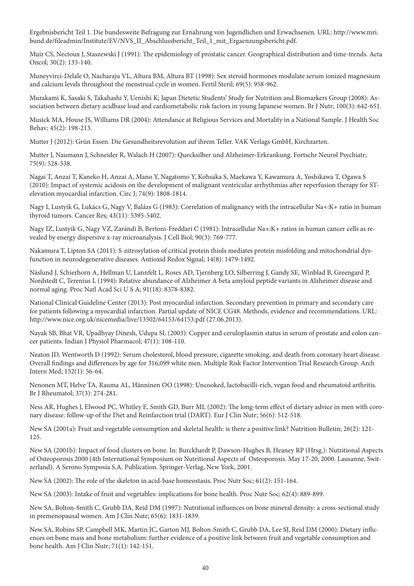Ergebnisbericht Teil 1. Die bundesweite Befragung zur Ernährung von Jugendlichen und Erwachsenen. URL: http://www.mri. bund.de/fileadmin/Institute/EV/NVS\_II\_Abschlussbericht\_Teil\_1\_mit\_Ergaenzungsbericht.pdf.

Muir CS, Nectoux J, Staszewski J (1991): The epidemiology of prostatic cancer. Geographical distribution and time-trends. Acta Oncol; 30(2): 133-140.

Muneyvirci-Delale O, Nacharaju VL, Altura BM, Altura BT (1998): Sex steroid hormones modulate serum ionized magnesium and calcium levels throughout the menstrual cycle in women. Fertil Steril; 69(5): 958-962.

Murakami K, Sasaki S, Takahashi Y, Uenishi K; Japan Dietetic Students' Study for Nutrition and Biomarkers Group (2008): Association between dietary acidbase load and cardiometabolic risk factors in young Japanese women. Br J Nutr; 100(3): 642-651.

Musick MA, House JS, Williams DR (2004): Attendance at Religious Services and Mortality in a National Sample. J Health Soc Behav; 45(2): 198-213.

Mutter J (2012): Grün Essen. Die Gesundheitsrevolution auf ihrem Teller. VAK Verlags GmbH, Kirchzarten.

Mutter J, Naumann J, Schneider R, Walach H (2007): Quecksilber und Alzheimer-Erkrankung. Fortschr Neurol Psychiatr; 75(9): 528-538.

Nagai T, Anzai T, Kaneko H, Anzai A, Mano Y, Nagatomo Y, Kohsaka S, Maekawa Y, Kawamura A, Yoshikawa T, Ogawa S (2010): Impact of systemic acidosis on the development of malignant ventricular arrhythmias after reperfusion therapy for STelevation myocardial infarction. Circ J; 74(9): 1808-1814.

Nagy I, Lustyik G, Lukács G, Nagy V, Balázs G (1983): Correlation of malignancy with the intracellular Na+:K+ ratio in human thyroid tumors. Cancer Res; 43(11): 5395-5402.

Nagy IZ, Lustyik G, Nagy VZ, Zarándi B, Bertoni-Freddari C (1981): Intracellular Na+:K+ ratios in human cancer cells as revealed by energy dispersive x-ray microanalysis. J Cell Biol; 90(3): 769-777.

Nakamura T, Lipton SA (2011): S-nitrosylation of critical protein thiols mediates protein misfolding and mitochondrial dysfunction in neurodegenerative diseases. Antioxid Redox Signal; 14(8): 1479-1492.

Näslund J, Schierhorn A, Hellman U, Lannfelt L, Roses AD, Tjernberg LO, Silberring J, Gandy SE, Winblad B, Greengard P, Nordstedt C, Terenius L (1994): Relative abundance of Alzheimer A beta amyloid peptide variants in Alzheimer disease and normal aging. Proc Natl Acad Sci U S A; 91(18): 8378-8382.

National Clinical Guideline Center (2013): Post myocardial infarction. Secondary prevention in primary and secondary care for patients following a myocardial infarction. Partial update of NICE CG48. Methods, evidence and recommendations. URL: http://www.nice.org.uk/nicemedia/live/13502/64153/64153.pdf (27.06.2013).

Nayak SB, Bhat VR, Upadhyay Dinesh, Udupa SL (2003): Copper and ceruloplasmin status in serum of prostate and colon cancer patients. Indian J Physiol Pharmacol; 47(1): 108-110.

Neaton JD, Wentworth D (1992): Serum cholesterol, blood pressure, cigarette smoking, and death from coronary heart disease. Overall findings and differences by age for 316,099 white men. Multiple Risk Factor Intervention Trial Research Group. Arch Intern Med; 152(1): 56-64.

Nenonen MT, Helve TA, Rauma AL, Hänninen OO (1998): Uncooked, lactobacilli-rich, vegan food and rheumatoid arthritis. Br J Rheumatol; 37(3): 274-281.

Ness AR, Hughes J, Elwood PC, Whitley E, Smith GD, Burr ML (2002): The long-term effect of dietary advice in men with coronary disease: follow-up of the Diet and Reinfarction trial (DART). Eur J Clin Nutr; 56(6): 512-518.

New SA (2001a): Fruit and vegetable consumption and skeletal health: is there a positive link? Nutrition Bulletin; 26(2): 121- 125.

New SA (2001b): Impact of food clusters on bone. In: Burckhardt P, Dawson-Hughes B, Heaney RP (Hrsg.): Nutritional Aspects of Osteoporosis 2000 (4th International Symposium on Nutritional Aspects of Osteoporosis. May 17-20, 2000. Lausanne, Switzerland). A Serono Symposia S.A. Publication. Springer-Verlag, New York, 2001.

New SA (2002): The role of the skeleton in acid-base homeostasis. Proc Nutr Soc; 61(2): 151-164.

New SA (2003): Intake of fruit and vegetables: implications for bone health. Proc Nutr Soc; 62(4): 889-899.

New SA, Bolton-Smith C, Grubb DA, Reid DM (1997): Nutritional influences on bone mineral density: a cross-sectional study in premenopausal women. Am J Clin Nutr; 65(6): 1831-1839.

New SA, Robins SP, Campbell MK, Martin JC, Garton MJ, Bolton-Smith C, Grubb DA, Lee SJ, Reid DM (2000): Dietary influences on bone mass and bone metabolism: further evidence of a positive link between fruit and vegetable consumption and bone health. Am J Clin Nutr; 71(1): 142-151.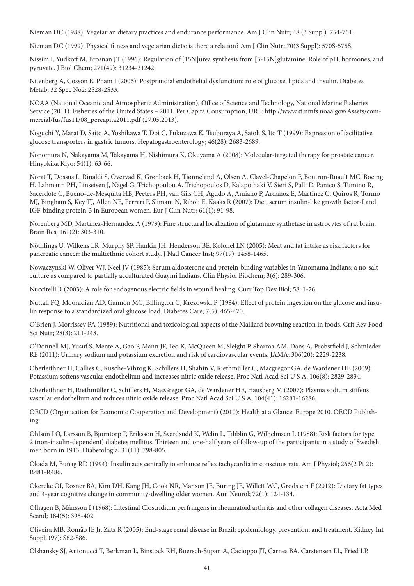Nieman DC (1988): Vegetarian dietary practices and endurance performance. Am J Clin Nutr; 48 (3 Suppl): 754-761.

Nieman DC (1999): Physical fitness and vegetarian diets: is there a relation? Am J Clin Nutr; 70(3 Suppl): 570S-575S.

Nissim I, Yudkoff M, Brosnan JT (1996): Regulation of [15N]urea synthesis from [5-15N]glutamine. Role of pH, hormones, and pyruvate. J Biol Chem; 271(49): 31234-31242.

Nitenberg A, Cosson E, Pham I (2006): Postprandial endothelial dysfunction: role of glucose, lipids and insulin. Diabetes Metab; 32 Spec No2: 2S28-2S33.

NOAA (National Oceanic and Atmospheric Administration), Office of Science and Technology, National Marine Fisheries Service (2011): Fisheries of the United States – 2011, Per Capita Consumption; URL: http://www.st.nmfs.noaa.gov/Assets/commercial/fus/fus11/08\_percapita2011.pdf (27.05.2013).

Noguchi Y, Marat D, Saito A, Yoshikawa T, Doi C, Fukuzawa K, Tsuburaya A, Satoh S, Ito T (1999): Expression of facilitative glucose transporters in gastric tumors. Hepatogastroenterology; 46(28): 2683-2689.

Nonomura N, Nakayama M, Takayama H, Nishimura K, Okuyama A (2008): Molecular-targeted therapy for prostate cancer. Hinyokika Kiyo; 54(1): 63-66.

Norat T, Dossus L, Rinaldi S, Overvad K, Grønbaek H, Tjønneland A, Olsen A, Clavel-Chapelon F, Boutron-Ruault MC, Boeing H, Lahmann PH, Linseisen J, Nagel G, Trichopoulou A, Trichopoulos D, Kalapothaki V, Sieri S, Palli D, Panico S, Tumino R, Sacerdote C, Bueno-de-Mesquita HB, Peeters PH, van Gils CH, Agudo A, Amiano P, Ardanoz E, Martinez C, Quirós R, Tormo MJ, Bingham S, Key TJ, Allen NE, Ferrari P, Slimani N, Riboli E, Kaaks R (2007): Diet, serum insulin-like growth factor-I and IGF-binding protein-3 in European women. Eur J Clin Nutr; 61(1): 91-98.

Norenberg MD, Martinez-Hernandez A (1979): Fine structural localization of glutamine synthetase in astrocytes of rat brain. Brain Res; 161(2): 303-310.

Nöthlings U, Wilkens LR, Murphy SP, Hankin JH, Henderson BE, Kolonel LN (2005): Meat and fat intake as risk factors for pancreatic cancer: the multiethnic cohort study. J Natl Cancer Inst; 97(19): 1458-1465.

Nowaczynski W, Oliver WJ, Neel JV (1985): Serum aldosterone and protein-binding variables in Yanomama Indians: a no-salt culture as compared to partially acculturated Guaymi Indians. Clin Physiol Biochem; 3(6): 289-306.

Nuccitelli R (2003): A role for endogenous electric fields in wound healing. Curr Top Dev Biol; 58: 1-26.

Nuttall FQ, Mooradian AD, Gannon MC, Billington C, Krezowski P (1984): Effect of protein ingestion on the glucose and insulin response to a standardized oral glucose load. Diabetes Care; 7(5): 465-470.

O'Brien J, Morrissey PA (1989): Nutritional and toxicological aspects of the Maillard browning reaction in foods. Crit Rev Food Sci Nutr; 28(3): 211-248.

O'Donnell MJ, Yusuf S, Mente A, Gao P, Mann JF, Teo K, McQueen M, Sleight P, Sharma AM, Dans A, Probstfield J, Schmieder RE (2011): Urinary sodium and potassium excretion and risk of cardiovascular events. JAMA; 306(20): 2229-2238.

Oberleithner H, Callies C, Kusche-Vihrog K, Schillers H, Shahin V, Riethmüller C, Macgregor GA, de Wardener HE (2009): Potassium softens vascular endothelium and increases nitric oxide release. Proc Natl Acad Sci U S A; 106(8): 2829-2834.

Oberleithner H, Riethmüller C, Schillers H, MacGregor GA, de Wardener HE, Hausberg M (2007): Plasma sodium stiffens vascular endothelium and reduces nitric oxide release. Proc Natl Acad Sci U S A; 104(41): 16281-16286.

OECD (Organisation for Economic Cooperation and Development) (2010): Health at a Glance: Europe 2010. OECD Publishing.

Ohlson LO, Larsson B, Björntorp P, Eriksson H, Svärdsudd K, Welin L, Tibblin G, Wilhelmsen L (1988): Risk factors for type 2 (non-insulin-dependent) diabetes mellitus. Thirteen and one-half years of follow-up of the participants in a study of Swedish men born in 1913. Diabetologia; 31(11): 798-805.

Okada M, Buñag RD (1994): Insulin acts centrally to enhance reflex tachycardia in conscious rats. Am J Physiol; 266(2 Pt 2): R481-R486.

Okereke OI, Rosner BA, Kim DH, Kang JH, Cook NR, Manson JE, Buring JE, Willett WC, Grodstein F (2012): Dietary fat types and 4-year cognitive change in community-dwelling older women. Ann Neurol; 72(1): 124-134.

Olhagen B, Månsson I (1968): Intestinal Clostridium perfringens in rheumatoid arthritis and other collagen diseases. Acta Med Scand; 184(5): 395-402.

Oliveira MB, Romão JE Jr, Zatz R (2005): End-stage renal disease in Brazil: epidemiology, prevention, and treatment. Kidney Int Suppl; (97): S82-S86.

Olshansky SJ, Antonucci T, Berkman L, Binstock RH, Boersch-Supan A, Cacioppo JT, Carnes BA, Carstensen LL, Fried LP,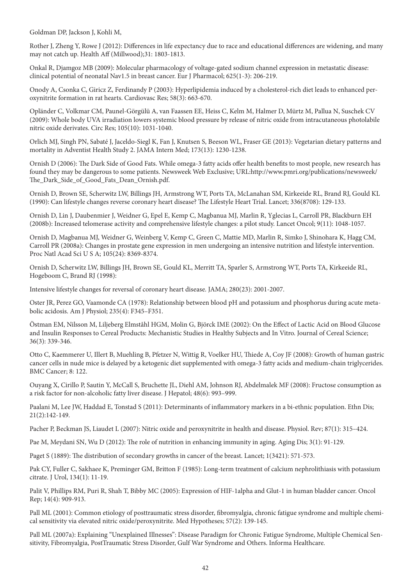Goldman DP, Jackson J, Kohli M,

Rother J, Zheng Y, Rowe J (2012): Differences in life expectancy due to race and educational differences are widening, and many may not catch up. Health Aff (Millwood);31: 1803-1813.

Onkal R, Djamgoz MB (2009): Molecular pharmacology of voltage-gated sodium channel expression in metastatic disease: clinical potential of neonatal Nav1.5 in breast cancer. Eur J Pharmacol; 625(1-3): 206-219.

Onody A, Csonka C, Giricz Z, Ferdinandy P (2003): Hyperlipidemia induced by a cholesterol-rich diet leads to enhanced peroxynitrite formation in rat hearts. Cardiovasc Res; 58(3): 663-670.

Opländer C, Volkmar CM, Paunel-Görgülü A, van Faassen EE, Heiss C, Kelm M, Halmer D, Mürtz M, Pallua N, Suschek CV (2009): Whole body UVA irradiation lowers systemic blood pressure by release of nitric oxide from intracutaneous photolabile nitric oxide derivates. Circ Res; 105(10): 1031-1040.

Orlich MJ, Singh PN, Sabaté J, Jaceldo-Siegl K, Fan J, Knutsen S, Beeson WL, Fraser GE (2013): Vegetarian dietary patterns and mortality in Adventist Health Study 2. JAMA Intern Med; 173(13): 1230-1238.

Ornish D (2006): The Dark Side of Good Fats. While omega-3 fatty acids offer health benefits to most people, new research has found they may be dangerous to some patients. Newsweek Web Exclusive; URL:http://www.pmri.org/publications/newsweek/ The Dark Side of Good Fats Dean Ornish.pdf.

Ornish D, Brown SE, Scherwitz LW, Billings JH, Armstrong WT, Ports TA, McLanahan SM, Kirkeeide RL, Brand RJ, Gould KL (1990): Can lifestyle changes reverse coronary heart disease? The Lifestyle Heart Trial. Lancet; 336(8708): 129-133.

Ornish D, Lin J, Daubenmier J, Weidner G, Epel E, Kemp C, Magbanua MJ, Marlin R, Yglecias L, Carroll PR, Blackburn EH (2008b): Increased telomerase activity and comprehensive lifestyle changes: a pilot study. Lancet Oncol; 9(11): 1048-1057.

Ornish D, Magbanua MJ, Weidner G, Weinberg V, Kemp C, Green C, Mattie MD, Marlin R, Simko J, Shinohara K, Hagg CM, Carroll PR (2008a): Changes in prostate gene expression in men undergoing an intensive nutrition and lifestyle intervention. Proc Natl Acad Sci U S A; 105(24): 8369-8374.

Ornish D, Scherwitz LW, Billings JH, Brown SE, Gould KL, Merritt TA, Sparler S, Armstrong WT, Ports TA, Kirkeeide RL, Hogeboom C, Brand RJ (1998):

Intensive lifestyle changes for reversal of coronary heart disease. JAMA; 280(23): 2001-2007.

Oster JR, Perez GO, Vaamonde CA (1978): Relationship between blood pH and potassium and phosphorus during acute metabolic acidosis. Am J Physiol; 235(4): F345–F351.

Östman EM, Nilsson M, Liljeberg Elmståhl HGM, Molin G, Björck IME (2002): On the Effect of Lactic Acid on Blood Glucose and Insulin Responses to Cereal Products: Mechanistic Studies in Healthy Subjects and In Vitro. Journal of Cereal Science; 36(3): 339-346.

Otto C, Kaemmerer U, Illert B, Muehling B, Pfetzer N, Wittig R, Voelker HU, Thiede A, Coy JF (2008): Growth of human gastric cancer cells in nude mice is delayed by a ketogenic diet supplemented with omega-3 fatty acids and medium-chain triglycerides. BMC Cancer; 8: 122.

Ouyang X, Cirillo P, Sautin Y, McCall S, Bruchette JL, Diehl AM, Johnson RJ, Abdelmalek MF (2008): Fructose consumption as a risk factor for non-alcoholic fatty liver disease. J Hepatol; 48(6): 993–999.

Paalani M, Lee JW, Haddad E, Tonstad S (2011): Determinants of inflammatory markers in a bi-ethnic population. Ethn Dis; 21(2):142-149.

Pacher P, Beckman JS, Liaudet L (2007): Nitric oxide and peroxynitrite in health and disease. Physiol. Rev; 87(1): 315–424.

Pae M, Meydani SN, Wu D (2012): The role of nutrition in enhancing immunity in aging. Aging Dis; 3(1): 91-129.

Paget S (1889): The distribution of secondary growths in cancer of the breast. Lancet; 1(3421): 571-573.

Pak CY, Fuller C, Sakhaee K, Preminger GM, Britton F (1985): Long-term treatment of calcium nephrolithiasis with potassium citrate. J Urol, 134(1): 11-19.

Palit V, Phillips RM, Puri R, Shah T, Bibby MC (2005): Expression of HIF-1alpha and Glut-1 in human bladder cancer. Oncol Rep; 14(4): 909-913.

Pall ML (2001): Common etiology of posttraumatic stress disorder, fibromyalgia, chronic fatigue syndrome and multiple chemical sensitivity via elevated nitric oxide/peroxynitrite. Med Hypotheses; 57(2): 139-145.

Pall ML (2007a): Explaining "Unexplained Illnesses": Disease Paradigm for Chronic Fatigue Syndrome, Multiple Chemical Sensitivity, Fibromyalgia, PostTraumatic Stress Disorder, Gulf War Syndrome and Others. Informa Healthcare.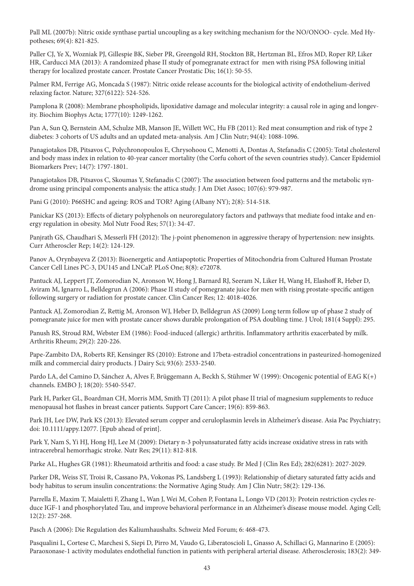Pall ML (2007b): Nitric oxide synthase partial uncoupling as a key switching mechanism for the NO/ONOO- cycle. Med Hypotheses; 69(4): 821-825.

Paller CJ, Ye X, Wozniak PJ, Gillespie BK, Sieber PR, Greengold RH, Stockton BR, Hertzman BL, Efros MD, Roper RP, Liker HR, Carducci MA (2013): A randomized phase II study of pomegranate extract for men with rising PSA following initial therapy for localized prostate cancer. Prostate Cancer Prostatic Dis; 16(1): 50-55.

Palmer RM, Ferrige AG, Moncada S (1987): Nitric oxide release accounts for the biological activity of endothelium-derived relaxing factor. Nature; 327(6122): 524-526.

Pamplona R (2008): Membrane phospholipids, lipoxidative damage and molecular integrity: a causal role in aging and longevity. Biochim Biophys Acta; 1777(10): 1249-1262.

Pan A, Sun Q, Bernstein AM, Schulze MB, Manson JE, Willett WC, Hu FB (2011): Red meat consumption and risk of type 2 diabetes: 3 cohorts of US adults and an updated meta-analysis. Am J Clin Nutr; 94(4): 1088-1096.

Panagiotakos DB, Pitsavos C, Polychronopoulos E, Chrysohoou C, Menotti A, Dontas A, Stefanadis C (2005): Total cholesterol and body mass index in relation to 40-year cancer mortality (the Corfu cohort of the seven countries study). Cancer Epidemiol Biomarkers Prev; 14(7): 1797-1801.

Panagiotakos DB, Pitsavos C, Skoumas Y, Stefanadis C (2007): The association between food patterns and the metabolic syndrome using principal components analysis: the attica study. J Am Diet Assoc; 107(6): 979-987.

Pani G (2010): P66SHC and ageing: ROS and TOR? Aging (Albany NY); 2(8): 514-518.

Panickar KS (2013): Effects of dietary polyphenols on neuroregulatory factors and pathways that mediate food intake and energy regulation in obesity. Mol Nutr Food Res; 57(1): 34-47.

Panjrath GS, Chaudhari S, Messerli FH (2012): The j-point phenomenon in aggressive therapy of hypertension: new insights. Curr Atheroscler Rep; 14(2): 124-129.

Panov A, Orynbayeva Z (2013): Bioenergetic and Antiapoptotic Properties of Mitochondria from Cultured Human Prostate Cancer Cell Lines PC-3, DU145 and LNCaP. PLoS One; 8(8): e72078.

Pantuck AJ, Leppert JT, Zomorodian N, Aronson W, Hong J, Barnard RJ, Seeram N, Liker H, Wang H, Elashoff R, Heber D, Aviram M, Ignarro L, Belldegrun A (2006): Phase II study of pomegranate juice for men with rising prostate-specific antigen following surgery or radiation for prostate cancer. Clin Cancer Res; 12: 4018-4026.

Pantuck AJ, Zomorodian Z, Rettig M, Aronson WJ, Heber D, Belldegrun AS (2009) Long term follow up of phase 2 study of pomegranate juice for men with prostate cancer shows durable prolongation of PSA doubling time. J Urol; 181(4 Suppl): 295.

Panush RS, Stroud RM, Webster EM (1986): Food-induced (allergic) arthritis. Inflammatory arthritis exacerbated by milk. Arthritis Rheum; 29(2): 220-226.

Pape-Zambito DA, Roberts RF, Kensinger RS (2010): Estrone and 17beta-estradiol concentrations in pasteurized-homogenized milk and commercial dairy products. J Dairy Sci; 93(6): 2533-2540.

Pardo LA, del Camino D, Sánchez A, Alves F, Brüggemann A, Beckh S, Stühmer W (1999): Oncogenic potential of EAG K(+) channels. EMBO J; 18(20): 5540-5547.

Park H, Parker GL, Boardman CH, Morris MM, Smith TJ (2011): A pilot phase II trial of magnesium supplements to reduce menopausal hot flashes in breast cancer patients. Support Care Cancer; 19(6): 859-863.

Park JH, Lee DW, Park KS (2013): Elevated serum copper and ceruloplasmin levels in Alzheimer's disease. Asia Pac Psychiatry; doi: 10.1111/appy.12077. [Epub ahead of print].

Park Y, Nam S, Yi HJ, Hong HJ, Lee M (2009): Dietary n-3 polyunsaturated fatty acids increase oxidative stress in rats with intracerebral hemorrhagic stroke. Nutr Res; 29(11): 812-818.

Parke AL, Hughes GR (1981): Rheumatoid arthritis and food: a case study. Br Med J (Clin Res Ed); 282(6281): 2027-2029.

Parker DR, Weiss ST, Troisi R, Cassano PA, Vokonas PS, Landsberg L (1993): Relationship of dietary saturated fatty acids and body habitus to serum insulin concentrations: the Normative Aging Study. Am J Clin Nutr; 58(2): 129-136.

Parrella E, Maxim T, Maialetti F, Zhang L, Wan J, Wei M, Cohen P, Fontana L, Longo VD (2013): Protein restriction cycles reduce IGF-1 and phosphorylated Tau, and improve behavioral performance in an Alzheimer's disease mouse model. Aging Cell; 12(2): 257-268.

Pasch A (2006): Die Regulation des Kaliumhaushalts. Schweiz Med Forum; 6: 468-473.

Pasqualini L, Cortese C, Marchesi S, Siepi D, Pirro M, Vaudo G, Liberatoscioli L, Gnasso A, Schillaci G, Mannarino E (2005): Paraoxonase-1 activity modulates endothelial function in patients with peripheral arterial disease. Atherosclerosis; 183(2): 349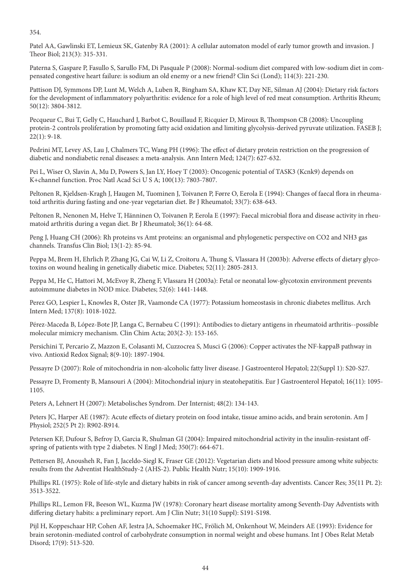354.

Patel AA, Gawlinski ET, Lemieux SK, Gatenby RA (2001): A cellular automaton model of early tumor growth and invasion. J Theor Biol; 213(3): 315-331.

Paterna S, Gaspare P, Fasullo S, Sarullo FM, Di Pasquale P (2008): Normal-sodium diet compared with low-sodium diet in compensated congestive heart failure: is sodium an old enemy or a new friend? Clin Sci (Lond); 114(3): 221-230.

Pattison DJ, Symmons DP, Lunt M, Welch A, Luben R, Bingham SA, Khaw KT, Day NE, Silman AJ (2004): Dietary risk factors for the development of inflammatory polyarthritis: evidence for a role of high level of red meat consumption. Arthritis Rheum; 50(12): 3804-3812.

Pecqueur C, Bui T, Gelly C, Hauchard J, Barbot C, Bouillaud F, Ricquier D, Miroux B, Thompson CB (2008): Uncoupling protein-2 controls proliferation by promoting fatty acid oxidation and limiting glycolysis-derived pyruvate utilization. FASEB J; 22(1): 9-18.

Pedrini MT, Levey AS, Lau J, Chalmers TC, Wang PH (1996): The effect of dietary protein restriction on the progression of diabetic and nondiabetic renal diseases: a meta-analysis. Ann Intern Med; 124(7): 627-632.

Pei L, Wiser O, Slavin A, Mu D, Powers S, Jan LY, Hoey T (2003): Oncogenic potential of TASK3 (Kcnk9) depends on K+channel function. Proc Natl Acad Sci U S A; 100(13): 7803-7807.

Peltonen R, Kjeldsen-Kragh J, Haugen M, Tuominen J, Toivanen P, Førre O, Eerola E (1994): Changes of faecal flora in rheumatoid arthritis during fasting and one-year vegetarian diet. Br J Rheumatol; 33(7): 638-643.

Peltonen R, Nenonen M, Helve T, Hänninen O, Toivanen P, Eerola E (1997): Faecal microbial flora and disease activity in rheumatoid arthritis during a vegan diet. Br J Rheumatol; 36(1): 64-68.

Peng J, Huang CH (2006): Rh proteins vs Amt proteins: an organismal and phylogenetic perspective on CO2 and NH3 gas channels. Transfus Clin Biol; 13(1-2): 85-94.

Peppa M, Brem H, Ehrlich P, Zhang JG, Cai W, Li Z, Croitoru A, Thung S, Vlassara H (2003b): Adverse effects of dietary glycotoxins on wound healing in genetically diabetic mice. Diabetes; 52(11): 2805-2813.

Peppa M, He C, Hattori M, McEvoy R, Zheng F, Vlassara H (2003a): Fetal or neonatal low-glycotoxin environment prevents autoimmune diabetes in NOD mice. Diabetes; 52(6): 1441-1448.

Perez GO, Lespier L, Knowles R, Oster JR, Vaamonde CA (1977): Potassium homeostasis in chronic diabetes mellitus. Arch Intern Med; 137(8): 1018-1022.

Pérez-Maceda B, López-Bote JP, Langa C, Bernabeu C (1991): Antibodies to dietary antigens in rheumatoid arthritis--possible molecular mimicry mechanism. Clin Chim Acta; 203(2-3): 153-165.

Persichini T, Percario Z, Mazzon E, Colasanti M, Cuzzocrea S, Musci G (2006): Copper activates the NF-kappaB pathway in vivo. Antioxid Redox Signal; 8(9-10): 1897-1904.

Pessayre D (2007): Role of mitochondria in non-alcoholic fatty liver disease. J Gastroenterol Hepatol; 22(Suppl 1): S20-S27.

Pessayre D, Fromenty B, Mansouri A (2004): Mitochondrial injury in steatohepatitis. Eur J Gastroenterol Hepatol; 16(11): 1095- 1105.

Peters A, Lehnert H (2007): Metabolisches Syndrom. Der Internist; 48(2): 134-143.

Peters JC, Harper AE (1987): Acute effects of dietary protein on food intake, tissue amino acids, and brain serotonin. Am J Physiol; 252(5 Pt 2): R902-R914.

Petersen KF, Dufour S, Befroy D, Garcia R, Shulman GI (2004): Impaired mitochondrial activity in the insulin-resistant offspring of patients with type 2 diabetes. N Engl J Med; 350(7): 664-671.

Pettersen BJ, Anousheh R, Fan J, Jaceldo-Siegl K, Fraser GE (2012): Vegetarian diets and blood pressure among white subjects: results from the Adventist HealthStudy-2 (AHS-2). Public Health Nutr; 15(10): 1909-1916.

Phillips RL (1975): Role of life-style and dietary habits in risk of cancer among seventh-day adventists. Cancer Res; 35(11 Pt. 2): 3513-3522.

Phillips RL, Lemon FR, Beeson WL, Kuzma JW (1978): Coronary heart disease mortality among Seventh-Day Adventists with differing dietary habits: a preliminary report. Am J Clin Nutr; 31(10 Suppl): S191-S198.

Pijl H, Koppeschaar HP, Cohen AF, Iestra JA, Schoemaker HC, Frölich M, Onkenhout W, Meinders AE (1993): Evidence for brain serotonin-mediated control of carbohydrate consumption in normal weight and obese humans. Int J Obes Relat Metab Disord; 17(9): 513-520.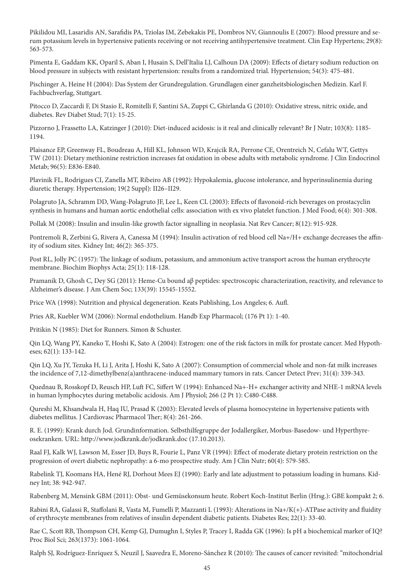Pikilidou MI, Lasaridis AN, Sarafidis PA, Tziolas IM, Zebekakis PE, Dombros NV, Giannoulis E (2007): Blood pressure and serum potassium levels in hypertensive patients receiving or not receiving antihypertensive treatment. Clin Exp Hypertens; 29(8): 563-573.

Pimenta E, Gaddam KK, Oparil S, Aban I, Husain S, Dell'Italia LJ, Calhoun DA (2009): Effects of dietary sodium reduction on blood pressure in subjects with resistant hypertension: results from a randomized trial. Hypertension; 54(3): 475-481.

Pischinger A, Heine H (2004): Das System der Grundregulation. Grundlagen einer ganzheitsbiologischen Medizin. Karl F. Fachbuchverlag, Stuttgart.

Pitocco D, Zaccardi F, Di Stasio E, Romitelli F, Santini SA, Zuppi C, Ghirlanda G (2010): Oxidative stress, nitric oxide, and diabetes. Rev Diabet Stud; 7(1): 15-25.

Pizzorno J, Frassetto LA, Katzinger J (2010): Diet-induced acidosis: is it real and clinically relevant? Br J Nutr; 103(8): 1185-1194.

Plaisance EP, Greenway FL, Boudreau A, Hill KL, Johnson WD, Krajcik RA, Perrone CE, Orentreich N, Cefalu WT, Gettys TW (2011): Dietary methionine restriction increases fat oxidation in obese adults with metabolic syndrome. J Clin Endocrinol Metab; 96(5): E836-E840.

Plavinik FL, Rodrigues CI, Zanella MT, Ribeiro AB (1992): Hypokalemia, glucose intolerance, and hyperinsulinemia during diuretic therapy. Hypertension; 19(2 Suppl): II26–II29.

Polagruto JA, Schramm DD, Wang-Polagruto JF, Lee L, Keen CL (2003): Effects of flavonoid-rich beverages on prostacyclin synthesis in humans and human aortic endothelial cells: association with ex vivo platelet function. J Med Food; 6(4): 301-308.

Pollak M (2008): Insulin and insulin-like growth factor signalling in neoplasia. Nat Rev Cancer; 8(12): 915-928.

Pontremoli R, Zerbini G, Rivera A, Canessa M (1994): Insulin activation of red blood cell Na+/H+ exchange decreases the affinity of sodium sites. Kidney Int; 46(2): 365-375.

Post RL, Jolly PC (1957): The linkage of sodium, potassium, and ammonium active transport across the human erythrocyte membrane. Biochim Biophys Acta; 25(1): 118-128.

Pramanik D, Ghosh C, Dey SG (2011): Heme-Cu bound aβ peptides: spectroscopic characterization, reactivity, and relevance to Alzheimer's disease. J Am Chem Soc; 133(39): 15545-15552.

Price WA (1998): Nutrition and physical degeneration. Keats Publishing, Los Angeles; 6. Aufl.

Pries AR, Kuebler WM (2006): Normal endothelium. Handb Exp Pharmacol; (176 Pt 1): 1-40.

Pritikin N (1985): Diet for Runners. Simon & Schuster.

Qin LQ, Wang PY, Kaneko T, Hoshi K, Sato A (2004): Estrogen: one of the risk factors in milk for prostate cancer. Med Hypotheses; 62(1): 133-142.

Qin LQ, Xu JY, Tezuka H, Li J, Arita J, Hoshi K, Sato A (2007): Consumption of commercial whole and non-fat milk increases the incidence of 7,12-dimethylbenz(a)anthracene-induced mammary tumors in rats. Cancer Detect Prev; 31(4): 339-343.

Quednau B, Rosskopf D, Reusch HP, Luft FC, Siffert W (1994): Enhanced Na+-H+ exchanger activity and NHE-1 mRNA levels in human lymphocytes during metabolic acidosis. Am J Physiol; 266 (2 Pt 1): C480-C488.

Qureshi M, Khsandwala H, Haq IU, Prasad K (2003): Elevated levels of plasma homocysteine in hypertensive patients with diabetes mellitus. J Cardiovasc Pharmacol Ther; 8(4): 261-266.

R. E. (1999): Krank durch Jod. Grundinformation. Selbsthilfegruppe der Jodallergiker, Morbus-Basedow- und Hyperthyreosekranken. URL: http://www.jodkrank.de/jodkrank.doc (17.10.2013).

Raal FJ, Kalk WJ, Lawson M, Esser JD, Buys R, Fourie L, Panz VR (1994): Effect of moderate dietary protein restriction on the progression of overt diabetic nephropathy: a 6-mo prospective study. Am J Clin Nutr; 60(4): 579-585.

Rabelink TJ, Koomans HA, Hené RJ, Dorhout Mees EJ (1990): Early and late adjustment to potassium loading in humans. Kidney Int; 38: 942-947.

Rabenberg M, Mensink GBM (2011): Obst- und Gemüsekonsum heute. Robert Koch-Institut Berlin (Hrsg.): GBE kompakt 2; 6.

Rabini RA, Galassi R, Staffolani R, Vasta M, Fumelli P, Mazzanti L (1993): Alterations in Na+/K(+)-ATPase activity and fluidity of erythrocyte membranes from relatives of insulin dependent diabetic patients. Diabetes Res; 22(1): 33-40.

Rae C, Scott RB, Thompson CH, Kemp GJ, Dumughn I, Styles P, Tracey I, Radda GK (1996): Is pH a biochemical marker of IQ? Proc Biol Sci; 263(1373): 1061-1064.

Ralph SJ, Rodríguez-Enríquez S, Neuzil J, Saavedra E, Moreno-Sánchez R (2010): The causes of cancer revisited: "mitochondrial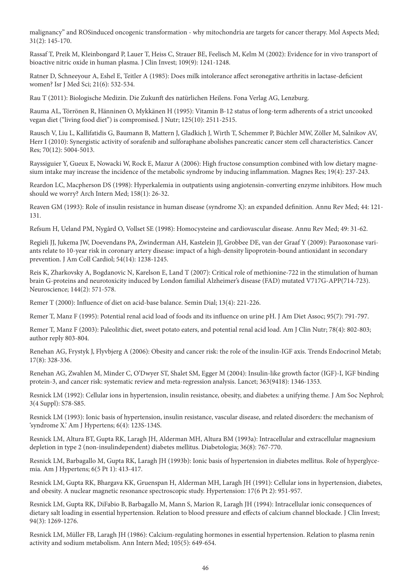malignancy" and ROSinduced oncogenic transformation - why mitochondria are targets for cancer therapy. Mol Aspects Med; 31(2): 145-170.

Rassaf T, Preik M, Kleinbongard P, Lauer T, Heiss C, Strauer BE, Feelisch M, Kelm M (2002): Evidence for in vivo transport of bioactive nitric oxide in human plasma. J Clin Invest; 109(9): 1241-1248.

Ratner D, Schneeyour A, Eshel E, Teitler A (1985): Does milk intolerance affect seronegative arthritis in lactase-deficient women? Isr J Med Sci; 21(6): 532-534.

Rau T (2011): Biologische Medizin. Die Zukunft des natürlichen Heilens. Fona Verlag AG, Lenzburg.

Rauma AL, Törrönen R, Hänninen O, Mykkänen H (1995): Vitamin B-12 status of long-term adherents of a strict uncooked vegan diet ("living food diet") is compromised. J Nutr; 125(10): 2511-2515.

Rausch V, Liu L, Kallifatidis G, Baumann B, Mattern J, Gladkich J, Wirth T, Schemmer P, Büchler MW, Zöller M, Salnikov AV, Herr I (2010): Synergistic activity of sorafenib and sulforaphane abolishes pancreatic cancer stem cell characteristics. Cancer Res; 70(12): 5004-5013.

Rayssiguier Y, Gueux E, Nowacki W, Rock E, Mazur A (2006): High fructose consumption combined with low dietary magnesium intake may increase the incidence of the metabolic syndrome by inducing inflammation. Magnes Res; 19(4): 237-243.

Reardon LC, Macpherson DS (1998): Hyperkalemia in outpatients using angiotensin-converting enzyme inhibitors. How much should we worry? Arch Intern Med; 158(1): 26-32.

Reaven GM (1993): Role of insulin resistance in human disease (syndrome X): an expanded definition. Annu Rev Med; 44: 121- 131.

Refsum H, Ueland PM, Nygård O, Vollset SE (1998): Homocysteine and cardiovascular disease. Annu Rev Med; 49: 31-62.

Regieli JJ, Jukema JW, Doevendans PA, Zwinderman AH, Kastelein JJ, Grobbee DE, van der Graaf Y (2009): Paraoxonase variants relate to 10-year risk in coronary artery disease: impact of a high-density lipoprotein-bound antioxidant in secondary prevention. J Am Coll Cardiol; 54(14): 1238-1245.

Reis K, Zharkovsky A, Bogdanovic N, Karelson E, Land T (2007): Critical role of methionine-722 in the stimulation of human brain G-proteins and neurotoxicity induced by London familial Alzheimer's disease (FAD) mutated V717G-APP(714-723). Neuroscience; 144(2): 571-578.

Remer T (2000): Influence of diet on acid-base balance. Semin Dial; 13(4): 221-226.

Remer T, Manz F (1995): Potential renal acid load of foods and its influence on urine pH. J Am Diet Assoc; 95(7): 791-797.

Remer T, Manz F (2003): Paleolithic diet, sweet potato eaters, and potential renal acid load. Am J Clin Nutr; 78(4): 802-803; author reply 803-804.

Renehan AG, Frystyk J, Flyvbjerg A (2006): Obesity and cancer risk: the role of the insulin-IGF axis. Trends Endocrinol Metab; 17(8): 328-336.

Renehan AG, Zwahlen M, Minder C, O'Dwyer ST, Shalet SM, Egger M (2004): Insulin-like growth factor (IGF)-I, IGF binding protein-3, and cancer risk: systematic review and meta-regression analysis. Lancet; 363(9418): 1346-1353.

Resnick LM (1992): Cellular ions in hypertension, insulin resistance, obesity, and diabetes: a unifying theme. J Am Soc Nephrol; 3(4 Suppl): S78-S85.

Resnick LM (1993): Ionic basis of hypertension, insulin resistance, vascular disease, and related disorders: the mechanism of 'syndrome X.' Am J Hypertens; 6(4): 123S-134S.

Resnick LM, Altura BT, Gupta RK, Laragh JH, Alderman MH, Altura BM (1993a): Intracellular and extracellular magnesium depletion in type 2 (non-insulindependent) diabetes mellitus. Diabetologia; 36(8): 767-770.

Resnick LM, Barbagallo M, Gupta RK, Laragh JH (1993b): Ionic basis of hypertension in diabetes mellitus. Role of hyperglycemia. Am J Hypertens; 6(5 Pt 1): 413-417.

Resnick LM, Gupta RK, Bhargava KK, Gruenspan H, Alderman MH, Laragh JH (1991): Cellular ions in hypertension, diabetes, and obesity. A nuclear magnetic resonance spectroscopic study. Hypertension: 17(6 Pt 2): 951-957.

Resnick LM, Gupta RK, DiFabio B, Barbagallo M, Mann S, Marion R, Laragh JH (1994): Intracellular ionic consequences of dietary salt loading in essential hypertension. Relation to blood pressure and effects of calcium channel blockade. J Clin Invest; 94(3): 1269-1276.

Resnick LM, Müller FB, Laragh JH (1986): Calcium-regulating hormones in essential hypertension. Relation to plasma renin activity and sodium metabolism. Ann Intern Med; 105(5): 649-654.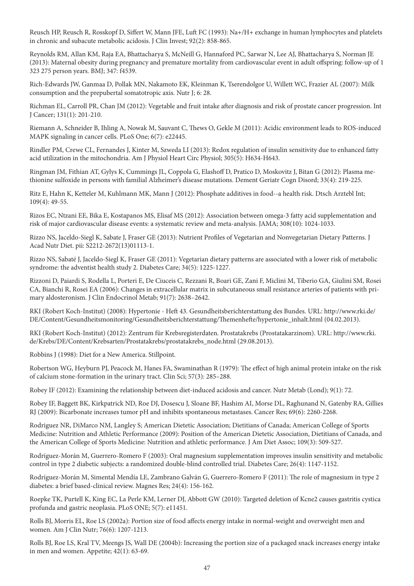Reusch HP, Reusch R, Rosskopf D, Siffert W, Mann JFE, Luft FC (1993): Na+/H+ exchange in human lymphocytes and platelets in chronic and subacute metabolic acidosis. J Clin Invest; 92(2): 858-865.

Reynolds RM, Allan KM, Raja EA, Bhattacharya S, McNeill G, Hannaford PC, Sarwar N, Lee AJ, Bhattacharya S, Norman JE (2013): Maternal obesity during pregnancy and premature mortality from cardiovascular event in adult offspring: follow-up of 1 323 275 person years. BMJ; 347: f4539.

Rich-Edwards JW, Ganmaa D, Pollak MN, Nakamoto EK, Kleinman K, Tserendolgor U, Willett WC, Frazier AL (2007): Milk consumption and the prepubertal somatotropic axis. Nutr J; 6: 28.

Richman EL, Carroll PR, Chan JM (2012): Vegetable and fruit intake after diagnosis and risk of prostate cancer progression. Int J Cancer; 131(1): 201-210.

Riemann A, Schneider B, Ihling A, Nowak M, Sauvant C, Thews O, Gekle M (2011): Acidic environment leads to ROS-induced MAPK signaling in cancer cells. PLoS One; 6(7): e22445.

Rindler PM, Crewe CL, Fernandes J, Kinter M, Szweda LI (2013): Redox regulation of insulin sensitivity due to enhanced fatty acid utilization in the mitochondria. Am J Physiol Heart Circ Physiol; 305(5): H634-H643.

Ringman JM, Fithian AT, Gylys K, Cummings JL, Coppola G, Elashoff D, Pratico D, Moskovitz J, Bitan G (2012): Plasma methionine sulfoxide in persons with familial Alzheimer's disease mutations. Dement Geriatr Cogn Disord; 33(4): 219-225.

Ritz E, Hahn K, Ketteler M, Kuhlmann MK, Mann J (2012): Phosphate additives in food--a health risk. Dtsch Arztebl Int; 109(4): 49-55.

Rizos EC, Ntzani EE, Bika E, Kostapanos MS, Elisaf MS (2012): Association between omega-3 fatty acid supplementation and risk of major cardiovascular disease events: a systematic review and meta-analysis. JAMA; 308(10): 1024-1033.

Rizzo NS, Jaceldo-Siegl K, Sabate J, Fraser GE (2013): Nutrient Profiles of Vegetarian and Nonvegetarian Dietary Patterns. J Acad Nutr Diet. pii: S2212-2672(13)01113-1.

Rizzo NS, Sabaté J, Jaceldo-Siegl K, Fraser GE (2011): Vegetarian dietary patterns are associated with a lower risk of metabolic syndrome: the adventist health study 2. Diabetes Care; 34(5): 1225-1227.

Rizzoni D, Paiardi S, Rodella L, Porteri E, De Ciuceis C, Rezzani R, Boari GE, Zani F, Miclini M, Tiberio GA, Giulini SM, Rosei CA, Bianchi R, Rosei EA (2006): Changes in extracellular matrix in subcutaneous small resistance arteries of patients with primary aldosteronism. J Clin Endocrinol Metab; 91(7): 2638–2642.

RKI (Robert Koch-Institut) (2008): Hypertonie - Heft 43. Gesundheitsberichterstattung des Bundes. URL: http://www.rki.de/ DE/Content/Gesundheitsmonitoring/Gesundheitsberichterstattung/Themenhefte/hypertonie\_inhalt.html (04.02.2013).

RKI (Robert Koch-Institut) (2012): Zentrum für Krebsregisterdaten. Prostatakrebs (Prostatakarzinom). URL: http://www.rki. de/Krebs/DE/Content/Krebsarten/Prostatakrebs/prostatakrebs\_node.html (29.08.2013).

Robbins J (1998): Diet for a New America. Stillpoint.

Robertson WG, Heyburn PJ, Peacock M, Hanes FA, Swaminathan R (1979): The effect of high animal protein intake on the risk of calcium stone-formation in the urinary tract. Clin Sci; 57(3): 285–288.

Robey IF (2012): Examining the relationship between diet-induced acidosis and cancer. Nutr Metab (Lond); 9(1): 72.

Robey IF, Baggett BK, Kirkpatrick ND, Roe DJ, Dosescu J, Sloane BF, Hashim AI, Morse DL, Raghunand N, Gatenby RA, Gillies RJ (2009): Bicarbonate increases tumor pH and inhibits spontaneous metastases. Cancer Res; 69(6): 2260-2268.

Rodriguez NR, DiMarco NM, Langley S; American Dietetic Association; Dietitians of Canada; American College of Sports Medicine: Nutrition and Athletic Performance (2009): Position of the American Dietetic Association, Dietitians of Canada, and the American College of Sports Medicine: Nutrition and athletic performance. J Am Diet Assoc; 109(3): 509-527.

Rodríguez-Morán M, Guerrero-Romero F (2003): Oral magnesium supplementation improves insulin sensitivity and metabolic control in type 2 diabetic subjects: a randomized double-blind controlled trial. Diabetes Care; 26(4): 1147-1152.

Rodríguez-Morán M, Simental Mendía LE, Zambrano Galván G, Guerrero-Romero F (2011): The role of magnesium in type 2 diabetes: a brief based-clinical review. Magnes Res; 24(4): 156-162.

Roepke TK, Purtell K, King EC, La Perle KM, Lerner DJ, Abbott GW (2010): Targeted deletion of Kcne2 causes gastritis cystica profunda and gastric neoplasia. PLoS ONE; 5(7): e11451.

Rolls BJ, Morris EL, Roe LS (2002a): Portion size of food affects energy intake in normal-weight and overweight men and women. Am J Clin Nutr; 76(6): 1207-1213.

Rolls BJ, Roe LS, Kral TV, Meengs JS, Wall DE (2004b): Increasing the portion size of a packaged snack increases energy intake in men and women. Appetite; 42(1): 63-69.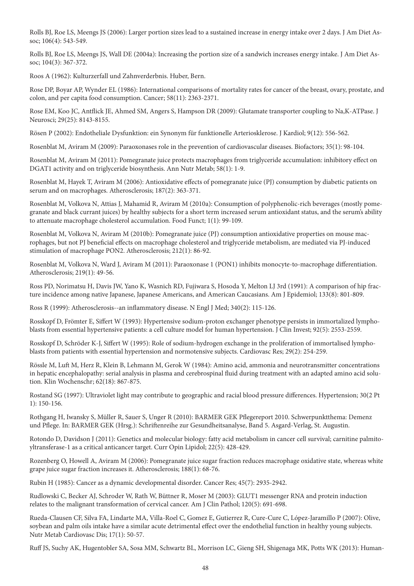Rolls BJ, Roe LS, Meengs JS (2006): Larger portion sizes lead to a sustained increase in energy intake over 2 days. J Am Diet Assoc; 106(4): 543-549.

Rolls BJ, Roe LS, Meengs JS, Wall DE (2004a): Increasing the portion size of a sandwich increases energy intake. J Am Diet Assoc; 104(3): 367-372.

Roos A (1962): Kulturzerfall und Zahnverderbnis. Huber, Bern.

Rose DP, Boyar AP, Wynder EL (1986): International comparisons of mortality rates for cancer of the breast, ovary, prostate, and colon, and per capita food consumption. Cancer; 58(11): 2363-2371.

Rose EM, Koo JC, Antflick JE, Ahmed SM, Angers S, Hampson DR (2009): Glutamate transporter coupling to Na,K-ATPase. J Neurosci; 29(25): 8143-8155.

Rösen P (2002): Endotheliale Dysfunktion: ein Synonym für funktionelle Arteriosklerose. J Kardiol; 9(12): 556-562.

Rosenblat M, Aviram M (2009): Paraoxonases role in the prevention of cardiovascular diseases. Biofactors; 35(1): 98-104.

Rosenblat M, Aviram M (2011): Pomegranate juice protects macrophages from triglyceride accumulation: inhibitory effect on DGAT1 activity and on triglyceride biosynthesis. Ann Nutr Metab; 58(1): 1-9.

Rosenblat M, Hayek T, Aviram M (2006): Antioxidative effects of pomegranate juice (PJ) consumption by diabetic patients on serum and on macrophages. Atherosclerosis; 187(2): 363-371.

Rosenblat M, Volkova N, Attias J, Mahamid R, Aviram M (2010a): Consumption of polyphenolic-rich beverages (mostly pomegranate and black currant juices) by healthy subjects for a short term increased serum antioxidant status, and the serum's ability to attenuate macrophage cholesterol accumulation. Food Funct; 1(1): 99-109.

Rosenblat M, Volkova N, Aviram M (2010b): Pomegranate juice (PJ) consumption antioxidative properties on mouse macrophages, but not PJ beneficial effects on macrophage cholesterol and triglyceride metabolism, are mediated via PJ-induced stimulation of macrophage PON2. Atherosclerosis; 212(1): 86-92.

Rosenblat M, Volkova N, Ward J, Aviram M (2011): Paraoxonase 1 (PON1) inhibits monocyte-to-macrophage differentiation. Atherosclerosis; 219(1): 49-56.

Ross PD, Norimatsu H, Davis JW, Yano K, Wasnich RD, Fujiwara S, Hosoda Y, Melton LJ 3rd (1991): A comparison of hip fracture incidence among native Japanese, Japanese Americans, and American Caucasians. Am J Epidemiol; 133(8): 801-809.

Ross R (1999): Atherosclerosis--an inflammatory disease. N Engl J Med; 340(2): 115-126.

Rosskopf D, Frömter E, Siffert W (1993): Hypertensive sodium-proton exchanger phenotype persists in immortalized lymphoblasts from essential hypertensive patients: a cell culture model for human hypertension. J Clin Invest; 92(5): 2553-2559.

Rosskopf D, Schröder K-J, Siffert W (1995): Role of sodium-hydrogen exchange in the proliferation of immortalised lymphoblasts from patients with essential hypertension and normotensive subjects. Cardiovasc Res; 29(2): 254-259.

Rössle M, Luft M, Herz R, Klein B, Lehmann M, Gerok W (1984): Amino acid, ammonia and neurotransmitter concentrations in hepatic encephalopathy: serial analysis in plasma and cerebrospinal fluid during treatment with an adapted amino acid solution. Klin Wochenschr; 62(18): 867-875.

Rostand SG (1997): Ultraviolet light may contribute to geographic and racial blood pressure differences. Hypertension; 30(2 Pt 1): 150-156.

Rothgang H, Iwansky S, Müller R, Sauer S, Unger R (2010): BARMER GEK Pflegereport 2010. Schwerpunktthema: Demenz und Pflege. In: BARMER GEK (Hrsg.): Schriftenreihe zur Gesundheitsanalyse, Band 5. Asgard-Verlag, St. Augustin.

Rotondo D, Davidson J (2011): Genetics and molecular biology: fatty acid metabolism in cancer cell survival; carnitine palmitoyltransferase-1 as a critical anticancer target. Curr Opin Lipidol; 22(5): 428-429.

Rozenberg O, Howell A, Aviram M (2006): Pomegranate juice sugar fraction reduces macrophage oxidative state, whereas white grape juice sugar fraction increases it. Atherosclerosis; 188(1): 68-76.

Rubin H (1985): Cancer as a dynamic developmental disorder. Cancer Res; 45(7): 2935-2942.

Rudlowski C, Becker AJ, Schroder W, Rath W, Büttner R, Moser M (2003): GLUT1 messenger RNA and protein induction relates to the malignant transformation of cervical cancer. Am J Clin Pathol; 120(5): 691-698.

Rueda-Clausen CF, Silva FA, Lindarte MA, Villa-Roel C, Gomez E, Gutierrez R, Cure-Cure C, López-Jaramillo P (2007): Olive, soybean and palm oils intake have a similar acute detrimental effect over the endothelial function in healthy young subjects. Nutr Metab Cardiovasc Dis; 17(1): 50-57.

Ruff JS, Suchy AK, Hugentobler SA, Sosa MM, Schwartz BL, Morrison LC, Gieng SH, Shigenaga MK, Potts WK (2013): Human-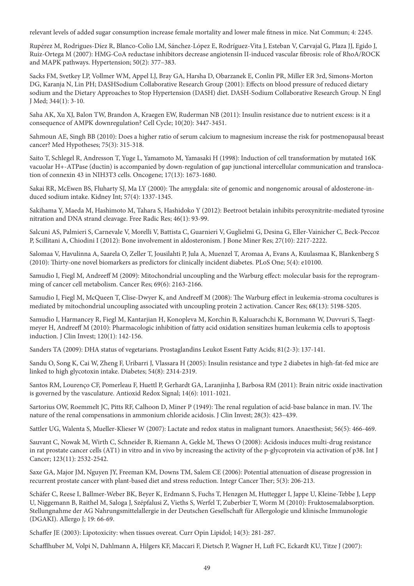relevant levels of added sugar consumption increase female mortality and lower male fitness in mice. Nat Commun; 4: 2245.

Rupérez M, Rodrigues-Díez R, Blanco-Colio LM, Sánchez-López E, Rodríguez-Vita J, Esteban V, Carvajal G, Plaza JJ, Egido J, Ruiz-Ortega M (2007): HMG-CoA reductase inhibitors decrease angiotensin II-induced vascular fibrosis: role of RhoA/ROCK and MAPK pathways. Hypertension; 50(2): 377–383.

Sacks FM, Svetkey LP, Vollmer WM, Appel LJ, Bray GA, Harsha D, Obarzanek E, Conlin PR, Miller ER 3rd, Simons-Morton DG, Karanja N, Lin PH; DASHSodium Collaborative Research Group (2001): Effects on blood pressure of reduced dietary sodium and the Dietary Approaches to Stop Hypertension (DASH) diet. DASH-Sodium Collaborative Research Group. N Engl J Med; 344(1): 3-10.

Saha AK, Xu XJ, Balon TW, Brandon A, Kraegen EW, Ruderman NB (2011): Insulin resistance due to nutrient excess: is it a consequence of AMPK downregulation? Cell Cycle; 10(20): 3447-3451.

Sahmoun AE, Singh BB (2010): Does a higher ratio of serum calcium to magnesium increase the risk for postmenopausal breast cancer? Med Hypotheses; 75(3): 315-318.

Saito T, Schlegel R, Andresson T, Yuge L, Yamamoto M, Yamasaki H (1998): Induction of cell transformation by mutated 16K vacuolar H+-ATPase (ductin) is accompanied by down-regulation of gap junctional intercellular communication and translocation of connexin 43 in NIH3T3 cells. Oncogene; 17(13): 1673-1680.

Sakai RR, McEwen BS, Fluharty SJ, Ma LY (2000): The amygdala: site of genomic and nongenomic arousal of aldosterone-induced sodium intake. Kidney Int; 57(4): 1337-1345.

Sakihama Y, Maeda M, Hashimoto M, Tahara S, Hashidoko Y (2012): Beetroot betalain inhibits peroxynitrite-mediated tyrosine nitration and DNA strand cleavage. Free Radic Res; 46(1): 93-99.

Salcuni AS, Palmieri S, Carnevale V, Morelli V, Battista C, Guarnieri V, Guglielmi G, Desina G, Eller-Vainicher C, Beck-Peccoz P, Scillitani A, Chiodini I (2012): Bone involvement in aldosteronism. J Bone Miner Res; 27(10): 2217-2222.

Salomaa V, Havulinna A, Saarela O, Zeller T, Jousilahti P, Jula A, Muenzel T, Aromaa A, Evans A, Kuulasmaa K, Blankenberg S (2010): Thirty-one novel biomarkers as predictors for clinically incident diabetes. PLoS One; 5(4): e10100.

Samudio I, Fiegl M, Andreeff M (2009): Mitochondrial uncoupling and the Warburg effect: molecular basis for the reprogramming of cancer cell metabolism. Cancer Res; 69(6): 2163-2166.

Samudio I, Fiegl M, McQueen T, Clise-Dwyer K, and Andreeff M (2008): The Warburg effect in leukemia-stroma cocultures is mediated by mitochondrial uncoupling associated with uncoupling protein 2 activation. Cancer Res; 68(13): 5198-5205.

Samudio I, Harmancey R, Fiegl M, Kantarjian H, Konopleva M, Korchin B, Kaluarachchi K, Bornmann W, Duvvuri S, Taegtmeyer H, Andreeff M (2010): Pharmacologic inhibition of fatty acid oxidation sensitizes human leukemia cells to apoptosis induction. J Clin Invest; 120(1): 142-156.

Sanders TA (2009): DHA status of vegetarians. Prostaglandins Leukot Essent Fatty Acids; 81(2-3): 137-141.

Sandu O, Song K, Cai W, Zheng F, Uribarri J, Vlassara H (2005): Insulin resistance and type 2 diabetes in high-fat-fed mice are linked to high glycotoxin intake. Diabetes; 54(8): 2314-2319.

Santos RM, Lourenço CF, Pomerleau F, Huettl P, Gerhardt GA, Laranjinha J, Barbosa RM (2011): Brain nitric oxide inactivation is governed by the vasculature. Antioxid Redox Signal; 14(6): 1011-1021.

Sartorius OW, Roemmelt JC, Pitts RF, Calhoon D, Miner P (1949): The renal regulation of acid-base balance in man. IV. The nature of the renal compensations in ammonium chloride acidosis. J Clin Invest; 28(3): 423–439.

Sattler UG, Walenta S, Mueller-Klieser W (2007): Lactate and redox status in malignant tumors. Anaesthesist; 56(5): 466-469.

Sauvant C, Nowak M, Wirth C, Schneider B, Riemann A, Gekle M, Thews O (2008): Acidosis induces multi-drug resistance in rat prostate cancer cells (AT1) in vitro and in vivo by increasing the activity of the p-glycoprotein via activation of p38. Int J Cancer; 123(11): 2532-2542.

Saxe GA, Major JM, Nguyen JY, Freeman KM, Downs TM, Salem CE (2006): Potential attenuation of disease progression in recurrent prostate cancer with plant-based diet and stress reduction. Integr Cancer Ther; 5(3): 206-213.

Schäfer C, Reese I, Ballmer-Weber BK, Beyer K, Erdmann S, Fuchs T, Henzgen M, Huttegger I, Jappe U, Kleine-Tebbe J, Lepp U, Niggemann B, Raithel M, Saloga J, Szépfalusi Z, Vieths S, Werfel T, Zuberbier T, Worm M (2010): Fruktosemalabsorption. Stellungnahme der AG Nahrungsmittelallergie in der Deutschen Gesellschaft für Allergologie und klinische Immunologie (DGAKI). Allergo J; 19: 66-69.

Schaffer JE (2003): Lipotoxicity: when tissues overeat. Curr Opin Lipidol; 14(3): 281-287.

Schafflhuber M, Volpi N, Dahlmann A, Hilgers KF, Maccari F, Dietsch P, Wagner H, Luft FC, Eckardt KU, Titze J (2007):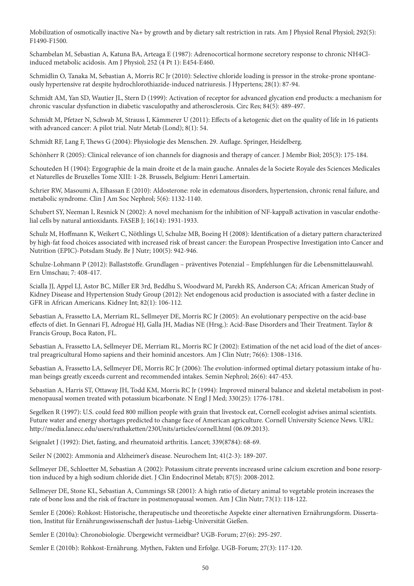Mobilization of osmotically inactive Na+ by growth and by dietary salt restriction in rats. Am J Physiol Renal Physiol; 292(5): F1490-F1500.

Schambelan M, Sebastian A, Katuna BA, Arteaga E (1987): Adrenocortical hormone secretory response to chronic NH4Clinduced metabolic acidosis. Am J Physiol; 252 (4 Pt 1): E454-E460.

Schmidlin O, Tanaka M, Sebastian A, Morris RC Jr (2010): Selective chloride loading is pressor in the stroke-prone spontaneously hypertensive rat despite hydrochlorothiazide-induced natriuresis. J Hypertens; 28(1): 87-94.

Schmidt AM, Yan SD, Wautier JL, Stern D (1999): Activation of receptor for advanced glycation end products: a mechanism for chronic vascular dysfunction in diabetic vasculopathy and atherosclerosis. Circ Res; 84(5): 489-497.

Schmidt M, Pfetzer N, Schwab M, Strauss I, Kämmerer U (2011): Effects of a ketogenic diet on the quality of life in 16 patients with advanced cancer: A pilot trial. Nutr Metab (Lond); 8(1): 54.

Schmidt RF, Lang F, Thews G (2004): Physiologie des Menschen. 29. Auflage. Springer, Heidelberg.

Schönherr R (2005): Clinical relevance of ion channels for diagnosis and therapy of cancer. J Membr Biol; 205(3): 175-184.

Schouteden H (1904): Ergographie de la main droite et de la main gauche. Annales de la Societe Royale des Sciences Medicales et Naturelles de Bruxelles Tome XIII: 1-28. Brussels, Belgium: Henri Lamertain.

Schrier RW, Masoumi A, Elhassan E (2010): Aldosterone: role in edematous disorders, hypertension, chronic renal failure, and metabolic syndrome. Clin J Am Soc Nephrol; 5(6): 1132-1140.

Schubert SY, Neeman I, Resnick N (2002): A novel mechanism for the inhibition of NF-kappaB activation in vascular endothelial cells by natural antioxidants. FASEB J; 16(14): 1931-1933.

Schulz M, Hoffmann K, Weikert C, Nöthlings U, Schulze MB, Boeing H (2008): Identification of a dietary pattern characterized by high-fat food choices associated with increased risk of breast cancer: the European Prospective Investigation into Cancer and Nutrition (EPIC)-Potsdam Study. Br J Nutr; 100(5): 942-946.

Schulze-Lohmann P (2012): Ballaststoffe. Grundlagen – präventives Potenzial – Empfehlungen für die Lebensmittelauswahl. Ern Umschau; 7: 408-417.

Scialla JJ, Appel LJ, Astor BC, Miller ER 3rd, Beddhu S, Woodward M, Parekh RS, Anderson CA; African American Study of Kidney Disease and Hypertension Study Group (2012): Net endogenous acid production is associated with a faster decline in GFR in African Americans. Kidney Int; 82(1): 106-112.

Sebastian A, Frassetto LA, Merriam RL, Sellmeyer DE, Morris RC Jr (2005): An evolutionary perspective on the acid-base effects of diet. In Gennari FJ, Adrogué HJ, Galla JH, Madias NE (Hrsg.): Acid-Base Disorders and Their Treatment. Taylor & Francis Group, Boca Raton, FL.

Sebastian A, Frassetto LA, Sellmeyer DE, Merriam RL, Morris RC Jr (2002): Estimation of the net acid load of the diet of ancestral preagricultural Homo sapiens and their hominid ancestors. Am J Clin Nutr; 76(6): 1308–1316.

Sebastian A, Frassetto LA, Sellmeyer DE, Morris RC Jr (2006): The evolution-informed optimal dietary potassium intake of human beings greatly exceeds current and recommended intakes. Semin Nephrol; 26(6): 447-453.

Sebastian A, Harris ST, Ottaway JH, Todd KM, Morris RC Jr (1994): Improved mineral balance and skeletal metabolism in postmenopausal women treated with potassium bicarbonate. N Engl J Med; 330(25): 1776-1781.

Segelken R (1997): U.S. could feed 800 million people with grain that livestock eat, Cornell ecologist advises animal scientists. Future water and energy shortages predicted to change face of American agriculture. Cornell University Science News. URL: http://media.lanecc.edu/users/rathaketten/230Units/articles/cornell.html (06.09.2013).

Seignalet J (1992): Diet, fasting, and rheumatoid arthritis. Lancet; 339(8784): 68-69.

Seiler N (2002): Ammonia and Alzheimer's disease. Neurochem Int; 41(2-3): 189-207.

Sellmeyer DE, Schloetter M, Sebastian A (2002): Potassium citrate prevents increased urine calcium excretion and bone resorption induced by a high sodium chloride diet. J Clin Endocrinol Metab; 87(5): 2008-2012.

Sellmeyer DE, Stone KL, Sebastian A, Cummings SR (2001): A high ratio of dietary animal to vegetable protein increases the rate of bone loss and the risk of fracture in postmenopausal women. Am J Clin Nutr; 73(1): 118-122.

Semler E (2006): Rohkost: Historische, therapeutische und theoretische Aspekte einer alternativen Ernährungsform. Dissertation, Institut für Ernährungswissenschaft der Justus-Liebig-Universität Gießen.

Semler E (2010a): Chronobiologie. Übergewicht vermeidbar? UGB-Forum; 27(6): 295-297.

Semler E (2010b): Rohkost-Ernährung. Mythen, Fakten und Erfolge. UGB-Forum; 27(3): 117-120.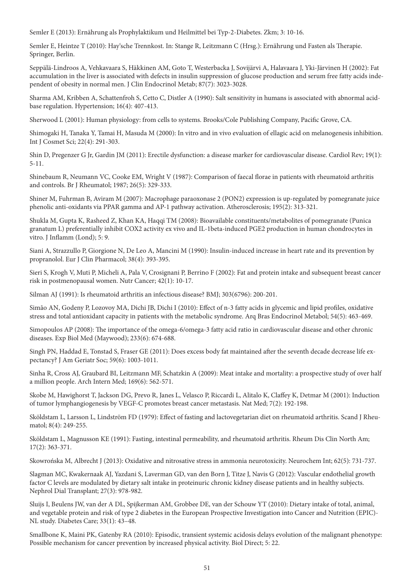Semler E (2013): Ernährung als Prophylaktikum und Heilmittel bei Typ-2-Diabetes. Zkm; 3: 10-16.

Semler E, Heintze T (2010): Hay'sche Trennkost. In: Stange R, Leitzmann C (Hrsg.): Ernährung und Fasten als Therapie. Springer, Berlin.

Seppälä-Lindroos A, Vehkavaara S, Häkkinen AM, Goto T, Westerbacka J, Sovijärvi A, Halavaara J, Yki-Järvinen H (2002): Fat accumulation in the liver is associated with defects in insulin suppression of glucose production and serum free fatty acids independent of obesity in normal men. J Clin Endocrinol Metab; 87(7): 3023-3028.

Sharma AM, Kribben A, Schattenfroh S, Cetto C, Distler A (1990): Salt sensitivity in humans is associated with abnormal acidbase regulation. Hypertension; 16(4): 407-413.

Sherwood L (2001): Human physiology: from cells to systems. Brooks/Cole Publishing Company, Pacific Grove, CA.

Shimogaki H, Tanaka Y, Tamai H, Masuda M (2000): In vitro and in vivo evaluation of ellagic acid on melanogenesis inhibition. Int J Cosmet Sci; 22(4): 291-303.

Shin D, Pregenzer G Jr, Gardin JM (2011): Erectile dysfunction: a disease marker for cardiovascular disease. Cardiol Rev; 19(1): 5-11.

Shinebaum R, Neumann VC, Cooke EM, Wright V (1987): Comparison of faecal florae in patients with rheumatoid arthritis and controls. Br J Rheumatol; 1987; 26(5): 329-333.

Shiner M, Fuhrman B, Aviram M (2007): Macrophage paraoxonase 2 (PON2) expression is up-regulated by pomegranate juice phenolic anti-oxidants via PPAR gamma and AP-1 pathway activation. Atherosclerosis; 195(2): 313-321.

Shukla M, Gupta K, Rasheed Z, Khan KA, Haqqi TM (2008): Bioavailable constituents/metabolites of pomegranate (Punica granatum L) preferentially inhibit COX2 activity ex vivo and IL-1beta-induced PGE2 production in human chondrocytes in vitro. J Inflamm (Lond); 5: 9.

Siani A, Strazzullo P, Giorgione N, De Leo A, Mancini M (1990): Insulin-induced increase in heart rate and its prevention by propranolol. Eur J Clin Pharmacol; 38(4): 393-395.

Sieri S, Krogh V, Muti P, Micheli A, Pala V, Crosignani P, Berrino F (2002): Fat and protein intake and subsequent breast cancer risk in postmenopausal women. Nutr Cancer; 42(1): 10-17.

Silman AJ (1991): Is rheumatoid arthritis an infectious disease? BMJ; 303(6796): 200-201.

Simão AN, Godeny P, Lozovoy MA, Dichi JB, Dichi I (2010): Effect of n-3 fatty acids in glycemic and lipid profiles, oxidative stress and total antioxidant capacity in patients with the metabolic syndrome. Arq Bras Endocrinol Metabol; 54(5): 463-469.

Simopoulos AP (2008): The importance of the omega-6/omega-3 fatty acid ratio in cardiovascular disease and other chronic diseases. Exp Biol Med (Maywood); 233(6): 674-688.

Singh PN, Haddad E, Tonstad S, Fraser GE (2011): Does excess body fat maintained after the seventh decade decrease life expectancy? J Am Geriatr Soc; 59(6): 1003-1011.

Sinha R, Cross AJ, Graubard BI, Leitzmann MF, Schatzkin A (2009): Meat intake and mortality: a prospective study of over half a million people. Arch Intern Med; 169(6): 562-571.

Skobe M, Hawighorst T, Jackson DG, Prevo R, Janes L, Velasco P, Riccardi L, Alitalo K, Claffey K, Detmar M (2001): Induction of tumor lymphangiogenesis by VEGF-C promotes breast cancer metastasis. Nat Med; 7(2): 192-198.

Sköldstam L, Larsson L, Lindström FD (1979): Effect of fasting and lactovegetarian diet on rheumatoid arthritis. Scand J Rheumatol; 8(4): 249-255.

Sköldstam L, Magnusson KE (1991): Fasting, intestinal permeability, and rheumatoid arthritis. Rheum Dis Clin North Am; 17(2): 363-371.

Skowrońska M, Albrecht J (2013): Oxidative and nitrosative stress in ammonia neurotoxicity. Neurochem Int; 62(5): 731-737.

Slagman MC, Kwakernaak AJ, Yazdani S, Laverman GD, van den Born J, Titze J, Navis G (2012): Vascular endothelial growth factor C levels are modulated by dietary salt intake in proteinuric chronic kidney disease patients and in healthy subjects. Nephrol Dial Transplant; 27(3): 978-982.

Sluijs I, Beulens JW, van der A DL, Spijkerman AM, Grobbee DE, van der Schouw YT (2010): Dietary intake of total, animal, and vegetable protein and risk of type 2 diabetes in the European Prospective Investigation into Cancer and Nutrition (EPIC)- NL study. Diabetes Care; 33(1): 43–48.

Smallbone K, Maini PK, Gatenby RA (2010): Episodic, transient systemic acidosis delays evolution of the malignant phenotype: Possible mechanism for cancer prevention by increased physical activity. Biol Direct; 5: 22.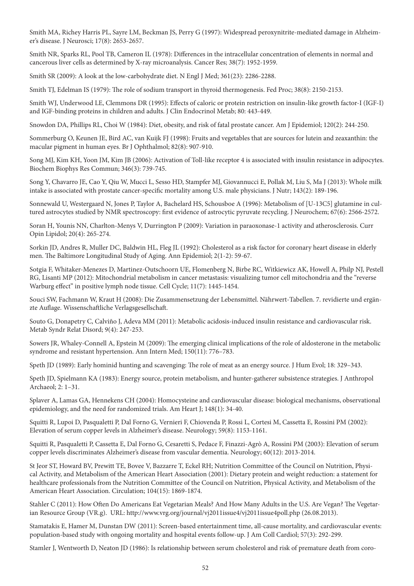Smith MA, Richey Harris PL, Sayre LM, Beckman JS, Perry G (1997): Widespread peroxynitrite-mediated damage in Alzheimer's disease. J Neurosci; 17(8): 2653-2657.

Smith NR, Sparks RL, Pool TB, Cameron IL (1978): Differences in the intracellular concentration of elements in normal and cancerous liver cells as determined by X-ray microanalysis. Cancer Res; 38(7): 1952-1959.

Smith SR (2009): A look at the low-carbohydrate diet. N Engl J Med; 361(23): 2286-2288.

Smith TJ, Edelman IS (1979): The role of sodium transport in thyroid thermogenesis. Fed Proc; 38(8): 2150-2153.

Smith WJ, Underwood LE, Clemmons DR (1995): Effects of caloric or protein restriction on insulin-like growth factor-I (IGF-I) and IGF-binding proteins in children and adults. J Clin Endocrinol Metab; 80: 443-449.

Snowdon DA, Phillips RL, Choi W (1984): Diet, obesity, and risk of fatal prostate cancer. Am J Epidemiol; 120(2): 244-250.

Sommerburg O, Keunen JE, Bird AC, van Kuijk FJ (1998): Fruits and vegetables that are sources for lutein and zeaxanthin: the macular pigment in human eyes. Br J Ophthalmol; 82(8): 907-910.

Song MJ, Kim KH, Yoon JM, Kim JB (2006): Activation of Toll-like receptor 4 is associated with insulin resistance in adipocytes. Biochem Biophys Res Commun; 346(3): 739-745.

Song Y, Chavarro JE, Cao Y, Qiu W, Mucci L, Sesso HD, Stampfer MJ, Giovannucci E, Pollak M, Liu S, Ma J (2013): Whole milk intake is associated with prostate cancer-specific mortality among U.S. male physicians. J Nutr; 143(2): 189-196.

Sonnewald U, Westergaard N, Jones P, Taylor A, Bachelard HS, Schousboe A (1996): Metabolism of [U-13C5] glutamine in cultured astrocytes studied by NMR spectroscopy: first evidence of astrocytic pyruvate recycling. J Neurochem; 67(6): 2566-2572.

Soran H, Younis NN, Charlton-Menys V, Durrington P (2009): Variation in paraoxonase-1 activity and atherosclerosis. Curr Opin Lipidol; 20(4): 265-274.

Sorkin JD, Andres R, Muller DC, Baldwin HL, Fleg JL (1992): Cholesterol as a risk factor for coronary heart disease in elderly men. The Baltimore Longitudinal Study of Aging. Ann Epidemiol; 2(1-2): 59-67.

Sotgia F, Whitaker-Menezes D, Martinez-Outschoorn UE, Flomenberg N, Birbe RC, Witkiewicz AK, Howell A, Philp NJ, Pestell RG, Lisanti MP (2012): Mitochondrial metabolism in cancer metastasis: visualizing tumor cell mitochondria and the "reverse Warburg effect" in positive lymph node tissue. Cell Cycle; 11(7): 1445-1454.

Souci SW, Fachmann W, Kraut H (2008): Die Zusammensetzung der Lebensmittel. Nährwert-Tabellen. 7. revidierte und ergänzte Auflage. Wissenschaftliche Verlagsgesellschaft.

Souto G, Donapetry C, Calviño J, Adeva MM (2011): Metabolic acidosis-induced insulin resistance and cardiovascular risk. Metab Syndr Relat Disord; 9(4): 247-253.

Sowers JR, Whaley-Connell A, Epstein M (2009): The emerging clinical implications of the role of aldosterone in the metabolic syndrome and resistant hypertension. Ann Intern Med; 150(11): 776–783.

Speth JD (1989): Early hominid hunting and scavenging: The role of meat as an energy source. J Hum Evol; 18: 329–343.

Speth JD, Spielmann KA (1983): Energy source, protein metabolism, and hunter-gatherer subsistence strategies. J Anthropol Archaeol; 2: 1–31.

Splaver A, Lamas GA, Hennekens CH (2004): Homocysteine and cardiovascular disease: biological mechanisms, observational epidemiology, and the need for randomized trials. Am Heart J; 148(1): 34-40.

Squitti R, Lupoi D, Pasqualetti P, Dal Forno G, Vernieri F, Chiovenda P, Rossi L, Cortesi M, Cassetta E, Rossini PM (2002): Elevation of serum copper levels in Alzheimer's disease. Neurology; 59(8): 1153-1161.

Squitti R, Pasqualetti P, Cassetta E, Dal Forno G, Cesaretti S, Pedace F, Finazzi-Agrò A, Rossini PM (2003): Elevation of serum copper levels discriminates Alzheimer's disease from vascular dementia. Neurology; 60(12): 2013-2014.

St Jeor ST, Howard BV, Prewitt TE, Bovee V, Bazzarre T, Eckel RH; Nutrition Committee of the Council on Nutrition, Physical Activity, and Metabolism of the American Heart Association (2001): Dietary protein and weight reduction: a statement for healthcare professionals from the Nutrition Committee of the Council on Nutrition, Physical Activity, and Metabolism of the American Heart Association. Circulation; 104(15): 1869-1874.

Stahler C (2011): How Often Do Americans Eat Vegetarian Meals? And How Many Adults in the U.S. Are Vegan? The Vegetarian Resource Group (VR.g). URL: http://www.vrg.org/journal/vj2011issue4/vj2011issue4poll.php (26.08.2013).

Stamatakis E, Hamer M, Dunstan DW (2011): Screen-based entertainment time, all-cause mortality, and cardiovascular events: population-based study with ongoing mortality and hospital events follow-up. J Am Coll Cardiol; 57(3): 292-299.

Stamler J, Wentworth D, Neaton JD (1986): Is relationship between serum cholesterol and risk of premature death from coro-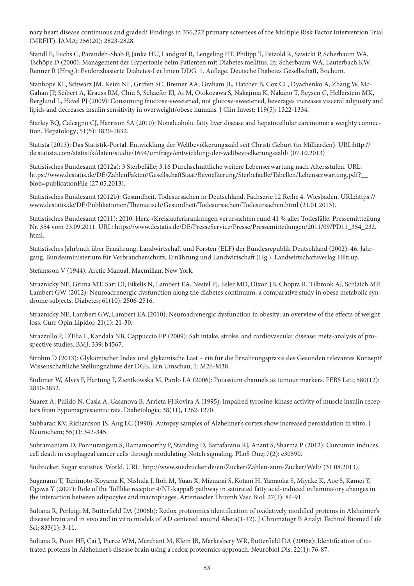nary heart disease continuous and graded? Findings in 356,222 primary screenees of the Multiple Risk Factor Intervention Trial (MRFIT). JAMA; 256(20): 2823-2828.

Standl E, Fuchs C, Parandeh-Shab F, Janka HU, Landgraf R, Lengeling HF, Philipp T, Petzold R, Sawicki P, Scherbaum WA, Tschöpe D (2000): Management der Hypertonie beim Patienten mit Diabetes mellitus. In: Scherbaum WA, Lauterbach KW, Renner R (Hrsg.): Evidenzbasierte Diabetes-Leitlinien DDG. 1. Auflage. Deutsche Diabetes Gesellschaft, Bochum.

Stanhope KL, Schwarz JM, Keim NL, Griffen SC, Bremer AA, Graham JL, Hatcher B, Cox CL, Dyachenko A, Zhang W, Mc-Gahan JP, Seibert A, Krauss RM, Chiu S, Schaefer EJ, Ai M, Otokozawa S, Nakajima K, Nakano T, Beysen C, Hellerstein MK, Berglund L, Havel PJ (2009): Consuming fructose-sweetened, not glucose-sweetened, beverages increases visceral adiposity and lipids and decreases insulin sensitivity in overweight/obese humans. J Clin Invest; 119(5): 1322-1334.

Starley BQ, Calcagno CJ, Harrison SA (2010): Nonalcoholic fatty liver disease and hepatocellular carcinoma: a weighty connection. Hepatology; 51(5): 1820-1832.

Statista (2013): Das Statistik-Portal. Entwicklung der Weltbevölkerungszahl seit Christi Geburt (in Milliarden). URL:http:// de.statista.com/statistik/daten/studie/1694/umfrage/entwicklung-der-weltbevoelkerungszahl/ (07.10.2013)

Statistisches Bundesamt (2012a): 3 Sterbefälle; 3.16 Durchschnittliche weitere Lebenserwartung nach Altersstufen. URL: https://www.destatis.de/DE/ZahlenFakten/GesellschaftStaat/Bevoelkerung/Sterbefaelle/Tabellen/Lebenserwartung.pdf?\_\_ blob=publicationFile (27.05.2013).

Statistisches Bundesamt (2012b): Gesundheit. Todesursachen in Deutschland. Fachserie 12 Reihe 4. Wiesbaden. URL:https:// www.destatis.de/DE/Publikationen/Thematisch/Gesundheit/Todesursachen/Todesursachen.html (21.01.2013).

Statistisches Bundesamt (2011): 2010: Herz-/Kreislauferkrankungen verursachten rund 41 % aller Todesfälle. Pressemittteilung Nr. 354 vom 23.09.2011. URL: https://www.destatis.de/DE/PresseService/Presse/Pressemitteilungen/2011/09/PD11\_354\_232. html.

Statistisches Jahrbuch über Ernährung, Landwirtschaft und Forsten (ELF) der Bundesrepublik Deutschland (2002): 46. Jahrgang. Bundesministerium für Verbraucherschutz, Ernährung und Landwirtschaft (Hg.), Landwirtschaftsverlag Hiltrup.

Stefansson V (1944): Arctic Manual. Macmillan, New York.

Straznicky NE, Grima MT, Sari CI, Eikelis N, Lambert EA, Nestel PJ, Esler MD, Dixon JB, Chopra R, Tilbrook AJ, Schlaich MP, Lambert GW (2012): Neuroadrenergic dysfunction along the diabetes continuum: a comparative study in obese metabolic syndrome subjects. Diabetes; 61(10): 2506-2516.

Straznicky NE, Lambert GW, Lambert EA (2010): Neuroadrenergic dysfunction in obesity: an overview of the effects of weight loss. Curr Opin Lipidol; 21(1): 21-30.

Strazzullo P, D'Elia L, Kandala NB, Cappuccio FP (2009): Salt intake, stroke, and cardiovascular disease: meta-analysis of prospective studies. BMJ; 339: b4567.

Strohm D (2013): Glykämischer Index und glykämische Last – ein für die Ernährungspraxis des Gesunden relevantes Konzept? Wissenschaftliche Stellungnahme der DGE. Ern Umschau; 1: M26-M38.

Stühmer W, Alves F, Hartung F, Zientkowska M, Pardo LA (2006): Potassium channels as tumour markers. FEBS Lett; 580(12): 2850-2852.

Suarez A, Pulido N, Casla A, Casanova B, Arrieta FJ,Rovira A (1995): Impaired tyrosine-kinase activity of muscle insulin receptors from hypomagnesaemic rats. Diabetologia; 38(11), 1262-1270.

Subbarao KV, Richardson JS, Ang LC (1990): Autopsy samples of Alzheimer's cortex show increased peroxidation in vitro. J Neurochem; 55(1): 342-345.

Subramaniam D, Ponnurangam S, Ramamoorthy P, Standing D, Battafarano RJ, Anant S, Sharma P (2012): Curcumin induces cell death in esophageal cancer cells through modulating Notch signaling. PLoS One; 7(2): e30590.

Südzucker. Sugar statistics. World. URL: http://www.suedzucker.de/en/Zucker/Zahlen-zum-Zucker/Welt/ (31.08.2013).

Suganami T, Tanimoto-Koyama K, Nishida J, Itoh M, Yuan X, Mizuarai S, Kotani H, Yamaoka S, Miyake K, Aoe S, Kamei Y, Ogawa Y (2007): Role of the Tolllike receptor 4/NF-kappaB pathway in saturated fatty acid-induced inflammatory changes in the interaction between adipocytes and macrophages. Arterioscler Thromb Vasc Biol; 27(1): 84-91.

Sultana R, Perluigi M, Butterfield DA (2006b): Redox proteomics identification of oxidatively modified proteins in Alzheimer's disease brain and in vivo and in vitro models of AD centered around Abeta(1-42). J Chromatogr B Analyt Technol Biomed Life Sci; 833(1): 3-11.

Sultana R, Poon HF, Cai J, Pierce WM, Merchant M, Klein JB, Markesbery WR, Butterfield DA (2006a): Identification of nitrated proteins in Alzheimer's disease brain using a redox proteomics approach. Neurobiol Dis; 22(1): 76-87.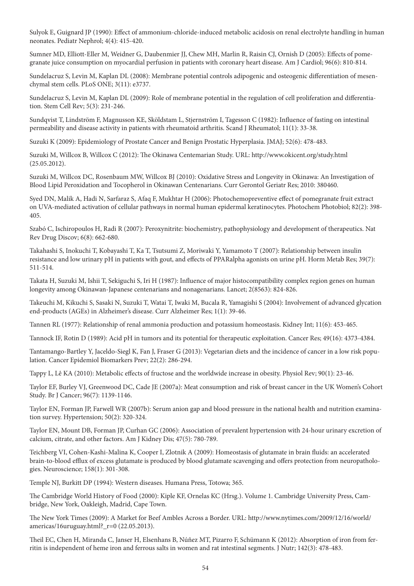Sulyok E, Guignard JP (1990): Effect of ammonium-chloride-induced metabolic acidosis on renal electrolyte handling in human neonates. Pediatr Nephrol; 4(4): 415-420.

Sumner MD, Elliott-Eller M, Weidner G, Daubenmier JJ, Chew MH, Marlin R, Raisin CJ, Ornish D (2005): Effects of pomegranate juice consumption on myocardial perfusion in patients with coronary heart disease. Am J Cardiol; 96(6): 810-814.

Sundelacruz S, Levin M, Kaplan DL (2008): Membrane potential controls adipogenic and osteogenic differentiation of mesenchymal stem cells. PLoS ONE; 3(11): e3737.

Sundelacruz S, Levin M, Kaplan DL (2009): Role of membrane potential in the regulation of cell proliferation and differentiation. Stem Cell Rev; 5(3): 231-246.

Sundqvist T, Lindström F, Magnusson KE, Sköldstam L, Stjernström I, Tagesson C (1982): Influence of fasting on intestinal permeability and disease activity in patients with rheumatoid arthritis. Scand J Rheumatol; 11(1): 33-38.

Suzuki K (2009): Epidemiology of Prostate Cancer and Benign Prostatic Hyperplasia. JMAJ; 52(6): 478-483.

Suzuki M, Willcox B, Willcox C (2012): The Okinawa Centemarian Study. URL: http://www.okicent.org/study.html (25.05.2012).

Suzuki M, Willcox DC, Rosenbaum MW, Willcox BJ (2010): Oxidative Stress and Longevity in Okinawa: An Investigation of Blood Lipid Peroxidation and Tocopherol in Okinawan Centenarians. Curr Gerontol Geriatr Res; 2010: 380460.

Syed DN, Malik A, Hadi N, Sarfaraz S, Afaq F, Mukhtar H (2006): Photochemopreventive effect of pomegranate fruit extract on UVA-mediated activation of cellular pathways in normal human epidermal keratinocytes. Photochem Photobiol; 82(2): 398- 405.

Szabó C, Ischiropoulos H, Radi R (2007): Peroxynitrite: biochemistry, pathophysiology and development of therapeutics. Nat Rev Drug Discov; 6(8): 662-680.

Takahashi S, Inokuchi T, Kobayashi T, Ka T, Tsutsumi Z, Moriwaki Y, Yamamoto T (2007): Relationship between insulin resistance and low urinary pH in patients with gout, and effects of PPARalpha agonists on urine pH. Horm Metab Res; 39(7): 511-514.

Takata H, Suzuki M, Ishii T, Sekiguchi S, Iri H (1987): Influence of major histocompatibility complex region genes on human longevity among Okinawan-Japanese centenarians and nonagenarians. Lancet; 2(8563): 824-826.

Takeuchi M, Kikuchi S, Sasaki N, Suzuki T, Watai T, Iwaki M, Bucala R, Yamagishi S (2004): Involvement of advanced glycation end-products (AGEs) in Alzheimer's disease. Curr Alzheimer Res; 1(1): 39-46.

Tannen RL (1977): Relationship of renal ammonia production and potassium homeostasis. Kidney Int; 11(6): 453-465.

Tannock IF, Rotin D (1989): Acid pH in tumors and its potential for therapeutic exploitation. Cancer Res; 49(16): 4373-4384.

Tantamango-Bartley Y, Jaceldo-Siegl K, Fan J, Fraser G (2013): Vegetarian diets and the incidence of cancer in a low risk population. Cancer Epidemiol Biomarkers Prev; 22(2): 286-294.

Tappy L, Lê KA (2010): Metabolic effects of fructose and the worldwide increase in obesity. Physiol Rev; 90(1): 23-46.

Taylor EF, Burley VJ, Greenwood DC, Cade JE (2007a): Meat consumption and risk of breast cancer in the UK Women's Cohort Study. Br J Cancer; 96(7): 1139-1146.

Taylor EN, Forman JP, Farwell WR (2007b): Serum anion gap and blood pressure in the national health and nutrition examination survey. Hypertension; 50(2): 320-324.

Taylor EN, Mount DB, Forman JP, Curhan GC (2006): Association of prevalent hypertension with 24-hour urinary excretion of calcium, citrate, and other factors. Am J Kidney Dis; 47(5): 780-789.

Teichberg VI, Cohen-Kashi-Malina K, Cooper I, Zlotnik A (2009): Homeostasis of glutamate in brain fluids: an accelerated brain-to-blood efflux of excess glutamate is produced by blood glutamate scavenging and offers protection from neuropathologies. Neuroscience; 158(1): 301-308.

Temple NJ, Burkitt DP (1994): Western diseases. Humana Press, Totowa; 365.

The Cambridge World History of Food (2000): Kiple KF, Ornelas KC (Hrsg.). Volume 1. Cambridge University Press, Cambridge, New York, Oakleigh, Madrid, Cape Town.

The New York Times (2009): A Market for Beef Ambles Across a Border. URL: http://www.nytimes.com/2009/12/16/world/ americas/16uruguay.html?\_r=0 (22.05.2013).

Theil EC, Chen H, Miranda C, Janser H, Elsenhans B, Núñez MT, Pizarro F, Schümann K (2012): Absorption of iron from ferritin is independent of heme iron and ferrous salts in women and rat intestinal segments. J Nutr; 142(3): 478-483.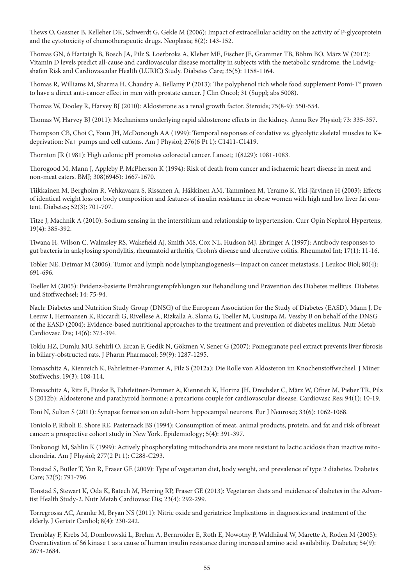Thews O, Gassner B, Kelleher DK, Schwerdt G, Gekle M (2006): Impact of extracellular acidity on the activity of P-glycoprotein and the cytotoxicity of chemotherapeutic drugs. Neoplasia; 8(2): 143-152.

Thomas GN, ó Hartaigh B, Bosch JA, Pilz S, Loerbroks A, Kleber ME, Fischer JE, Grammer TB, Böhm BO, März W (2012): Vitamin D levels predict all-cause and cardiovascular disease mortality in subjects with the metabolic syndrome: the Ludwigshafen Risk and Cardiovascular Health (LURIC) Study. Diabetes Care; 35(5): 1158-1164.

Thomas R, Williams M, Sharma H, Chaudry A, Bellamy P (2013): The polyphenol rich whole food supplement Pomi-T® proven to have a direct anti-cancer effect in men with prostate cancer. J Clin Oncol; 31 (Suppl; abs 5008).

Thomas W, Dooley R, Harvey BJ (2010): Aldosterone as a renal growth factor. Steroids; 75(8-9): 550-554.

Thomas W, Harvey BJ (2011): Mechanisms underlying rapid aldosterone effects in the kidney. Annu Rev Physiol; 73: 335-357.

Thompson CB, Choi C, Youn JH, McDonough AA (1999): Temporal responses of oxidative vs. glycolytic skeletal muscles to K+ deprivation: Na+ pumps and cell cations. Am J Physiol; 276(6 Pt 1): C1411-C1419.

Thornton JR (1981): High colonic pH promotes colorectal cancer. Lancet; 1(8229): 1081-1083.

Thorogood M, Mann J, Appleby P, McPherson K (1994): Risk of death from cancer and ischaemic heart disease in meat and non-meat eaters. BMJ; 308(6945): 1667-1670.

Tiikkainen M, Bergholm R, Vehkavaara S, Rissanen A, Häkkinen AM, Tamminen M, Teramo K, Yki-Järvinen H (2003): Effects of identical weight loss on body composition and features of insulin resistance in obese women with high and low liver fat content. Diabetes; 52(3): 701-707.

Titze J, Machnik A (2010): Sodium sensing in the interstitium and relationship to hypertension. Curr Opin Nephrol Hypertens; 19(4): 385-392.

Tiwana H, Wilson C, Walmsley RS, Wakefield AJ, Smith MS, Cox NL, Hudson MJ, Ebringer A (1997): Antibody responses to gut bacteria in ankylosing spondylitis, rheumatoid arthritis, Crohn's disease and ulcerative colitis. Rheumatol Int; 17(1): 11-16.

Tobler NE, Detmar M (2006): Tumor and lymph node lymphangiogenesis—impact on cancer metastasis. J Leukoc Biol; 80(4): 691-696.

Toeller M (2005): Evidenz-basierte Ernährungsempfehlungen zur Behandlung und Prävention des Diabetes mellitus. Diabetes und Stoffwechsel; 14: 75-94.

Nach: Diabetes and Nutrition Study Group (DNSG) of the European Association for the Study of Diabetes (EASD). Mann J, De Leeuw I, Hermansen K, Riccardi G, Rivellese A, Rizkalla A, Slama G, Toeller M, Uusitupa M, Vessby B on behalf of the DNSG of the EASD (2004): Evidence-based nutritional approaches to the treatment and prevention of diabetes mellitus. Nutr Metab Cardiovasc Dis; 14(6): 373-394.

Toklu HZ, Dumlu MU, Sehirli O, Ercan F, Gedik N, Gökmen V, Sener G (2007): Pomegranate peel extract prevents liver fibrosis in biliary-obstructed rats. J Pharm Pharmacol; 59(9): 1287-1295.

Tomaschitz A, Kienreich K, Fahrleitner-Pammer A, Pilz S (2012a): Die Rolle von Aldosteron im Knochenstoffwechsel. J Miner Stoffwechs; 19(3): 108-114.

Tomaschitz A, Ritz E, Pieske B, Fahrleitner-Pammer A, Kienreich K, Horina JH, Drechsler C, März W, Ofner M, Pieber TR, Pilz S (2012b): Aldosterone and parathyroid hormone: a precarious couple for cardiovascular disease. Cardiovasc Res; 94(1): 10-19.

Toni N, Sultan S (2011): Synapse formation on adult-born hippocampal neurons. Eur J Neurosci; 33(6): 1062-1068.

Toniolo P, Riboli E, Shore RE, Pasternack BS (1994): Consumption of meat, animal products, protein, and fat and risk of breast cancer: a prospective cohort study in New York. Epidemiology; 5(4): 391-397.

Tonkonogi M, Sahlin K (1999): Actively phosphorylating mitochondria are more resistant to lactic acidosis than inactive mitochondria. Am J Physiol; 277(2 Pt 1): C288-C293.

Tonstad S, Butler T, Yan R, Fraser GE (2009): Type of vegetarian diet, body weight, and prevalence of type 2 diabetes. Diabetes Care; 32(5): 791-796.

Tonstad S, Stewart K, Oda K, Batech M, Herring RP, Fraser GE (2013): Vegetarian diets and incidence of diabetes in the Adventist Health Study-2. Nutr Metab Cardiovasc Dis; 23(4): 292-299.

Torregrossa AC, Aranke M, Bryan NS (2011): Nitric oxide and geriatrics: Implications in diagnostics and treatment of the elderly. J Geriatr Cardiol; 8(4): 230-242.

Tremblay F, Krebs M, Dombrowski L, Brehm A, Bernroider E, Roth E, Nowotny P, Waldhäusl W, Marette A, Roden M (2005): Overactivation of S6 kinase 1 as a cause of human insulin resistance during increased amino acid availability. Diabetes; 54(9): 2674-2684.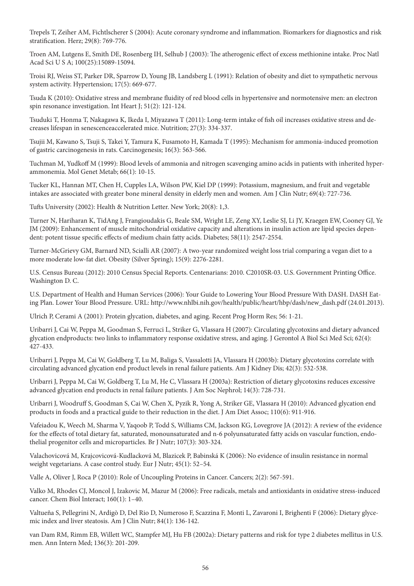Trepels T, Zeiher AM, Fichtlscherer S (2004): Acute coronary syndrome and inflammation. Biomarkers for diagnostics and risk stratification. Herz; 29(8): 769-776.

Troen AM, Lutgens E, Smith DE, Rosenberg IH, Selhub J (2003): The atherogenic effect of excess methionine intake. Proc Natl Acad Sci U S A; 100(25):15089-15094.

Troisi RJ, Weiss ST, Parker DR, Sparrow D, Young JB, Landsberg L (1991): Relation of obesity and diet to sympathetic nervous system activity. Hypertension; 17(5): 669-677.

Tsuda K (2010): Oxidative stress and membrane fluidity of red blood cells in hypertensive and normotensive men: an electron spin resonance investigation. Int Heart J; 51(2): 121-124.

Tsuduki T, Honma T, Nakagawa K, Ikeda I, Miyazawa T (2011): Long-term intake of fish oil increases oxidative stress and decreases lifespan in senescenceaccelerated mice. Nutrition; 27(3): 334-337.

Tsujii M, Kawano S, Tsuji S, Takei Y, Tamura K, Fusamoto H, Kamada T (1995): Mechanism for ammonia-induced promotion of gastric carcinogenesis in rats. Carcinogenesis; 16(3): 563-566.

Tuchman M, Yudkoff M (1999): Blood levels of ammonia and nitrogen scavenging amino acids in patients with inherited hyperammonemia. Mol Genet Metab; 66(1): 10-15.

Tucker KL, Hannan MT, Chen H, Cupples LA, Wilson PW, Kiel DP (1999): Potassium, magnesium, and fruit and vegetable intakes are associated with greater bone mineral density in elderly men and women. Am J Clin Nutr; 69(4): 727-736.

Tufts University (2002): Health & Nutrition Letter. New York; 20(8): 1,3.

Turner N, Hariharan K, TidAng J, Frangioudakis G, Beale SM, Wright LE, Zeng XY, Leslie SJ, Li JY, Kraegen EW, Cooney GJ, Ye JM (2009): Enhancement of muscle mitochondrial oxidative capacity and alterations in insulin action are lipid species dependent: potent tissue specific effects of medium chain fatty acids. Diabetes; 58(11): 2547-2554.

Turner-McGrievy GM, Barnard ND, Scialli AR (2007): A two-year randomized weight loss trial comparing a vegan diet to a more moderate low-fat diet. Obesity (Silver Spring); 15(9): 2276-2281.

U.S. Census Bureau (2012): 2010 Census Special Reports. Centenarians: 2010. C2010SR-03. U.S. Government Printing Office. Washington D. C.

U.S. Department of Health and Human Services (2006): Your Guide to Lowering Your Blood Pressure With DASH. DASH Eating Plan. Lower Your Blood Pressure. URL: http://www.nhlbi.nih.gov/health/public/heart/hbp/dash/new\_dash.pdf (24.01.2013).

Ulrich P, Cerami A (2001): Protein glycation, diabetes, and aging. Recent Prog Horm Res; 56: 1-21.

Uribarri J, Cai W, Peppa M, Goodman S, Ferruci L, Striker G, Vlassara H (2007): Circulating glycotoxins and dietary advanced glycation endproducts: two links to inflammatory response oxidative stress, and aging. J Gerontol A Biol Sci Med Sci; 62(4): 427-433.

Uribarri J, Peppa M, Cai W, Goldberg T, Lu M, Baliga S, Vassalotti JA, Vlassara H (2003b): Dietary glycotoxins correlate with circulating advanced glycation end product levels in renal failure patients. Am J Kidney Dis; 42(3): 532-538.

Uribarri J, Peppa M, Cai W, Goldberg T, Lu M, He C, Vlassara H (2003a): Restriction of dietary glycotoxins reduces excessive advanced glycation end products in renal failure patients. J Am Soc Nephrol; 14(3): 728-731.

Uribarri J, Woodruff S, Goodman S, Cai W, Chen X, Pyzik R, Yong A, Striker GE, Vlassara H (2010): Advanced glycation end products in foods and a practical guide to their reduction in the diet. J Am Diet Assoc; 110(6): 911-916.

Vafeiadou K, Weech M, Sharma V, Yaqoob P, Todd S, Williams CM, Jackson KG, Lovegrove JA (2012): A review of the evidence for the effects of total dietary fat, saturated, monounsaturated and n-6 polyunsaturated fatty acids on vascular function, endothelial progenitor cells and microparticles. Br J Nutr; 107(3): 303-324.

Valachovicová M, Krajcovicová-Kudlacková M, Blazicek P, Babinská K (2006): No evidence of insulin resistance in normal weight vegetarians. A case control study. Eur J Nutr; 45(1): 52–54.

Valle A, Oliver J, Roca P (2010): Role of Uncoupling Proteins in Cancer. Cancers; 2(2): 567-591.

Valko M, Rhodes CJ, Moncol J, Izakovic M, Mazur M (2006): Free radicals, metals and antioxidants in oxidative stress-induced cancer. Chem Biol Interact; 160(1): 1–40.

Valtueña S, Pellegrini N, Ardigò D, Del Rio D, Numeroso F, Scazzina F, Monti L, Zavaroni I, Brighenti F (2006): Dietary glycemic index and liver steatosis. Am J Clin Nutr; 84(1): 136-142.

van Dam RM, Rimm EB, Willett WC, Stampfer MJ, Hu FB (2002a): Dietary patterns and risk for type 2 diabetes mellitus in U.S. men. Ann Intern Med; 136(3): 201-209.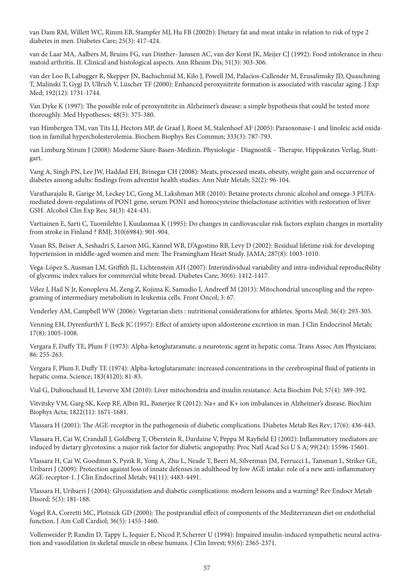van Dam RM, Willett WC, Rimm EB, Stampfer MJ, Hu FB (2002b): Dietary fat and meat intake in relation to risk of type 2 diabetes in men. Diabetes Care; 25(3): 417-424.

van de Laar MA, Aalbers M, Bruins FG, van Dinther- Janssen AC, van der Korst JK, Meijer CJ (1992): Food intolerance in rheumatoid arthritis. II. Clinical and histological aspects. Ann Rheum Dis; 51(3): 303-306.

van der Loo B, Labugger R, Skepper JN, Bachschmid M, Kilo J, Powell JM, Palacios-Callender M, Erusalimsky JD, Quaschning T, Malinski T, Gygi D, Ullrich V, Lüscher TF (2000): Enhanced peroxynitrite formation is associated with vascular aging. J Exp Med; 192(12): 1731-1744.

Van Dyke K (1997): The possible role of peroxynitrite in Alzheimer's disease: a simple hypothesis that could be tested more thoroughly. Med Hypotheses; 48(5): 375-380.

van Himbergen TM, van Tits LJ, Hectors MP, de Graaf J, Roest M, Stalenhoef AF (2005): Paraoxonase-1 and linoleic acid oxidation in familial hypercholesterolemia. Biochem Biophys Res Commun; 333(3): 787-793.

van Limburg Stirum J (2008): Moderne Säure-Basen-Medizin. Physiologie - Diagnostik – Therapie. Hippokrates Verlag, Stuttgart.

Vang A, Singh PN, Lee JW, Haddad EH, Brinegar CH (2008): Meats, processed meats, obesity, weight gain and occurrence of diabetes among adults: findings from adventist health studies. Ann Nutr Metab; 52(2): 96-104.

Varatharajalu R, Garige M, Leckey LC, Gong M, Lakshman MR (2010): Betaine protects chronic alcohol and omega-3 PUFAmediated down-regulations of PON1 gene, serum PON1 and homocysteine thiolactonase activities with restoration of liver GSH. Alcohol Clin Exp Res; 34(3): 424-431.

Vartiainen E, Sarti C, Tuomilehto J, Kuulasmaa K (1995): Do changes in cardiovascular risk factors explain changes in mortality from stroke in Finland ? BMJ; 310(6984): 901-904.

Vasan RS, Beiser A, Seshadri S, Larson MG, Kannel WB, D'Agostino RB, Levy D (2002): Residual lifetime risk for developing hypertension in middle-aged women and men: The Framingham Heart Study. JAMA; 287(8): 1003-1010.

Vega-López S, Ausman LM, Griffith JL, Lichtenstein AH (2007): Interindividual variability and intra-individual reproducibility of glycemic index values for commercial white bread. Diabetes Care; 30(6): 1412-1417.

Vélez J, Hail N Jr, Konopleva M, Zeng Z, Kojima K, Samudio I, Andreeff M (2013): Mitochondrial uncoupling and the reprograming of intermediary metabolism in leukemia cells. Front Oncol; 3: 67.

Venderley AM, Campbell WW (2006): Vegetarian diets : nutritional considerations for athletes. Sports Med; 36(4): 293-305.

Venning EH, DyrenfurthY I, Beck JC (1957): Effect of anxiety upon aldosterone excretion in man. J Clin Endocrinol Metab; 17(8): 1005-1008.

Vergara F, Duffy TE, Plum F (1973): Alpha-ketoglutaramate, a neurotoxic agent in hepatic coma. Trans Assoc Am Physicians; 86: 255-263.

Vergara F, Plum F, Duffy TE (1974): Alpha-ketoglutaramate: increased concentrations in the cerebrospinal fluid of patients in hepatic coma. Science; 183(4120): 81-83.

Vial G, Dubouchaud H, Leverve XM (2010): Liver mitochondria and insulin resistance. Acta Biochim Pol; 57(4): 389-392.

Vitvitsky VM, Garg SK, Keep RF, Albin RL, Banerjee R (2012): Na+ and K+ ion imbalances in Alzheimer's disease. Biochim Biophys Acta; 1822(11): 1671-1681.

Vlassara H (2001): The AGE-receptor in the pathogenesis of diabetic complications. Diabetes Metab Res Rev; 17(6): 436-443.

Vlassara H, Cai W, Crandall J, Goldberg T, Oberstein R, Dardaine V, Peppa M Rayfield EJ (2002): Inflammatory mediators are induced by dietary glycotoxins: a major risk factor for diabetic angiopathy. Proc Natl Acad Sci U S A; 99(24): 15596-15601.

Vlassara H, Cai W, Goodman S, Pyzik R, Yong A, Zhu L, Neade T, Beeri M, Silverman JM, Ferrucci L, Tansman L, Striker GE, Uribarri J (2009): Protection against loss of innate defenses in adulthood by low AGE intake: role of a new anti-inflammatory AGE-receptor-1. J Clin Endocrinol Metab; 94(11): 4483-4491.

Vlassara H, Uribarri J (2004): Glycoxidation and diabetic complications: modern lessons and a warning? Rev Endocr Metab Disord; 5(3): 181-188.

Vogel RA, Corretti MC, Plotnick GD (2000): The postprandial effect of components of the Mediterranean diet on endothelial function. J Am Coll Cardiol; 36(5): 1455-1460.

Vollenweider P, Randin D, Tappy L, Jequier E, Nicod P, Scherrer U (1994): Impaired insulin-induced sympathetic neural activation and vasodilation in skeletal muscle in obese humans. J Clin Invest; 93(6): 2365-2371.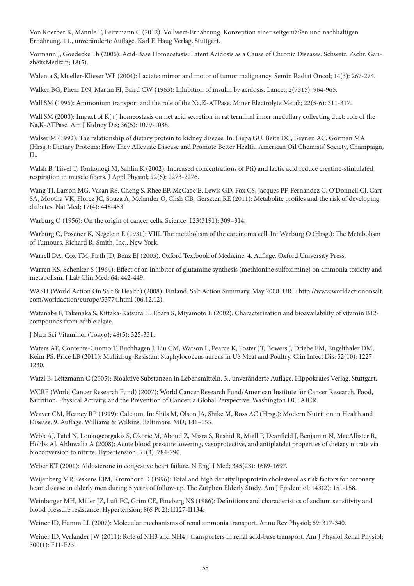Von Koerber K, Männle T, Leitzmann C (2012): Vollwert-Ernährung. Konzeption einer zeitgemäßen und nachhaltigen Ernährung. 11., unveränderte Auflage. Karl F. Haug Verlag, Stuttgart.

Vormann J, Goedecke Th (2006): Acid-Base Homeostasis: Latent Acidosis as a Cause of Chronic Diseases. Schweiz. Zschr. GanzheitsMedizin; 18(5).

Walenta S, Mueller-Klieser WF (2004): Lactate: mirror and motor of tumor malignancy. Semin Radiat Oncol; 14(3): 267-274.

Walker BG, Phear DN, Martin FI, Baird CW (1963): Inhibition of insulin by acidosis. Lancet; 2(7315): 964-965.

Wall SM (1996): Ammonium transport and the role of the Na,K-ATPase. Miner Electrolyte Metab; 22(5-6): 311-317.

Wall SM (2000): Impact of K(+) homeostasis on net acid secretion in rat terminal inner medullary collecting duct: role of the Na,K-ATPase. Am J Kidney Dis; 36(5): 1079-1088.

Walser M (1992): The relationship of dietary protein to kidney disease. In: Liepa GU, Beitz DC, Beynen AC, Gorman MA (Hrsg.): Dietary Proteins: How They Alleviate Disease and Promote Better Health. American Oil Chemists' Society, Champaign, IL.

Walsh B, Tiivel T, Tonkonogi M, Sahlin K (2002): Increased concentrations of P(i) and lactic acid reduce creatine-stimulated respiration in muscle fibers. J Appl Physiol; 92(6): 2273-2276.

Wang TJ, Larson MG, Vasan RS, Cheng S, Rhee EP, McCabe E, Lewis GD, Fox CS, Jacques PF, Fernandez C, O'Donnell CJ, Carr SA, Mootha VK, Florez JC, Souza A, Melander O, Clish CB, Gerszten RE (2011): Metabolite profiles and the risk of developing diabetes. Nat Med; 17(4): 448-453.

Warburg O (1956): On the origin of cancer cells. Science; 123(3191): 309–314.

Warburg O, Posener K, Negelein E (1931): VIII. The metabolism of the carcinoma cell. In: Warburg O (Hrsg.): The Metabolism of Tumours. Richard R. Smith, Inc., New York.

Warrell DA, Cox TM, Firth JD, Benz EJ (2003). Oxford Textbook of Medicine. 4. Auflage. Oxford University Press.

Warren KS, Schenker S (1964): Effect of an inhibitor of glutamine synthesis (methionine sulfoximine) on ammonia toxicity and metabolism. J Lab Clin Med; 64: 442-449.

WASH (World Action On Salt & Health) (2008): Finland. Salt Action Summary. May 2008. URL: http://www.worldactiononsalt. com/worldaction/europe/53774.html (06.12.12).

Watanabe F, Takenaka S, Kittaka-Katsura H, Ebara S, Miyamoto E (2002): Characterization and bioavailability of vitamin B12 compounds from edible algae.

J Nutr Sci Vitaminol (Tokyo); 48(5): 325-331.

Waters AE, Contente-Cuomo T, Buchhagen J, Liu CM, Watson L, Pearce K, Foster JT, Bowers J, Driebe EM, Engelthaler DM, Keim PS, Price LB (2011): Multidrug-Resistant Staphylococcus aureus in US Meat and Poultry. Clin Infect Dis; 52(10): 1227- 1230.

Watzl B, Leitzmann C (2005): Bioaktive Substanzen in Lebensmitteln. 3., unveränderte Auflage. Hippokrates Verlag, Stuttgart.

WCRF (World Cancer Research Fund) (2007): World Cancer Research Fund/American Institute for Cancer Research. Food, Nutrition, Physical Activity, and the Prevention of Cancer: a Global Perspective. Washington DC: AICR.

Weaver CM, Heaney RP (1999): Calcium. In: Shils M, Olson JA, Shike M, Ross AC (Hrsg.): Modern Nutrition in Health and Disease. 9. Auflage. Williams & Wilkins, Baltimore, MD; 141–155.

Webb AJ, Patel N, Loukogeorgakis S, Okorie M, Aboud Z, Misra S, Rashid R, Miall P, Deanfield J, Benjamin N, MacAllister R, Hobbs AJ, Ahluwalia A (2008): Acute blood pressure lowering, vasoprotective, and antiplatelet properties of dietary nitrate via bioconversion to nitrite. Hypertension; 51(3): 784-790.

Weber KT (2001): Aldosterone in congestive heart failure. N Engl J Med; 345(23): 1689-1697.

Weijenberg MP, Feskens EJM, Kromhout D (1996): Total and high density lipoprotein cholesterol as risk factors for coronary heart disease in elderly men during 5 years of follow-up. The Zutphen Elderly Study. Am J Epidemiol; 143(2): 151-158.

Weinberger MH, Miller JZ, Luft FC, Grim CE, Fineberg NS (1986): Definitions and characteristics of sodium sensitivity and blood pressure resistance. Hypertension; 8(6 Pt 2): II127-II134.

Weiner ID, Hamm LL (2007): Molecular mechanisms of renal ammonia transport. Annu Rev Physiol; 69: 317-340.

Weiner ID, Verlander JW (2011): Role of NH3 and NH4+ transporters in renal acid-base transport. Am J Physiol Renal Physiol; 300(1): F11-F23.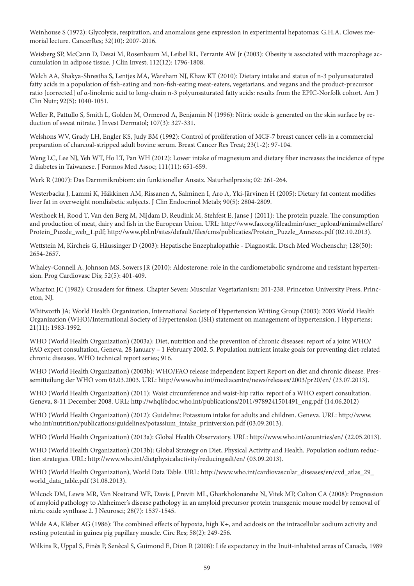Weinhouse S (1972): Glycolysis, respiration, and anomalous gene expression in experimental hepatomas: G.H.A. Clowes memorial lecture. CancerRes; 32(10): 2007-2016.

Weisberg SP, McCann D, Desai M, Rosenbaum M, Leibel RL, Ferrante AW Jr (2003): Obesity is associated with macrophage accumulation in adipose tissue. J Clin Invest; 112(12): 1796-1808.

Welch AA, Shakya-Shrestha S, Lentjes MA, Wareham NJ, Khaw KT (2010): Dietary intake and status of n-3 polyunsaturated fatty acids in a population of fish-eating and non-fish-eating meat-eaters, vegetarians, and vegans and the product-precursor ratio [corrected] of α-linolenic acid to long-chain n-3 polyunsaturated fatty acids: results from the EPIC-Norfolk cohort. Am J Clin Nutr; 92(5): 1040-1051.

Weller R, Pattullo S, Smith L, Golden M, Ormerod A, Benjamin N (1996): Nitric oxide is generated on the skin surface by reduction of sweat nitrate. J Invest Dermatol; 107(3): 327-331.

Welshons WV, Grady LH, Engler KS, Judy BM (1992): Control of proliferation of MCF-7 breast cancer cells in a commercial preparation of charcoal-stripped adult bovine serum. Breast Cancer Res Treat; 23(1-2): 97-104.

Weng LC, Lee NJ, Yeh WT, Ho LT, Pan WH (2012): Lower intake of magnesium and dietary fiber increases the incidence of type 2 diabetes in Taiwanese. J Formos Med Assoc; 111(11): 651-659.

Werk R (2007): Das Darmmikrobiom: ein funktioneller Ansatz. Naturheilpraxis; 02: 261-264.

Westerbacka J, Lammi K, Häkkinen AM, Rissanen A, Salminen I, Aro A, Yki-Järvinen H (2005): Dietary fat content modifies liver fat in overweight nondiabetic subjects. J Clin Endocrinol Metab; 90(5): 2804-2809.

Westhoek H, Rood T, Van den Berg M, Nijdam D, Reudink M, Stehfest E, Janse J (2011): The protein puzzle. The consumption and production of meat, dairy and fish in the European Union. URL: http://www.fao.org/fileadmin/user\_upload/animalwelfare/ Protein\_Puzzle\_web\_1.pdf; http://www.pbl.nl/sites/default/files/cms/publicaties/Protein\_Puzzle\_Annexes.pdf (02.10.2013).

Wettstein M, Kircheis G, Häussinger D (2003): Hepatische Enzephalopathie - Diagnostik. Dtsch Med Wochenschr; 128(50): 2654-2657.

Whaley-Connell A, Johnson MS, Sowers JR (2010): Aldosterone: role in the cardiometabolic syndrome and resistant hypertension. Prog Cardiovasc Dis; 52(5): 401-409.

Wharton JC (1982): Crusaders for fitness. Chapter Seven: Muscular Vegetarianism: 201-238. Princeton University Press, Princeton, NJ.

Whitworth JA; World Health Organization, International Society of Hypertension Writing Group (2003): 2003 World Health Organization (WHO)/International Society of Hypertension (ISH) statement on management of hypertension. J Hypertens; 21(11): 1983-1992.

WHO (World Health Organization) (2003a): Diet, nutrition and the prevention of chronic diseases: report of a joint WHO/ FAO expert consultation, Geneva, 28 January – 1 February 2002. 5. Population nutrient intake goals for preventing diet-related chronic diseases. WHO technical report series; 916.

WHO (World Health Organization) (2003b): WHO/FAO release independent Expert Report on diet and chronic disease. Pressemitteilung der WHO vom 03.03.2003. URL: http://www.who.int/mediacentre/news/releases/2003/pr20/en/ (23.07.2013).

WHO (World Health Organization) (2011): Waist circumference and waist-hip ratio: report of a WHO expert consultation. Geneva, 8-11 December 2008. URL: http://whqlibdoc.who.int/publications/2011/9789241501491\_eng.pdf (14.06.2012)

WHO (World Health Organization) (2012): Guideline: Potassium intake for adults and children. Geneva. URL: http://www. who.int/nutrition/publications/guidelines/potassium\_intake\_printversion.pdf (03.09.2013).

WHO (World Health Organization) (2013a): Global Health Observatory. URL: http://www.who.int/countries/en/ (22.05.2013).

WHO (World Health Organization) (2013b): Global Strategy on Diet, Physical Activity and Health. Population sodium reduction strategies. URL: http://www.who.int/dietphysicalactivity/reducingsalt/en/ (03.09.2013).

WHO (World Health Organization), World Data Table. URL: http://www.who.int/cardiovascular\_diseases/en/cvd\_atlas\_29\_ world\_data\_table.pdf (31.08.2013).

Wilcock DM, Lewis MR, Van Nostrand WE, Davis J, Previti ML, Gharkholonarehe N, Vitek MP, Colton CA (2008): Progression of amyloid pathology to Alzheimer's disease pathology in an amyloid precursor protein transgenic mouse model by removal of nitric oxide synthase 2. J Neurosci; 28(7): 1537-1545.

Wilde AA, Kléber AG (1986): The combined effects of hypoxia, high K+, and acidosis on the intracellular sodium activity and resting potential in guinea pig papillary muscle. Circ Res; 58(2): 249-256.

Wilkins R, Uppal S, Finès P, Senècal S, Guimond E, Dion R (2008): Life expectancy in the Inuit-inhabited areas of Canada, 1989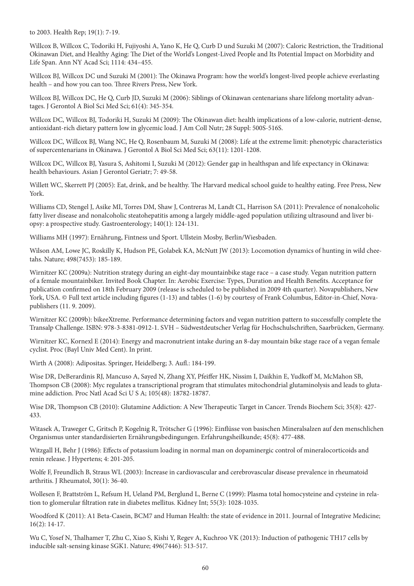to 2003. Health Rep; 19(1): 7-19.

Willcox B, Willcox C, Todoriki H, Fujiyoshi A, Yano K, He Q, Curb D und Suzuki M (2007): Caloric Restriction, the Traditional Okinawan Diet, and Healthy Aging: The Diet of the World's Longest-Lived People and Its Potential Impact on Morbidity and Life Span. Ann NY Acad Sci; 1114: 434–455.

Willcox BJ, Willcox DC und Suzuki M (2001): The Okinawa Program: how the world's longest-lived people achieve everlasting health – and how you can too. Three Rivers Press, New York.

Willcox BJ, Willcox DC, He Q, Curb JD, Suzuki M (2006): Siblings of Okinawan centenarians share lifelong mortality advantages. J Gerontol A Biol Sci Med Sci; 61(4): 345-354.

Willcox DC, Willcox BJ, Todoriki H, Suzuki M (2009): The Okinawan diet: health implications of a low-calorie, nutrient-dense, antioxidant-rich dietary pattern low in glycemic load. J Am Coll Nutr; 28 Suppl: 500S-516S.

Willcox DC, Willcox BJ, Wang NC, He Q, Rosenbaum M, Suzuki M (2008): Life at the extreme limit: phenotypic characteristics of supercentenarians in Okinawa. J Gerontol A Biol Sci Med Sci; 63(11): 1201-1208.

Willcox DC, Willcox BJ, Yasura S, Ashitomi I, Suzuki M (2012): Gender gap in healthspan and life expectancy in Okinawa: health behaviours. Asian J Gerontol Geriatr; 7: 49-58.

Willett WC, Skerrett PJ (2005): Eat, drink, and be healthy. The Harvard medical school guide to healthy eating. Free Press, New York.

Williams CD, Stengel J, Asike MI, Torres DM, Shaw J, Contreras M, Landt CL, Harrison SA (2011): Prevalence of nonalcoholic fatty liver disease and nonalcoholic steatohepatitis among a largely middle-aged population utilizing ultrasound and liver biopsy: a prospective study. Gastroenterology; 140(1): 124-131.

Williams MH (1997): Ernährung, Fintness und Sport. Ullstein Mosby, Berlin/Wiesbaden.

Wilson AM, Lowe JC, Roskilly K, Hudson PE, Golabek KA, McNutt JW (2013): Locomotion dynamics of hunting in wild cheetahs. Nature; 498(7453): 185-189.

Wirnitzer KC (2009a): Nutrition strategy during an eight-day mountainbike stage race – a case study. Vegan nutrition pattern of a female mountainbiker. Invited Book Chapter. In: Aerobic Exercise: Types, Duration and Health Benefits. Acceptance for publication confirmed on 18th February 2009 (release is scheduled to be published in 2009 4th quarter). Novapublishers, New York, USA. © Full text article including figures (1-13) and tables (1-6) by courtesy of Frank Columbus, Editor-in-Chief, Novapublishers (11. 9. 2009).

Wirnitzer KC (2009b): bikeeXtreme. Performance determining factors and vegan nutrition pattern to successfully complete the Transalp Challenge. ISBN: 978-3-8381-0912-1. SVH – Südwestdeutscher Verlag für Hochschulschriften, Saarbrücken, Germany.

Wirnitzer KC, Kornexl E (2014): Energy and macronutrient intake during an 8-day mountain bike stage race of a vegan female cyclist. Proc (Bayl Univ Med Cent). In print.

Wirth A (2008): Adipositas. Springer, Heidelberg; 3. Aufl.: 184-199.

Wise DR, DeBerardinis RJ, Mancuso A, Sayed N, Zhang XY, Pfeiffer HK, Nissim I, Daikhin E, Yudkoff M, McMahon SB, Thompson CB (2008): Myc regulates a transcriptional program that stimulates mitochondrial glutaminolysis and leads to glutamine addiction. Proc Natl Acad Sci U S A; 105(48): 18782-18787.

Wise DR, Thompson CB (2010): Glutamine Addiction: A New Therapeutic Target in Cancer. Trends Biochem Sci; 35(8): 427- 433.

Witasek A, Traweger C, Gritsch P, Kogelnig R, Trötscher G (1996): Einflüsse von basischen Mineralsalzen auf den menschlichen Organismus unter standardisierten Ernährungsbedingungen. Erfahrungsheilkunde; 45(8): 477-488.

Witzgall H, Behr J (1986): Effects of potassium loading in normal man on dopaminergic control of mineralocorticoids and renin release. J Hypertens; 4: 201-205.

Wolfe F, Freundlich B, Straus WL (2003): Increase in cardiovascular and cerebrovascular disease prevalence in rheumatoid arthritis. J Rheumatol, 30(1): 36-40.

Wollesen F, Brattström L, Refsum H, Ueland PM, Berglund L, Berne C (1999): Plasma total homocysteine and cysteine in relation to glomerular filtration rate in diabetes mellitus. Kidney Int; 55(3): 1028-1035.

Woodford K (2011): A1 Beta-Casein, BCM7 and Human Health: the state of evidence in 2011. Journal of Integrative Medicine; 16(2): 14-17.

Wu C, Yosef N, Thalhamer T, Zhu C, Xiao S, Kishi Y, Regev A, Kuchroo VK (2013): Induction of pathogenic TH17 cells by inducible salt-sensing kinase SGK1. Nature; 496(7446): 513-517.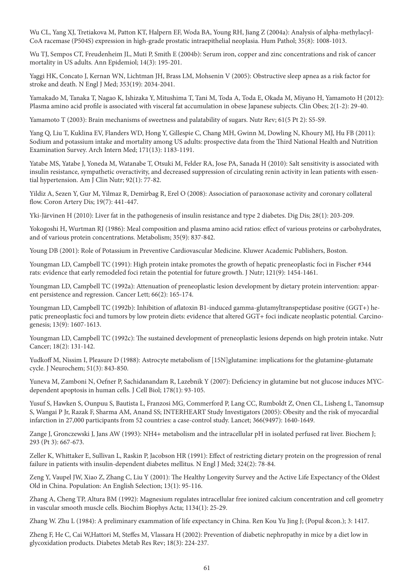Wu CL, Yang XJ, Tretiakova M, Patton KT, Halpern EF, Woda BA, Young RH, Jiang Z (2004a): Analysis of alpha-methylacyl-CoA racemase (P504S) expression in high-grade prostatic intraepithelial neoplasia. Hum Pathol; 35(8): 1008-1013.

Wu TJ, Sempos CT, Freudenheim JL, Muti P, Smith E (2004b): Serum iron, copper and zinc concentrations and risk of cancer mortality in US adults. Ann Epidemiol; 14(3): 195-201.

Yaggi HK, Concato J, Kernan WN, Lichtman JH, Brass LM, Mohsenin V (2005): Obstructive sleep apnea as a risk factor for stroke and death. N Engl J Med; 353(19): 2034-2041.

Yamakado M, Tanaka T, Nagao K, Ishizaka Y, Mitushima T, Tani M, Toda A, Toda E, Okada M, Miyano H, Yamamoto H (2012): Plasma amino acid profile is associated with visceral fat accumulation in obese Japanese subjects. Clin Obes; 2(1-2): 29-40.

Yamamoto T (2003): Brain mechanisms of sweetness and palatability of sugars. Nutr Rev; 61(5 Pt 2): S5-S9.

Yang Q, Liu T, Kuklina EV, Flanders WD, Hong Y, Gillespie C, Chang MH, Gwinn M, Dowling N, Khoury MJ, Hu FB (2011): Sodium and potassium intake and mortality among US adults: prospective data from the Third National Health and Nutrition Examination Survey. Arch Intern Med; 171(13): 1183-1191.

Yatabe MS, Yatabe J, Yoneda M, Watanabe T, Otsuki M, Felder RA, Jose PA, Sanada H (2010): Salt sensitivity is associated with insulin resistance, sympathetic overactivity, and decreased suppression of circulating renin activity in lean patients with essential hypertension. Am J Clin Nutr; 92(1): 77-82.

Yildiz A, Sezen Y, Gur M, Yilmaz R, Demirbag R, Erel O (2008): Association of paraoxonase activity and coronary collateral flow. Coron Artery Dis; 19(7): 441-447.

Yki-Järvinen H (2010): Liver fat in the pathogenesis of insulin resistance and type 2 diabetes. Dig Dis; 28(1): 203-209.

Yokogoshi H, Wurtman RJ (1986): Meal composition and plasma amino acid ratios: effect of various proteins or carbohydrates, and of various protein concentrations. Metabolism; 35(9): 837-842.

Young DB (2001): Role of Potassium in Preventive Cardiovascular Medicine. Kluwer Academic Publishers, Boston.

Youngman LD, Campbell TC (1991): High protein intake promotes the growth of hepatic preneoplastic foci in Fischer #344 rats: evidence that early remodeled foci retain the potential for future growth. J Nutr; 121(9): 1454-1461.

Youngman LD, Campbell TC (1992a): Attenuation of preneoplastic lesion development by dietary protein intervention: apparent persistence and regression. Cancer Lett; 66(2): 165-174.

Youngman LD, Campbell TC (1992b): Inhibition of aflatoxin B1-induced gamma-glutamyltranspeptidase positive (GGT+) hepatic preneoplastic foci and tumors by low protein diets: evidence that altered GGT+ foci indicate neoplastic potential. Carcinogenesis; 13(9): 1607-1613.

Youngman LD, Campbell TC (1992c): The sustained development of preneoplastic lesions depends on high protein intake. Nutr Cancer; 18(2): 131-142.

Yudkoff M, Nissim I, Pleasure D (1988): Astrocyte metabolism of [15N]glutamine: implications for the glutamine-glutamate cycle. J Neurochem; 51(3): 843-850.

Yuneva M, Zamboni N, Oefner P, Sachidanandam R, Lazebnik Y (2007): Deficiency in glutamine but not glucose induces MYCdependent apoptosis in human cells. J Cell Biol; 178(1): 93-105.

Yusuf S, Hawken S, Ounpuu S, Bautista L, Franzosi MG, Commerford P, Lang CC, Rumboldt Z, Onen CL, Lisheng L, Tanomsup S, Wangai P Jr, Razak F, Sharma AM, Anand SS; INTERHEART Study Investigators (2005): Obesity and the risk of myocardial infarction in 27,000 participants from 52 countries: a case-control study. Lancet; 366(9497): 1640-1649.

Zange J, Gronczewski J, Jans AW (1993): NH4+ metabolism and the intracellular pH in isolated perfused rat liver. Biochem J; 293 (Pt 3): 667-673.

Zeller K, Whittaker E, Sullivan L, Raskin P, Jacobson HR (1991): Effect of restricting dietary protein on the progression of renal failure in patients with insulin-dependent diabetes mellitus. N Engl J Med; 324(2): 78-84.

Zeng Y, Vaupel JW, Xiao Z, Zhang C, Liu Y (2001): The Healthy Longevity Survey and the Active Life Expectancy of the Oldest Old in China. Population: An English Selection; 13(1): 95-116.

Zhang A, Cheng TP, Altura BM (1992): Magnesium regulates intracellular free ionized calcium concentration and cell geometry in vascular smooth muscle cells. Biochim Biophys Acta; 1134(1): 25-29.

Zhang W. Zhu L (1984): A preliminary exammation of life expectancy in China. Ren Kou Yu Jing J; (Popul &con.); 3: 1417.

Zheng F, He C, Cai W,Hattori M, Steffes M, Vlassara H (2002): Prevention of diabetic nephropathy in mice by a diet low in glycoxidation products. Diabetes Metab Res Rev; 18(3): 224-237.